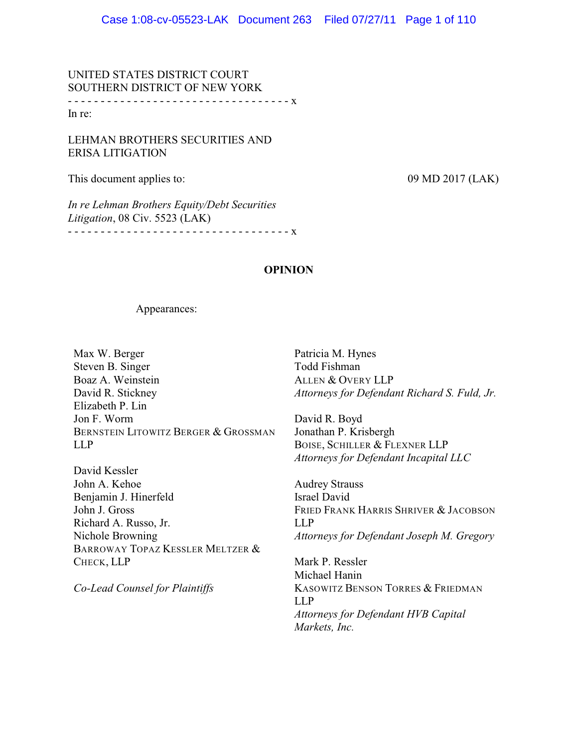UNITED STATES DISTRICT COURT SOUTHERN DISTRICT OF NEW YORK - - - - - - - - - - - - - - - - - - - - - - - - - - - - - - - - - - x In re:

LEHMAN BROTHERS SECURITIES AND ERISA LITIGATION

This document applies to: 09 MD 2017 (LAK)

*In re Lehman Brothers Equity/Debt Securities Litigation*, 08 Civ. 5523 (LAK) - - - - - - - - - - - - - - - - - - - - - - - - - - - - - - - - - - x

**OPINION**

Appearances:

Max W. Berger Steven B. Singer Boaz A. Weinstein David R. Stickney Elizabeth P. Lin Jon F. Worm BERNSTEIN LITOWITZ BERGER & GROSSMAN LLP

David Kessler John A. Kehoe Benjamin J. Hinerfeld John J. Gross Richard A. Russo, Jr. Nichole Browning BARROWAY TOPAZ KESSLER MELTZER & CHECK, LLP

*Co-Lead Counsel for Plaintiffs*

Patricia M. Hynes Todd Fishman ALLEN & OVERY LLP *Attorneys for Defendant Richard S. Fuld, Jr.*

David R. Boyd Jonathan P. Krisbergh BOISE, SCHILLER & FLEXNER LLP *Attorneys for Defendant Incapital LLC*

Audrey Strauss Israel David FRIED FRANK HARRIS SHRIVER & JACOBSON LLP *Attorneys for Defendant Joseph M. Gregory*

Mark P. Ressler Michael Hanin KASOWITZ BENSON TORRES & FRIEDMAN LLP *Attorneys for Defendant HVB Capital Markets, Inc.*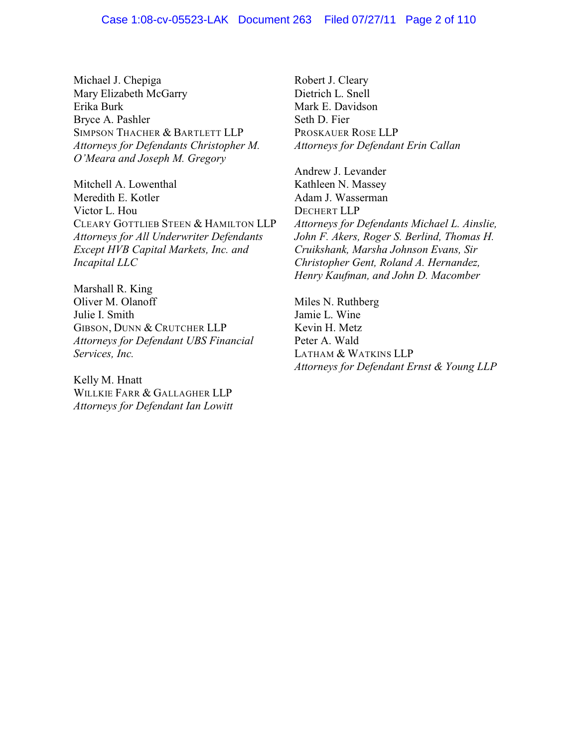Michael J. Chepiga Mary Elizabeth McGarry Erika Burk Bryce A. Pashler SIMPSON THACHER & BARTLETT LLP *Attorneys for Defendants Christopher M. O'Meara and Joseph M. Gregory*

Mitchell A. Lowenthal Meredith E. Kotler Victor L. Hou CLEARY GOTTLIEB STEEN & HAMILTON LLP *Attorneys for All Underwriter Defendants Except HVB Capital Markets, Inc. and Incapital LLC*

Marshall R. King Oliver M. Olanoff Julie I. Smith GIBSON, DUNN & CRUTCHER LLP *Attorneys for Defendant UBS Financial Services, Inc.*

Kelly M. Hnatt WILLKIE FARR & GALLAGHER LLP *Attorneys for Defendant Ian Lowitt*

Robert J. Cleary Dietrich L. Snell Mark E. Davidson Seth D. Fier PROSKAUER ROSE LLP *Attorneys for Defendant Erin Callan*

Andrew J. Levander Kathleen N. Massey Adam J. Wasserman DECHERT LLP *Attorneys for Defendants Michael L. Ainslie, John F. Akers, Roger S. Berlind, Thomas H. Cruikshank, Marsha Johnson Evans, Sir Christopher Gent, Roland A. Hernandez, Henry Kaufman, and John D. Macomber*

Miles N. Ruthberg Jamie L. Wine Kevin H. Metz Peter A. Wald LATHAM & WATKINS LLP *Attorneys for Defendant Ernst & Young LLP*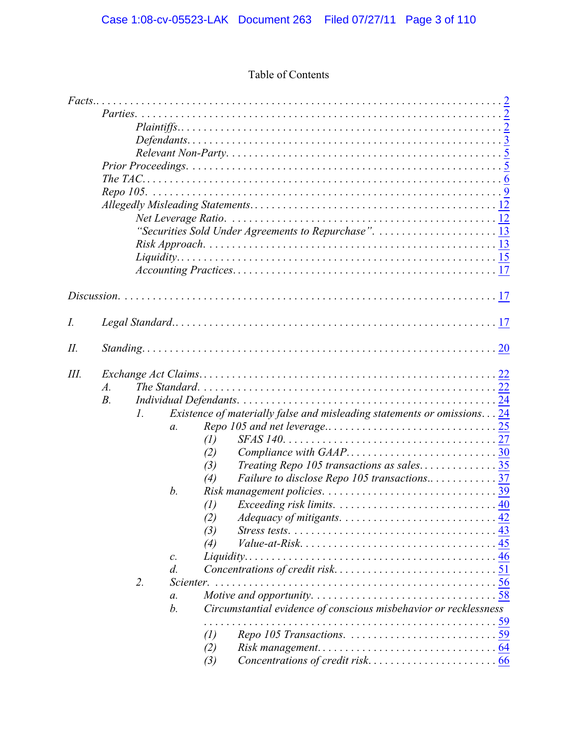# Table of Contents

|    |       |             |                 |                   | "Securities Sold Under Agreements to Repurchase". 13                              |  |
|----|-------|-------------|-----------------|-------------------|-----------------------------------------------------------------------------------|--|
|    |       |             |                 |                   |                                                                                   |  |
|    |       |             |                 |                   |                                                                                   |  |
|    |       |             |                 |                   |                                                                                   |  |
|    |       |             |                 |                   |                                                                                   |  |
|    |       |             |                 |                   |                                                                                   |  |
|    |       |             |                 |                   |                                                                                   |  |
|    |       |             |                 |                   |                                                                                   |  |
| I. |       |             |                 |                   |                                                                                   |  |
|    |       |             |                 |                   |                                                                                   |  |
| П. |       |             |                 |                   |                                                                                   |  |
|    |       |             |                 |                   |                                                                                   |  |
| Ш. |       |             |                 |                   |                                                                                   |  |
|    | $A$ . |             |                 |                   |                                                                                   |  |
|    | $B$ . |             |                 |                   |                                                                                   |  |
|    |       | $l_{\cdot}$ |                 |                   | <i>Existence of materially false and misleading statements or omissions.</i> $24$ |  |
|    |       |             | $\mathfrak{a}.$ |                   |                                                                                   |  |
|    |       |             |                 | $\left( l\right)$ |                                                                                   |  |
|    |       |             |                 | (2)               |                                                                                   |  |
|    |       |             |                 | (3)               |                                                                                   |  |
|    |       |             |                 | (4)               | Failure to disclose Repo 105 transactions37                                       |  |
|    |       |             | b.              |                   |                                                                                   |  |
|    |       |             |                 | $\left( l\right)$ |                                                                                   |  |
|    |       |             |                 | (2)               |                                                                                   |  |
|    |       |             |                 | (3)               |                                                                                   |  |
|    |       |             |                 | (4)               |                                                                                   |  |
|    |       |             | $\mathcal{C}$ . |                   |                                                                                   |  |
|    |       |             | $d$ .           |                   |                                                                                   |  |
|    |       | 2.          | Scienter.       |                   |                                                                                   |  |
|    |       |             | $a$ .           |                   |                                                                                   |  |
|    |       |             | b.              |                   | Circumstantial evidence of conscious misbehavior or recklessness                  |  |
|    |       |             |                 |                   |                                                                                   |  |
|    |       |             |                 | $\left( l\right)$ |                                                                                   |  |
|    |       |             |                 | (2)               |                                                                                   |  |
|    |       |             |                 | (3)               |                                                                                   |  |
|    |       |             |                 |                   |                                                                                   |  |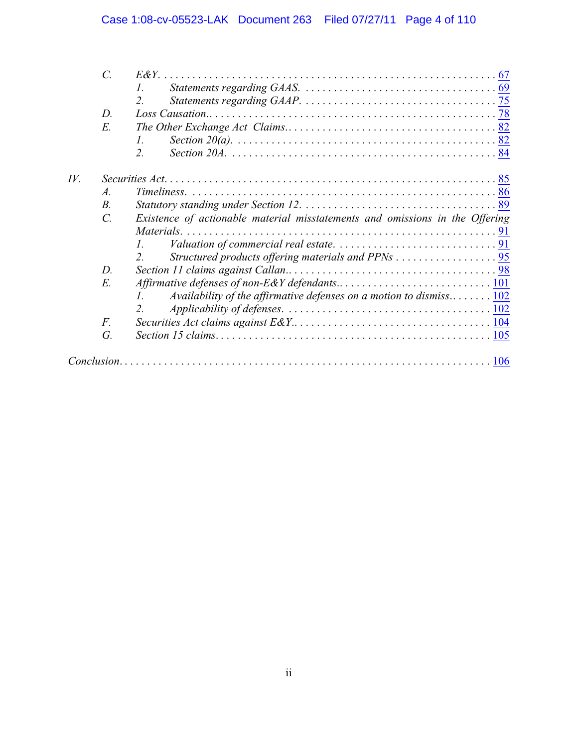|     | $\mathcal{C}$ . |                                                                              |  |  |  |  |
|-----|-----------------|------------------------------------------------------------------------------|--|--|--|--|
|     |                 | 1.                                                                           |  |  |  |  |
|     |                 | 2.                                                                           |  |  |  |  |
|     | D.              |                                                                              |  |  |  |  |
|     | E.              |                                                                              |  |  |  |  |
|     |                 | L                                                                            |  |  |  |  |
|     |                 | 2.                                                                           |  |  |  |  |
| IV. |                 |                                                                              |  |  |  |  |
|     | $\mathcal{A}$ . |                                                                              |  |  |  |  |
|     | $B_{\cdot}$     |                                                                              |  |  |  |  |
|     | $\mathcal{C}$ . | Existence of actionable material misstatements and omissions in the Offering |  |  |  |  |
|     |                 |                                                                              |  |  |  |  |
|     |                 | $I_{\cdot}$                                                                  |  |  |  |  |
|     |                 |                                                                              |  |  |  |  |
|     | $D$ .           |                                                                              |  |  |  |  |
|     | E.              |                                                                              |  |  |  |  |
|     |                 | Availability of the affirmative defenses on a motion to dismiss 102          |  |  |  |  |
|     |                 |                                                                              |  |  |  |  |
|     | F.              |                                                                              |  |  |  |  |
|     | G.              |                                                                              |  |  |  |  |
|     |                 |                                                                              |  |  |  |  |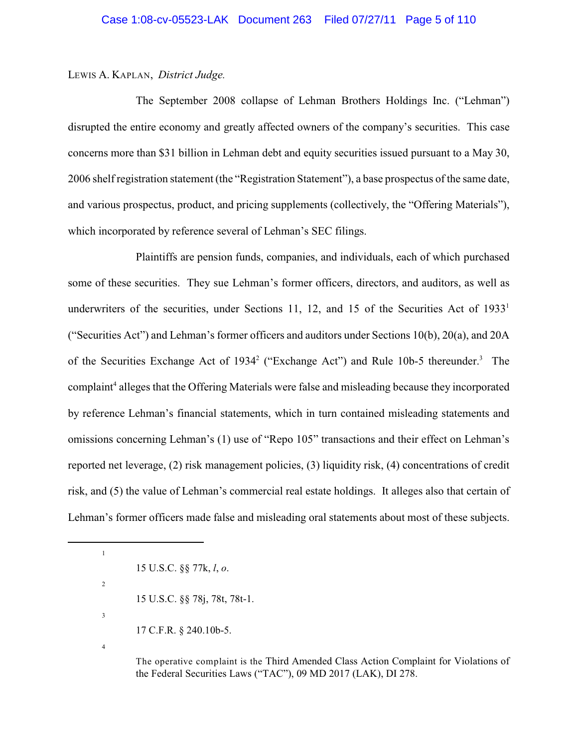### LEWIS A. KAPLAN, *District Judge.*

The September 2008 collapse of Lehman Brothers Holdings Inc. ("Lehman") disrupted the entire economy and greatly affected owners of the company's securities. This case concerns more than \$31 billion in Lehman debt and equity securities issued pursuant to a May 30, 2006 shelf registration statement (the "Registration Statement"), a base prospectus of the same date, and various prospectus, product, and pricing supplements (collectively, the "Offering Materials"), which incorporated by reference several of Lehman's SEC filings.

Plaintiffs are pension funds, companies, and individuals, each of which purchased some of these securities. They sue Lehman's former officers, directors, and auditors, as well as underwriters of the securities, under Sections 11, 12, and 15 of the Securities Act of  $1933<sup>1</sup>$ ("Securities Act") and Lehman's former officers and auditors under Sections 10(b), 20(a), and 20A of the Securities Exchange Act of 1934<sup>2</sup> ("Exchange Act") and Rule 10b-5 thereunder.<sup>3</sup> The complaint<sup>4</sup> alleges that the Offering Materials were false and misleading because they incorporated by reference Lehman's financial statements, which in turn contained misleading statements and omissions concerning Lehman's (1) use of "Repo 105" transactions and their effect on Lehman's reported net leverage, (2) risk management policies, (3) liquidity risk, (4) concentrations of credit risk, and (5) the value of Lehman's commercial real estate holdings. It alleges also that certain of Lehman's former officers made false and misleading oral statements about most of these subjects.

15 U.S.C. §§ 77k, *l*, *o*.

15 U.S.C. §§ 78j, 78t, 78t-1.

17 C.F.R. § 240.10b-5.

4

1

2

3

The operative complaint is the Third Amended Class Action Complaint for Violations of the Federal Securities Laws ("TAC"), 09 MD 2017 (LAK), DI 278.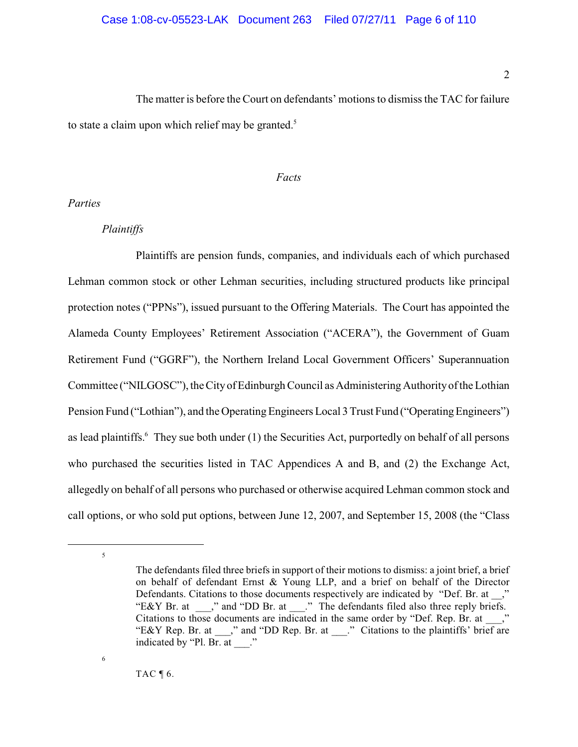The matter is before the Court on defendants' motions to dismissthe TAC for failure to state a claim upon which relief may be granted.<sup>5</sup>

#### <span id="page-5-0"></span>*Facts*

<span id="page-5-1"></span>*Parties*

## <span id="page-5-2"></span>*Plaintiffs*

Plaintiffs are pension funds, companies, and individuals each of which purchased Lehman common stock or other Lehman securities, including structured products like principal protection notes ("PPNs"), issued pursuant to the Offering Materials. The Court has appointed the Alameda County Employees' Retirement Association ("ACERA"), the Government of Guam Retirement Fund ("GGRF"), the Northern Ireland Local Government Officers' Superannuation Committee ("NILGOSC"), the City of Edinburgh Council as Administering Authorityof the Lothian Pension Fund ("Lothian"), and the Operating Engineers Local 3 Trust Fund ("Operating Engineers") as lead plaintiffs.<sup>6</sup> They sue both under (1) the Securities Act, purportedly on behalf of all persons who purchased the securities listed in TAC Appendices A and B, and (2) the Exchange Act, allegedly on behalf of all persons who purchased or otherwise acquired Lehman common stock and call options, or who sold put options, between June 12, 2007, and September 15, 2008 (the "Class

6

TAC  $\P$  6.

<sup>5</sup>

The defendants filed three briefs in support of their motions to dismiss: a joint brief, a brief on behalf of defendant Ernst & Young LLP, and a brief on behalf of the Director Defendants. Citations to those documents respectively are indicated by "Def. Br. at \_\_," "E&Y Br. at \_\_\_," and "DD Br. at \_\_\_." The defendants filed also three reply briefs. Citations to those documents are indicated in the same order by "Def. Rep. Br. at \_\_\_," "E&Y Rep. Br. at \_\_\_," and "DD Rep. Br. at \_\_\_.." Citations to the plaintiffs' brief are indicated by "Pl. Br. at  $\therefore$ "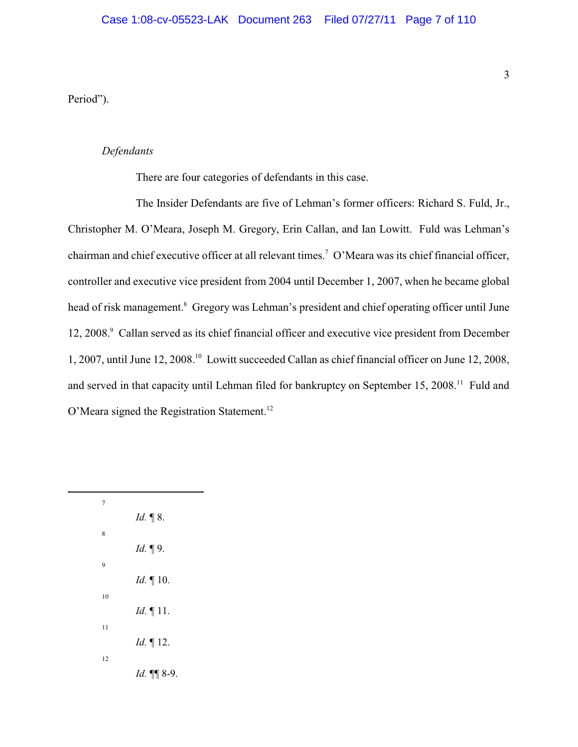Period").

### <span id="page-6-0"></span>*Defendants*

There are four categories of defendants in this case.

The Insider Defendants are five of Lehman's former officers: Richard S. Fuld, Jr., Christopher M. O'Meara, Joseph M. Gregory, Erin Callan, and Ian Lowitt. Fuld was Lehman's chairman and chief executive officer at all relevant times.<sup>7</sup> O'Meara was its chief financial officer, controller and executive vice president from 2004 until December 1, 2007, when he became global head of risk management.<sup>8</sup> Gregory was Lehman's president and chief operating officer until June 12, 2008. Callan served as its chief financial officer and executive vice president from December 1, 2007, until June 12, 2008.<sup>10</sup> Lowitt succeeded Callan as chief financial officer on June 12, 2008, and served in that capacity until Lehman filed for bankruptcy on September 15, 2008.<sup>11</sup> Fuld and O'Meara signed the Registration Statement.<sup>12</sup>

| 7  |                     |
|----|---------------------|
|    | Id. $\P$ 8.         |
| 8  |                     |
| 9  | <i>Id.</i> 19.      |
|    | $Id. \P 10.$        |
| 10 |                     |
|    | <i>Id.</i> $\P$ 11. |
| 11 |                     |
|    | <i>Id.</i> 12.      |
| 12 |                     |
|    | Id. 11 8-9.         |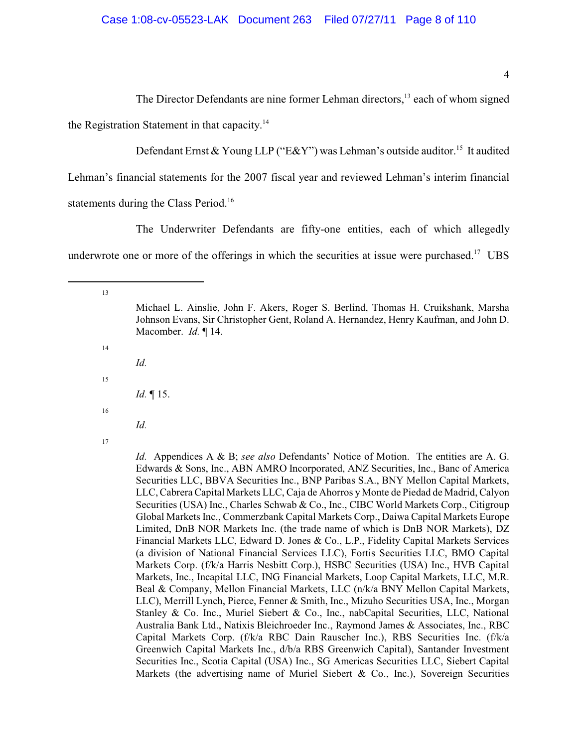4

The Director Defendants are nine former Lehman directors,<sup>13</sup> each of whom signed the Registration Statement in that capacity.<sup>14</sup>

Defendant Ernst & Young LLP ("E&Y") was Lehman's outside auditor.<sup>15</sup> It audited

Lehman's financial statements for the 2007 fiscal year and reviewed Lehman's interim financial statements during the Class Period.<sup>16</sup>

The Underwriter Defendants are fifty-one entities, each of which allegedly underwrote one or more of the offerings in which the securities at issue were purchased.<sup>17</sup> UBS

13

14

15

Michael L. Ainslie, John F. Akers, Roger S. Berlind, Thomas H. Cruikshank, Marsha Johnson Evans, Sir Christopher Gent, Roland A. Hernandez, Henry Kaufman, and John D. Macomber. *Id.* ¶ 14.

*Id.*

*Id.* ¶ 15.

16

*Id.*

17

*Id.* Appendices A & B; *see also* Defendants' Notice of Motion. The entities are A. G. Edwards & Sons, Inc., ABN AMRO Incorporated, ANZ Securities, Inc., Banc of America Securities LLC, BBVA Securities Inc., BNP Paribas S.A., BNY Mellon Capital Markets, LLC, Cabrera Capital Markets LLC, Caja de Ahorros y Monte de Piedad de Madrid, Calyon Securities (USA) Inc., Charles Schwab & Co., Inc., CIBC World Markets Corp., Citigroup Global Markets Inc., Commerzbank Capital Markets Corp., Daiwa Capital Markets Europe Limited, DnB NOR Markets Inc. (the trade name of which is DnB NOR Markets), DZ Financial Markets LLC, Edward D. Jones & Co., L.P., Fidelity Capital Markets Services (a division of National Financial Services LLC), Fortis Securities LLC, BMO Capital Markets Corp. (f/k/a Harris Nesbitt Corp.), HSBC Securities (USA) Inc., HVB Capital Markets, Inc., Incapital LLC, ING Financial Markets, Loop Capital Markets, LLC, M.R. Beal & Company, Mellon Financial Markets, LLC (n/k/a BNY Mellon Capital Markets, LLC), Merrill Lynch, Pierce, Fenner & Smith, Inc., Mizuho Securities USA, Inc., Morgan Stanley & Co. Inc., Muriel Siebert & Co., Inc., nabCapital Securities, LLC, National Australia Bank Ltd., Natixis Bleichroeder Inc., Raymond James & Associates, Inc., RBC Capital Markets Corp. (f/k/a RBC Dain Rauscher Inc.), RBS Securities Inc. (f/k/a Greenwich Capital Markets Inc., d/b/a RBS Greenwich Capital), Santander Investment Securities Inc., Scotia Capital (USA) Inc., SG Americas Securities LLC, Siebert Capital Markets (the advertising name of Muriel Siebert  $\&$  Co., Inc.), Sovereign Securities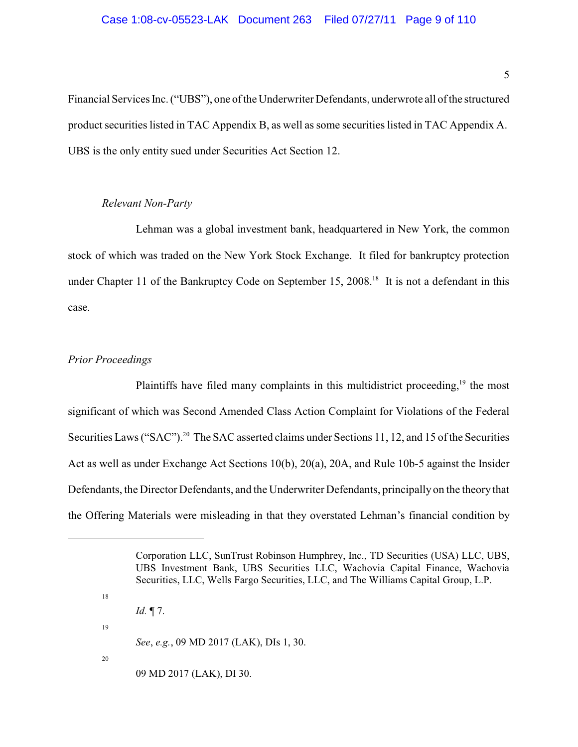Financial Services Inc. ("UBS"), one of the Underwriter Defendants, underwrote all of the structured product securities listed in TAC Appendix B, as well as some securities listed in TAC Appendix A. UBS is the only entity sued under Securities Act Section 12.

## *Relevant Non-Party*

<span id="page-8-0"></span>Lehman was a global investment bank, headquartered in New York, the common stock of which was traded on the New York Stock Exchange. It filed for bankruptcy protection under Chapter 11 of the Bankruptcy Code on September 15, 2008.<sup>18</sup> It is not a defendant in this case.

## <span id="page-8-1"></span>*Prior Proceedings*

18

Plaintiffs have filed many complaints in this multidistrict proceeding,  $\frac{19}{9}$  the most significant of which was Second Amended Class Action Complaint for Violations of the Federal Securities Laws ("SAC").<sup>20</sup> The SAC asserted claims under Sections 11, 12, and 15 of the Securities Act as well as under Exchange Act Sections 10(b), 20(a), 20A, and Rule 10b-5 against the Insider Defendants, the Director Defendants, and the Underwriter Defendants, principally on the theory that the Offering Materials were misleading in that they overstated Lehman's financial condition by

*Id.* ¶ 7. 19 *See*, *e.g.*, 09 MD 2017 (LAK), DIs 1, 30. 20 09 MD 2017 (LAK), DI 30.

Corporation LLC, SunTrust Robinson Humphrey, Inc., TD Securities (USA) LLC, UBS, UBS Investment Bank, UBS Securities LLC, Wachovia Capital Finance, Wachovia Securities, LLC, Wells Fargo Securities, LLC, and The Williams Capital Group, L.P.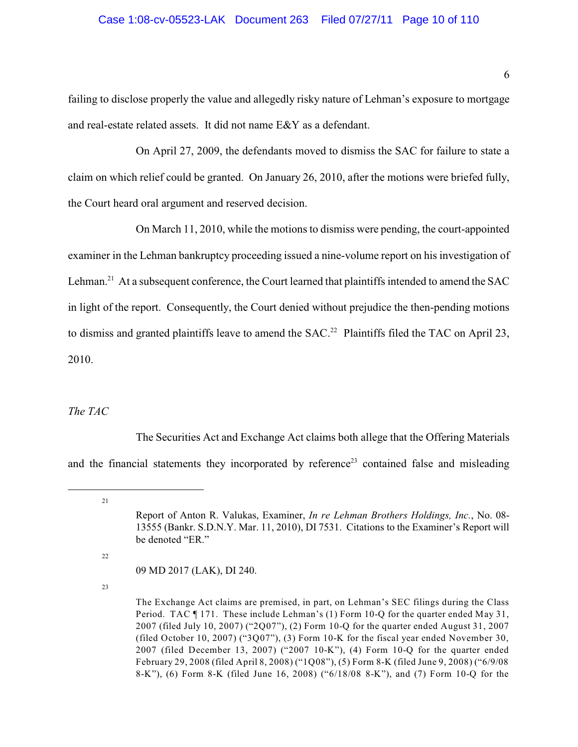## Case 1:08-cv-05523-LAK Document 263 Filed 07/27/11 Page 10 of 110

failing to disclose properly the value and allegedly risky nature of Lehman's exposure to mortgage and real-estate related assets. It did not name E&Y as a defendant.

On April 27, 2009, the defendants moved to dismiss the SAC for failure to state a claim on which relief could be granted. On January 26, 2010, after the motions were briefed fully, the Court heard oral argument and reserved decision.

On March 11, 2010, while the motions to dismiss were pending, the court-appointed examiner in the Lehman bankruptcy proceeding issued a nine-volume report on his investigation of Lehman.<sup>21</sup> At a subsequent conference, the Court learned that plaintiffs intended to amend the SAC in light of the report. Consequently, the Court denied without prejudice the then-pending motions to dismiss and granted plaintiffs leave to amend the SAC.<sup>22</sup> Plaintiffs filed the TAC on April 23, 2010.

### <span id="page-9-0"></span>*The TAC*

The Securities Act and Exchange Act claims both allege that the Offering Materials and the financial statements they incorporated by reference<sup>23</sup> contained false and misleading

22

09 MD 2017 (LAK), DI 240.

<sup>21</sup>

Report of Anton R. Valukas, Examiner, *In re Lehman Brothers Holdings, Inc.*, No. 08- 13555 (Bankr. S.D.N.Y. Mar. 11, 2010), DI 7531. Citations to the Examiner's Report will be denoted "ER."

The Exchange Act claims are premised, in part, on Lehman's SEC filings during the Class Period. TAC ¶ 171. These include Lehman's (1) Form 10-Q for the quarter ended May 31, 2007 (filed July 10, 2007) ("2Q07"), (2) Form 10-Q for the quarter ended August 31, 2007 (filed October 10, 2007) ("3Q07"), (3) Form 10-K for the fiscal year ended November 30, 2007 (filed December 13, 2007) ("2007 10-K"), (4) Form 10-Q for the quarter ended February 29, 2008 (filed April 8, 2008) ("1Q08"), (5) Form 8-K (filed June 9, 2008) ("6/9/08 8-K"), (6) Form 8-K (filed June 16, 2008) ("6/18/08 8-K"), and (7) Form 10-Q for the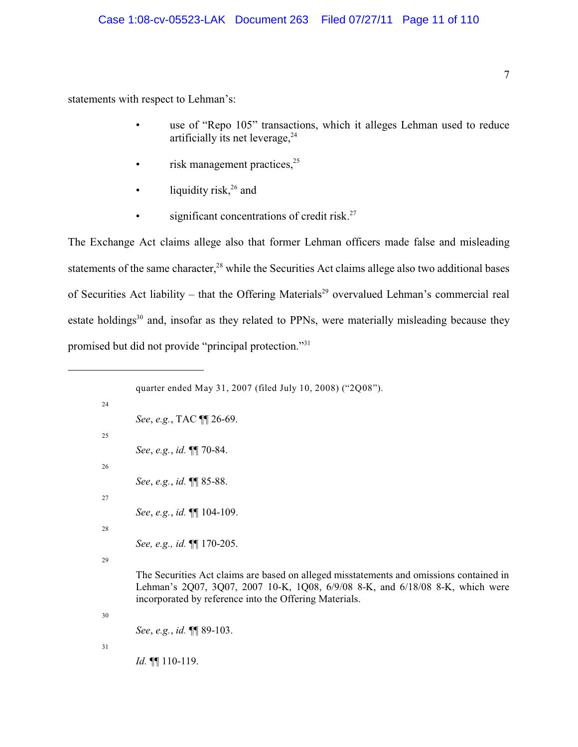statements with respect to Lehman's:

- use of "Repo 105" transactions, which it alleges Lehman used to reduce artificially its net leverage, $^{24}$
- $\cdot$  risk management practices,  $25$
- liquidity risk, $26$  and
- significant concentrations of credit risk. $27$

The Exchange Act claims allege also that former Lehman officers made false and misleading statements of the same character,<sup>28</sup> while the Securities Act claims allege also two additional bases of Securities Act liability – that the Offering Materials<sup>29</sup> overvalued Lehman's commercial real estate holdings $30$  and, insofar as they related to PPNs, were materially misleading because they promised but did not provide "principal protection."<sup>31</sup>

```
quarter ended May 31, 2007 (filed July 10, 2008) ("2Q08").
24
       See, e.g., TAC ¶¶ 26-69.
25
        See, e.g., id. ¶¶ 70-84.
26
       See, e.g., id. ¶¶ 85-88.
27
        See, e.g., id. ¶¶ 104-109.
28
        See, e.g., id. ¶¶ 170-205.
29
        The Securities Act claims are based on alleged misstatements and omissions contained in
        Lehman's 2Q07, 3Q07, 2007 10-K, 1Q08, 6/9/08 8-K, and 6/18/08 8-K, which were
        incorporated by reference into the Offering Materials.
30
        See, e.g., id. ¶¶ 89-103.
31
       Id. ¶¶ 110-119.
```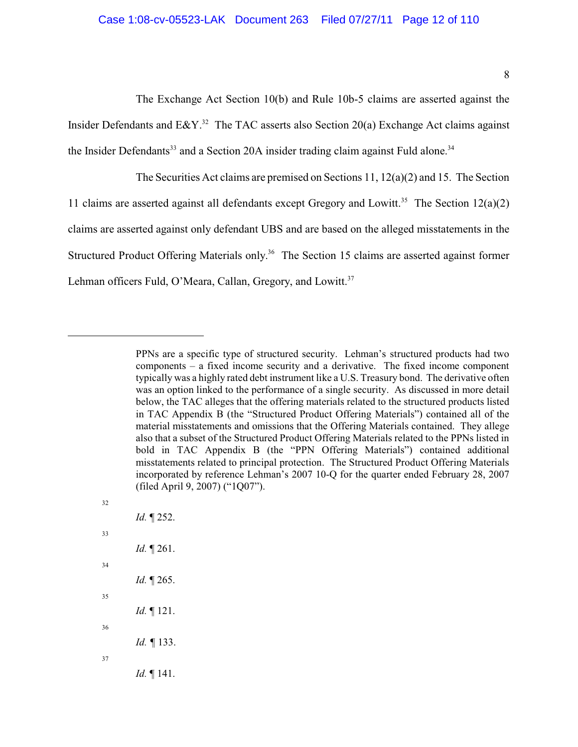The Exchange Act Section 10(b) and Rule 10b-5 claims are asserted against the Insider Defendants and E&Y.<sup>32</sup> The TAC asserts also Section 20(a) Exchange Act claims against the Insider Defendants<sup>33</sup> and a Section 20A insider trading claim against Fuld alone.<sup>34</sup>

The Securities Act claims are premised on Sections 11,  $12(a)(2)$  and 15. The Section 11 claims are asserted against all defendants except Gregory and Lowitt.<sup>35</sup> The Section 12(a)(2) claims are asserted against only defendant UBS and are based on the alleged misstatements in the Structured Product Offering Materials only.<sup>36</sup> The Section 15 claims are asserted against former Lehman officers Fuld, O'Meara, Callan, Gregory, and Lowitt.<sup>37</sup>

32 *Id.* ¶ 252. 33 *Id.* ¶ 261. 34 *Id.* ¶ 265. 35 *Id.* ¶ 121. 36 *Id.* 133. 37 *Id.* ¶ 141.

PPNs are a specific type of structured security. Lehman's structured products had two components – a fixed income security and a derivative. The fixed income component typically was a highly rated debt instrument like a U.S. Treasury bond. The derivative often was an option linked to the performance of a single security. As discussed in more detail below, the TAC alleges that the offering materials related to the structured products listed in TAC Appendix B (the "Structured Product Offering Materials") contained all of the material misstatements and omissions that the Offering Materials contained. They allege also that a subset of the Structured Product Offering Materials related to the PPNs listed in bold in TAC Appendix B (the "PPN Offering Materials") contained additional misstatements related to principal protection. The Structured Product Offering Materials incorporated by reference Lehman's 2007 10-Q for the quarter ended February 28, 2007 (filed April 9, 2007) ("1Q07").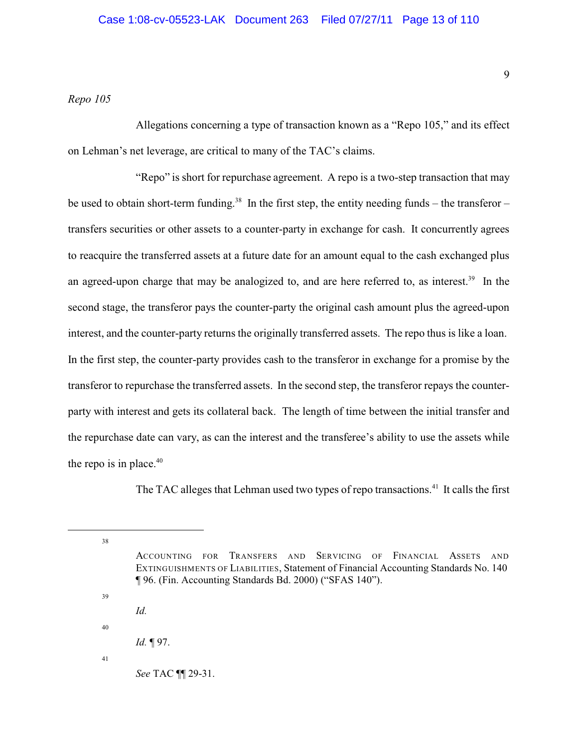## <span id="page-12-0"></span>*Repo 105*

Allegations concerning a type of transaction known as a "Repo 105," and its effect on Lehman's net leverage, are critical to many of the TAC's claims.

"Repo" is short for repurchase agreement. A repo is a two-step transaction that may be used to obtain short-term funding.<sup>38</sup> In the first step, the entity needing funds – the transferor – transfers securities or other assets to a counter-party in exchange for cash. It concurrently agrees to reacquire the transferred assets at a future date for an amount equal to the cash exchanged plus an agreed-upon charge that may be analogized to, and are here referred to, as interest.<sup>39</sup> In the second stage, the transferor pays the counter-party the original cash amount plus the agreed-upon interest, and the counter-party returns the originally transferred assets. The repo thus is like a loan. In the first step, the counter-party provides cash to the transferor in exchange for a promise by the transferor to repurchase the transferred assets. In the second step, the transferor repays the counterparty with interest and gets its collateral back. The length of time between the initial transfer and the repurchase date can vary, as can the interest and the transferee's ability to use the assets while the repo is in place. $40$ 

The TAC alleges that Lehman used two types of repo transactions.<sup>41</sup> It calls the first

38

39

- ACCOUNTING FOR TRANSFERS AND SERVICING OF FINANCIAL ASSETS AND EXTINGUISHMENTS OF LIABILITIES, Statement of Financial Accounting Standards No. 140 ¶ 96. (Fin. Accounting Standards Bd. 2000) ("SFAS 140").
- *Id.*
- 
- *Id.* ¶ 97.
- 41

40

*See* TAC ¶¶ 29-31.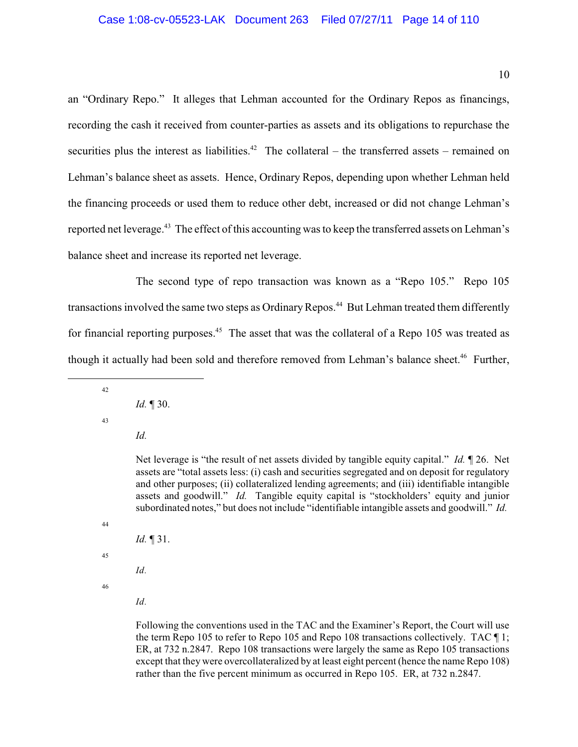an "Ordinary Repo." It alleges that Lehman accounted for the Ordinary Repos as financings, recording the cash it received from counter-parties as assets and its obligations to repurchase the securities plus the interest as liabilities.<sup>42</sup> The collateral – the transferred assets – remained on Lehman's balance sheet as assets. Hence, Ordinary Repos, depending upon whether Lehman held the financing proceeds or used them to reduce other debt, increased or did not change Lehman's reported net leverage.<sup>43</sup> The effect of this accounting was to keep the transferred assets on Lehman's balance sheet and increase its reported net leverage.

The second type of repo transaction was known as a "Repo 105." Repo 105 transactions involved the same two steps as Ordinary Repos.<sup>44</sup> But Lehman treated them differently for financial reporting purposes.<sup>45</sup> The asset that was the collateral of a Repo 105 was treated as though it actually had been sold and therefore removed from Lehman's balance sheet.<sup>46</sup> Further,

*Id.* ¶ 30.

43

42

*Id.*

Net leverage is "the result of net assets divided by tangible equity capital." *Id.* ¶ 26. Net assets are "total assets less: (i) cash and securities segregated and on deposit for regulatory and other purposes; (ii) collateralized lending agreements; and (iii) identifiable intangible assets and goodwill." *Id.* Tangible equity capital is "stockholders' equity and junior subordinated notes," but does not include "identifiable intangible assets and goodwill." *Id.*

44

```
Id. ¶ 31.
```
45

46

*Id.*

*Id.*

Following the conventions used in the TAC and the Examiner's Report, the Court will use the term Repo 105 to refer to Repo 105 and Repo 108 transactions collectively. TAC ¶ 1; ER, at 732 n.2847. Repo 108 transactions were largely the same as Repo 105 transactions except that they were overcollateralized by at least eight percent (hence the name Repo 108) rather than the five percent minimum as occurred in Repo 105. ER, at 732 n.2847.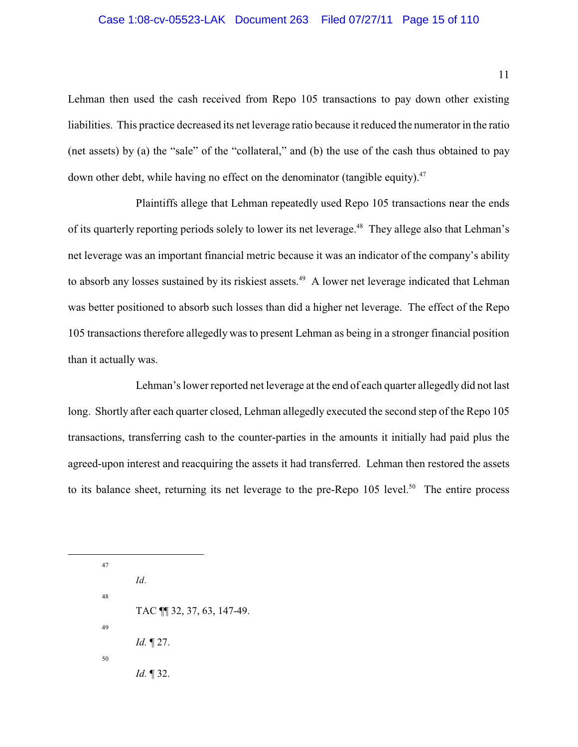### Case 1:08-cv-05523-LAK Document 263 Filed 07/27/11 Page 15 of 110

Lehman then used the cash received from Repo 105 transactions to pay down other existing liabilities. This practice decreased its net leverage ratio because it reduced the numerator in the ratio (net assets) by (a) the "sale" of the "collateral," and (b) the use of the cash thus obtained to pay down other debt, while having no effect on the denominator (tangible equity).<sup>47</sup>

Plaintiffs allege that Lehman repeatedly used Repo 105 transactions near the ends of its quarterly reporting periods solely to lower its net leverage.<sup>48</sup> They allege also that Lehman's net leverage was an important financial metric because it was an indicator of the company's ability to absorb any losses sustained by its riskiest assets.<sup>49</sup> A lower net leverage indicated that Lehman was better positioned to absorb such losses than did a higher net leverage. The effect of the Repo 105 transactions therefore allegedly was to present Lehman as being in a stronger financial position than it actually was.

Lehman's lower reported net leverage at the end of each quarter allegedly did not last long. Shortly after each quarter closed, Lehman allegedly executed the second step of the Repo 105 transactions, transferring cash to the counter-parties in the amounts it initially had paid plus the agreed-upon interest and reacquiring the assets it had transferred. Lehman then restored the assets to its balance sheet, returning its net leverage to the pre-Repo  $105$  level.<sup>50</sup> The entire process

47 *Id.* 48 TAC ¶¶ 32, 37, 63, 147-49. 49 *Id.* ¶ 27. 50 *Id.* ¶ 32.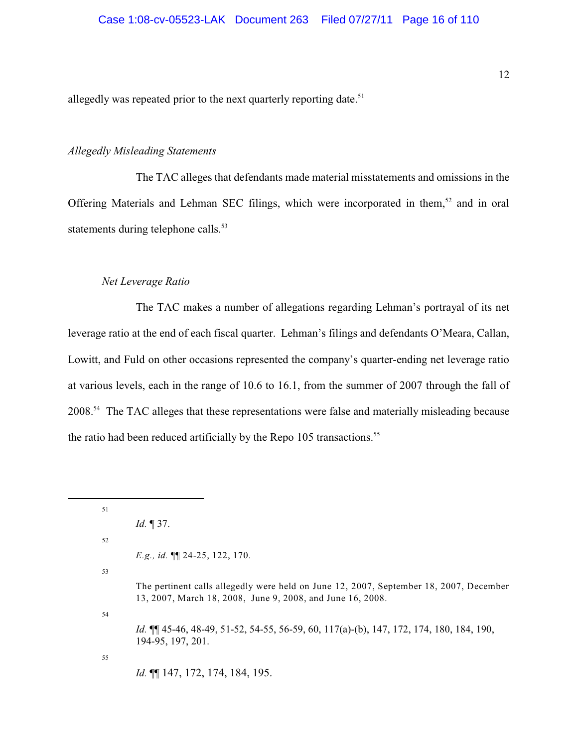allegedly was repeated prior to the next quarterly reporting date.<sup>51</sup>

### <span id="page-15-0"></span>*Allegedly Misleading Statements*

The TAC alleges that defendants made material misstatements and omissions in the Offering Materials and Lehman SEC filings, which were incorporated in them,<sup>52</sup> and in oral statements during telephone calls.<sup>53</sup>

#### <span id="page-15-1"></span>*Net Leverage Ratio*

The TAC makes a number of allegations regarding Lehman's portrayal of its net leverage ratio at the end of each fiscal quarter. Lehman's filings and defendants O'Meara, Callan, Lowitt, and Fuld on other occasions represented the company's quarter-ending net leverage ratio at various levels, each in the range of 10.6 to 16.1, from the summer of 2007 through the fall of 2008<sup>54</sup>. The TAC alleges that these representations were false and materially misleading because the ratio had been reduced artificially by the Repo 105 transactions.<sup>55</sup>

<sup>51</sup> *Id.* ¶ 37. 52 *E.g., id.* ¶¶ 24-25, 122, 170. 53 The pertinent calls allegedly were held on June 12, 2007, September 18, 2007, December 13, 2007, March 18, 2008, June 9, 2008, and June 16, 2008. 54 *Id.* ¶¶ 45-46, 48-49, 51-52, 54-55, 56-59, 60, 117(a)-(b), 147, 172, 174, 180, 184, 190, 194-95, 197, 201. 55 *Id.* ¶¶ 147, 172, 174, 184, 195.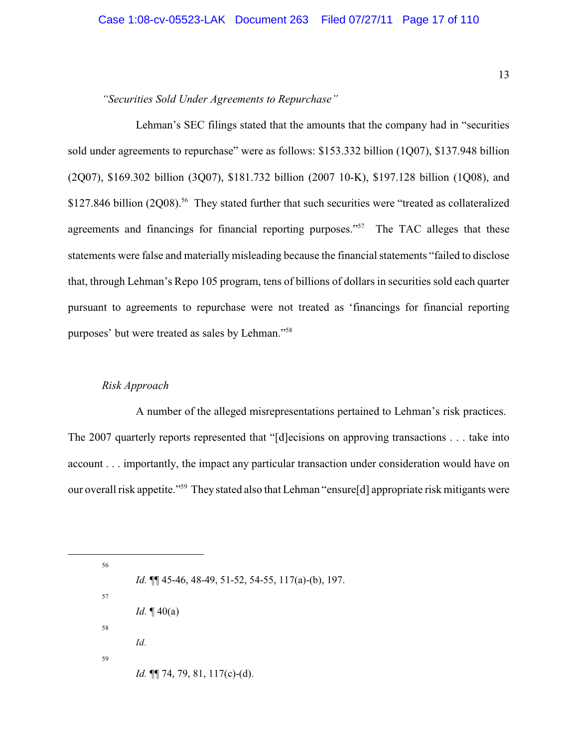## <span id="page-16-0"></span>*"Securities Sold Under Agreements to Repurchase"*

Lehman's SEC filings stated that the amounts that the company had in "securities sold under agreements to repurchase" were as follows: \$153.332 billion (1Q07), \$137.948 billion (2Q07), \$169.302 billion (3Q07), \$181.732 billion (2007 10-K), \$197.128 billion (1Q08), and \$127.846 billion (2008).<sup>56</sup> They stated further that such securities were "treated as collateralized agreements and financings for financial reporting purposes."<sup>57</sup> The TAC alleges that these statements were false and materially misleading because the financial statements "failed to disclose that, through Lehman's Repo 105 program, tens of billions of dollars in securities sold each quarter pursuant to agreements to repurchase were not treated as 'financings for financial reporting purposes' but were treated as sales by Lehman."<sup>58</sup>

### <span id="page-16-1"></span>*Risk Approach*

A number of the alleged misrepresentations pertained to Lehman's risk practices. The 2007 quarterly reports represented that "[d]ecisions on approving transactions . . . take into account . . . importantly, the impact any particular transaction under consideration would have on our overall risk appetite."<sup>59</sup> They stated also that Lehman "ensure[d] appropriate risk mitigants were

56 *Id.* ¶¶ 45-46, 48-49, 51-52, 54-55, 117(a)-(b), 197. 57 *Id.* ¶ 40(a) 58 *Id.* 59 *Id.* ¶¶ 74, 79, 81, 117(c)-(d).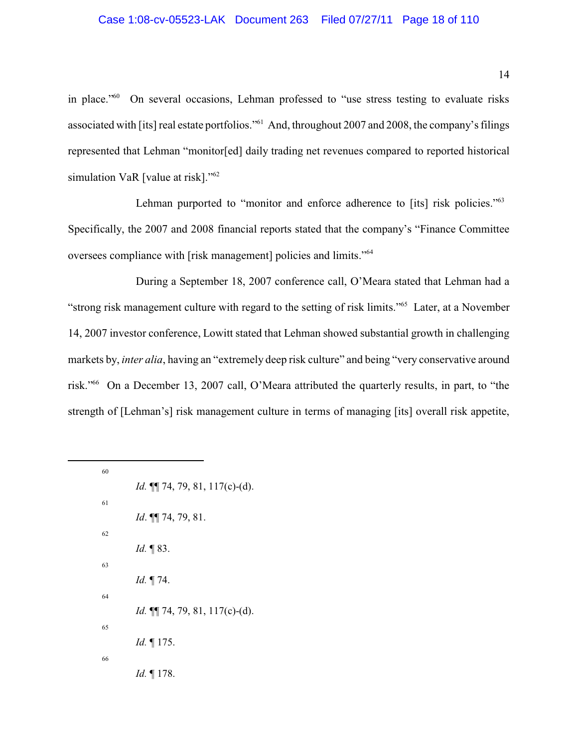## Case 1:08-cv-05523-LAK Document 263 Filed 07/27/11 Page 18 of 110

in place." On several occasions, Lehman professed to "use stress testing to evaluate risks associated with [its] real estate portfolios."<sup>61</sup> And, throughout 2007 and 2008, the company's filings represented that Lehman "monitor[ed] daily trading net revenues compared to reported historical simulation VaR [value at risk]."<sup>62</sup>

Lehman purported to "monitor and enforce adherence to [its] risk policies."<sup>63</sup> Specifically, the 2007 and 2008 financial reports stated that the company's "Finance Committee oversees compliance with [risk management] policies and limits."<sup>64</sup>

During a September 18, 2007 conference call, O'Meara stated that Lehman had a "strong risk management culture with regard to the setting of risk limits."<sup>65</sup> Later, at a November 14, 2007 investor conference, Lowitt stated that Lehman showed substantial growth in challenging markets by, *inter alia*, having an "extremely deep risk culture" and being "very conservative around risk."<sup>66</sup> On a December 13, 2007 call, O'Meara attributed the quarterly results, in part, to "the strength of [Lehman's] risk management culture in terms of managing [its] overall risk appetite,

| 60 |                                         |
|----|-----------------------------------------|
|    | <i>Id.</i> $\P$ 74, 79, 81, 117(c)-(d). |
| 61 |                                         |
|    | Id. $\P\P$ 74, 79, 81.                  |
| 62 |                                         |
|    | <i>Id.</i> $\P$ 83.                     |
| 63 |                                         |
|    | <i>Id.</i> 174.                         |
| 64 |                                         |
|    | <i>Id.</i> $\P$ 74, 79, 81, 117(c)-(d). |
| 65 |                                         |
|    | <i>Id.</i> $\P$ 175.                    |
| 66 |                                         |
|    | <i>Id.</i> $\P$ 178.                    |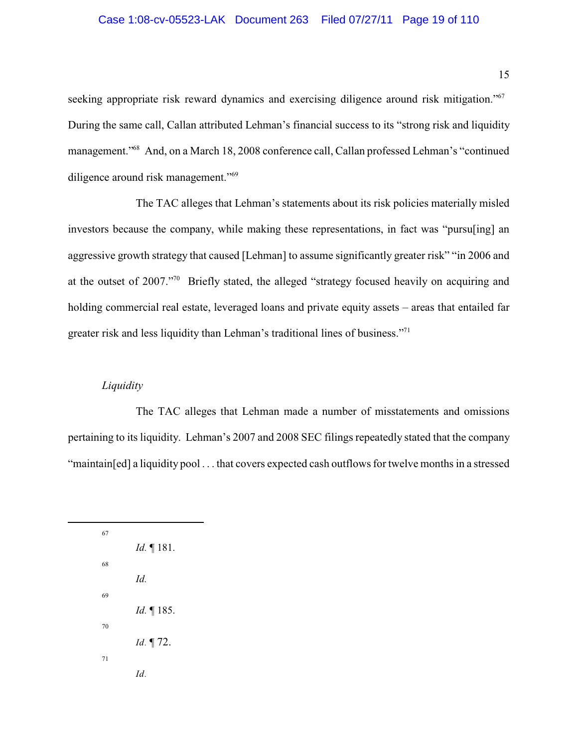## Case 1:08-cv-05523-LAK Document 263 Filed 07/27/11 Page 19 of 110

seeking appropriate risk reward dynamics and exercising diligence around risk mitigation."<sup>67</sup> During the same call, Callan attributed Lehman's financial success to its "strong risk and liquidity management." And, on a March 18, 2008 conference call, Callan professed Lehman's "continued diligence around risk management."<sup>69</sup>

The TAC alleges that Lehman's statements about its risk policies materially misled investors because the company, while making these representations, in fact was "pursuling] an aggressive growth strategy that caused [Lehman] to assume significantly greater risk" "in 2006 and at the outset of 2007."<sup>70</sup> Briefly stated, the alleged "strategy focused heavily on acquiring and holding commercial real estate, leveraged loans and private equity assets – areas that entailed far greater risk and less liquidity than Lehman's traditional lines of business."<sup>71</sup>

### <span id="page-18-0"></span>*Liquidity*

The TAC alleges that Lehman made a number of misstatements and omissions pertaining to its liquidity. Lehman's 2007 and 2008 SEC filings repeatedly stated that the company "maintain[ed] a liquidity pool . . . that covers expected cash outflows for twelve months in a stressed

| 67 |                      |
|----|----------------------|
|    | <i>Id.</i> $\P$ 181. |
| 68 |                      |
|    | Id                   |
| 69 |                      |
|    | <i>Id.</i> $\P$ 185. |
| 70 |                      |
|    | Id. ¶ 72.            |
| 71 |                      |
|    | Id                   |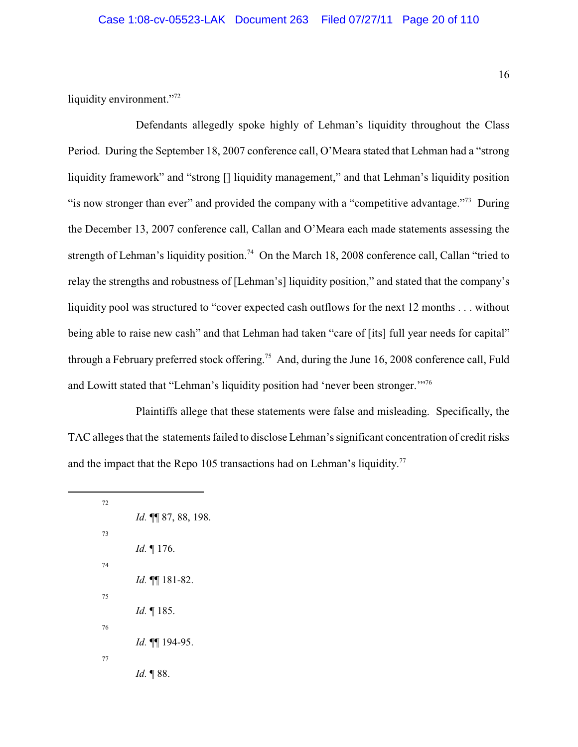liquidity environment."<sup>72</sup>

Defendants allegedly spoke highly of Lehman's liquidity throughout the Class Period. During the September 18, 2007 conference call, O'Meara stated that Lehman had a "strong liquidity framework" and "strong [] liquidity management," and that Lehman's liquidity position "is now stronger than ever" and provided the company with a "competitive advantage."<sup> $3$ </sup> During the December 13, 2007 conference call, Callan and O'Meara each made statements assessing the strength of Lehman's liquidity position.<sup>74</sup> On the March 18, 2008 conference call, Callan "tried to relay the strengths and robustness of [Lehman's] liquidity position," and stated that the company's liquidity pool was structured to "cover expected cash outflows for the next 12 months . . . without being able to raise new cash" and that Lehman had taken "care of [its] full year needs for capital" through a February preferred stock offering.<sup>75</sup> And, during the June 16, 2008 conference call, Fuld and Lowitt stated that "Lehman's liquidity position had 'never been stronger."<sup>76</sup>

Plaintiffs allege that these statements were false and misleading. Specifically, the TAC alleges that the statements failed to disclose Lehman's significant concentration of credit risks and the impact that the Repo 105 transactions had on Lehman's liquidity.<sup>77</sup>

| 72 |                           |
|----|---------------------------|
|    | Id. II 87, 88, 198.       |
| 73 |                           |
|    | <i>Id.</i> $\P$ 176.      |
| 74 |                           |
|    | <i>Id.</i> $\P\P$ 181-82. |
| 75 |                           |
|    | <i>Id.</i> $\P$ 185.      |
| 76 |                           |
|    | Id. III 194-95.           |
| 77 |                           |
|    | Id. 188.                  |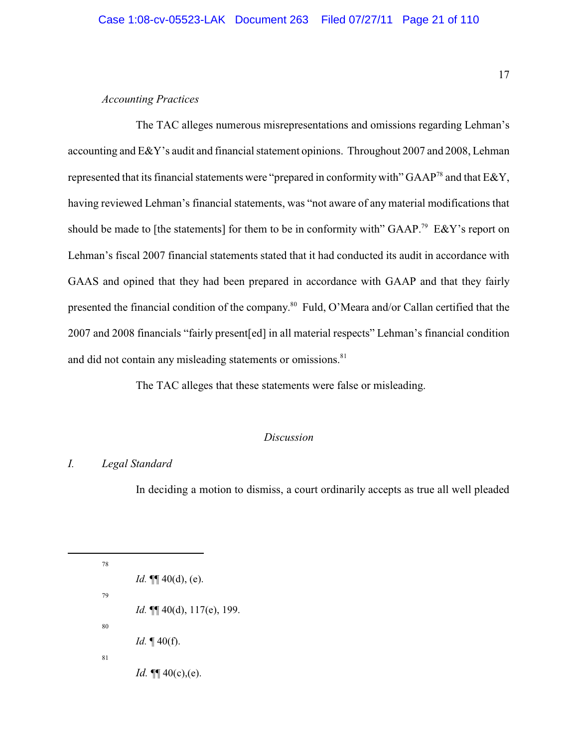## <span id="page-20-0"></span>*Accounting Practices*

The TAC alleges numerous misrepresentations and omissions regarding Lehman's accounting and E&Y's audit and financial statement opinions. Throughout 2007 and 2008, Lehman represented that its financial statements were "prepared in conformity with" GAAP<sup>78</sup> and that  $E\&Y$ , having reviewed Lehman's financial statements, was "not aware of any material modifications that should be made to [the statements] for them to be in conformity with" GAAP.<sup>79</sup> E&Y's report on Lehman's fiscal 2007 financial statements stated that it had conducted its audit in accordance with GAAS and opined that they had been prepared in accordance with GAAP and that they fairly presented the financial condition of the company.<sup>80</sup> Fuld, O'Meara and/or Callan certified that the 2007 and 2008 financials "fairly present[ed] in all material respects" Lehman's financial condition and did not contain any misleading statements or omissions.<sup>81</sup>

The TAC alleges that these statements were false or misleading.

## <span id="page-20-1"></span>*Discussion*

## <span id="page-20-2"></span>*I. Legal Standard*

In deciding a motion to dismiss, a court ordinarily accepts as true all well pleaded

78 *Id.* ¶¶ 40(d), (e). 79 *Id.* ¶¶ 40(d), 117(e), 199. 80 *Id.* ¶ 40(f). 81 *Id.*  $\P\P$  40(c), (e).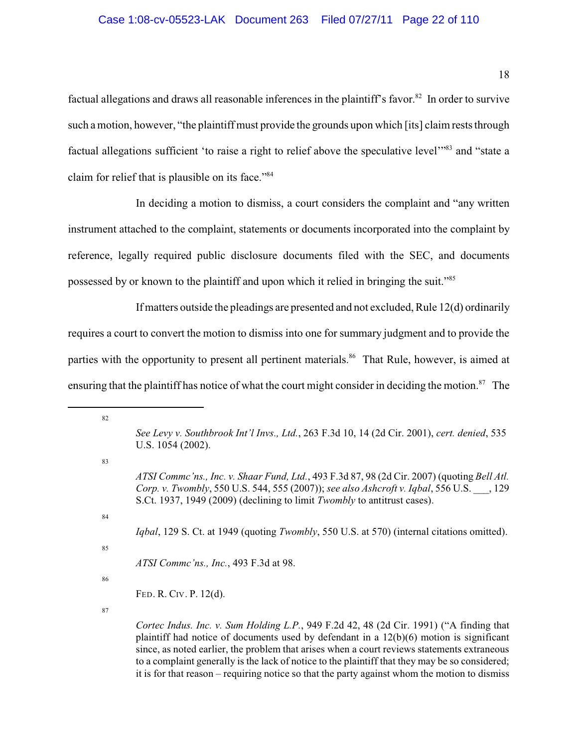factual allegations and draws all reasonable inferences in the plaintiff's favor.<sup>82</sup> In order to survive such a motion, however, "the plaintiff must provide the grounds upon which [its] claim rests through factual allegations sufficient 'to raise a right to relief above the speculative level'"<sup>83</sup> and "state a claim for relief that is plausible on its face."<sup>84</sup>

In deciding a motion to dismiss, a court considers the complaint and "any written instrument attached to the complaint, statements or documents incorporated into the complaint by reference, legally required public disclosure documents filed with the SEC, and documents possessed by or known to the plaintiff and upon which it relied in bringing the suit."<sup>85</sup>

If matters outside the pleadings are presented and not excluded, Rule 12(d) ordinarily requires a court to convert the motion to dismiss into one for summary judgment and to provide the parties with the opportunity to present all pertinent materials.<sup>86</sup> That Rule, however, is aimed at ensuring that the plaintiff has notice of what the court might consider in deciding the motion.<sup>87</sup> The

*Iqbal*, 129 S. Ct. at 1949 (quoting *Twombly*, 550 U.S. at 570) (internal citations omitted).

*ATSI Commc'ns., Inc.*, 493 F.3d at 98.

86

82

83

84

85

FED. R. CIV. P. 12(d).

*See Levy v. Southbrook Int'l Invs., Ltd.*, 263 F.3d 10, 14 (2d Cir. 2001), *cert. denied*, 535 U.S. 1054 (2002).

*ATSI Commc'ns., Inc. v. Shaar Fund, Ltd.*, 493 F.3d 87, 98 (2d Cir. 2007) (quoting *Bell Atl. Corp. v. Twombly*, 550 U.S. 544, 555 (2007)); *see also Ashcroft v. Iqbal*, 556 U.S. \_\_\_, 129 S.Ct. 1937, 1949 (2009) (declining to limit *Twombly* to antitrust cases).

*Cortec Indus. Inc. v. Sum Holding L.P.*, 949 F.2d 42, 48 (2d Cir. 1991) ("A finding that plaintiff had notice of documents used by defendant in a  $12(b)(6)$  motion is significant since, as noted earlier, the problem that arises when a court reviews statements extraneous to a complaint generally is the lack of notice to the plaintiff that they may be so considered; it is for that reason – requiring notice so that the party against whom the motion to dismiss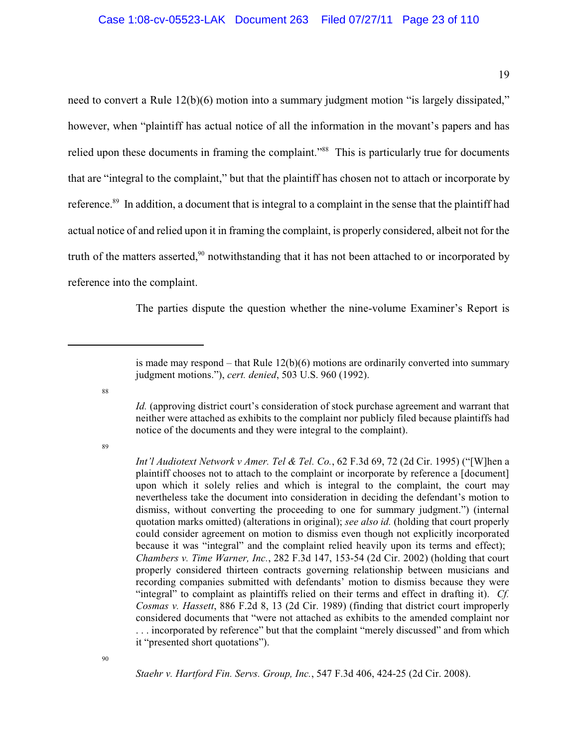19

need to convert a Rule 12(b)(6) motion into a summary judgment motion "is largely dissipated," however, when "plaintiff has actual notice of all the information in the movant's papers and has relied upon these documents in framing the complaint."<sup>88</sup> This is particularly true for documents that are "integral to the complaint," but that the plaintiff has chosen not to attach or incorporate by reference.<sup>89</sup> In addition, a document that is integral to a complaint in the sense that the plaintiff had actual notice of and relied upon it in framing the complaint, is properly considered, albeit not for the truth of the matters asserted,<sup>90</sup> notwithstanding that it has not been attached to or incorporated by reference into the complaint.

The parties dispute the question whether the nine-volume Examiner's Report is

88

89

*Staehr v. Hartford Fin. Servs. Group, Inc.*, 547 F.3d 406, 424-25 (2d Cir. 2008).

is made may respond – that Rule  $12(b)(6)$  motions are ordinarily converted into summary judgment motions."), *cert. denied*, 503 U.S. 960 (1992).

*Id.* (approving district court's consideration of stock purchase agreement and warrant that neither were attached as exhibits to the complaint nor publicly filed because plaintiffs had notice of the documents and they were integral to the complaint).

*Int'l Audiotext Network v Amer. Tel & Tel. Co.*, 62 F.3d 69, 72 (2d Cir. 1995) ("[W]hen a plaintiff chooses not to attach to the complaint or incorporate by reference a [document] upon which it solely relies and which is integral to the complaint, the court may nevertheless take the document into consideration in deciding the defendant's motion to dismiss, without converting the proceeding to one for summary judgment.") (internal quotation marks omitted) (alterations in original); *see also id.* (holding that court properly could consider agreement on motion to dismiss even though not explicitly incorporated because it was "integral" and the complaint relied heavily upon its terms and effect); *Chambers v. Time Warner, Inc.*, 282 F.3d 147, 153-54 (2d Cir. 2002) (holding that court properly considered thirteen contracts governing relationship between musicians and recording companies submitted with defendants' motion to dismiss because they were "integral" to complaint as plaintiffs relied on their terms and effect in drafting it). *Cf. Cosmas v. Hassett*, 886 F.2d 8, 13 (2d Cir. 1989) (finding that district court improperly considered documents that "were not attached as exhibits to the amended complaint nor . . . incorporated by reference" but that the complaint "merely discussed" and from which it "presented short quotations").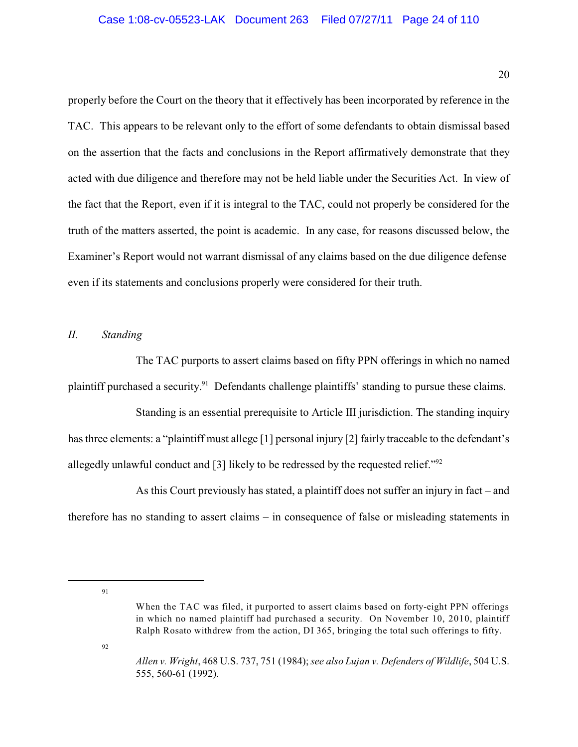properly before the Court on the theory that it effectively has been incorporated by reference in the TAC. This appears to be relevant only to the effort of some defendants to obtain dismissal based on the assertion that the facts and conclusions in the Report affirmatively demonstrate that they acted with due diligence and therefore may not be held liable under the Securities Act. In view of the fact that the Report, even if it is integral to the TAC, could not properly be considered for the truth of the matters asserted, the point is academic. In any case, for reasons discussed below, the Examiner's Report would not warrant dismissal of any claims based on the due diligence defense even if its statements and conclusions properly were considered for their truth.

### <span id="page-23-0"></span>*II. Standing*

The TAC purports to assert claims based on fifty PPN offerings in which no named plaintiff purchased a security.<sup>91</sup> Defendants challenge plaintiffs' standing to pursue these claims.

Standing is an essential prerequisite to Article III jurisdiction. The standing inquiry has three elements: a "plaintiff must allege [1] personal injury [2] fairly traceable to the defendant's allegedly unlawful conduct and [3] likely to be redressed by the requested relief."<sup>92</sup>

As this Court previously has stated, a plaintiff does not suffer an injury in fact – and therefore has no standing to assert claims – in consequence of false or misleading statements in

91

92

When the TAC was filed, it purported to assert claims based on forty-eight PPN offerings in which no named plaintiff had purchased a security. On November 10, 2010, plaintiff Ralph Rosato withdrew from the action, DI 365, bringing the total such offerings to fifty.

*Allen v. Wright*, 468 U.S. 737, 751 (1984); *see also Lujan v. Defenders of Wildlife*, 504 U.S. 555, 560-61 (1992).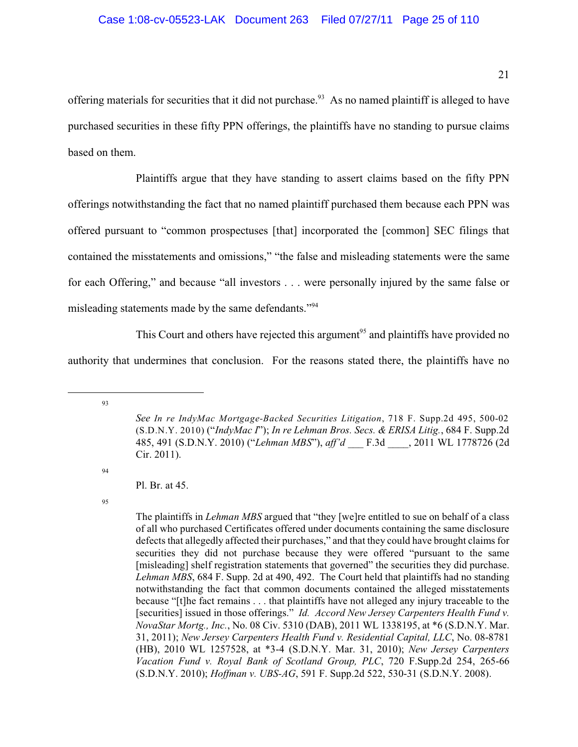offering materials for securities that it did not purchase.<sup>93</sup> As no named plaintiff is alleged to have purchased securities in these fifty PPN offerings, the plaintiffs have no standing to pursue claims based on them.

Plaintiffs argue that they have standing to assert claims based on the fifty PPN offerings notwithstanding the fact that no named plaintiff purchased them because each PPN was offered pursuant to "common prospectuses [that] incorporated the [common] SEC filings that contained the misstatements and omissions," "the false and misleading statements were the same for each Offering," and because "all investors . . . were personally injured by the same false or misleading statements made by the same defendants."<sup>94</sup>

This Court and others have rejected this argument<sup>95</sup> and plaintiffs have provided no

authority that undermines that conclusion. For the reasons stated there, the plaintiffs have no

93

94

*See In re IndyMac Mortgage-Backed Securities Litigation*, 718 F. Supp.2d 495, 500-02 (S.D.N.Y. 2010) ("*IndyMac I*"); *In re Lehman Bros. Secs. & ERISA Litig.*, 684 F. Supp.2d 485, 491 (S.D.N.Y. 2010) ("*Lehman MBS*"), *aff'd* \_\_\_ F.3d \_\_\_\_, 2011 WL 1778726 (2d Cir. 2011).

Pl. Br. at 45.

The plaintiffs in *Lehman MBS* argued that "they [we]re entitled to sue on behalf of a class of all who purchased Certificates offered under documents containing the same disclosure defects that allegedly affected their purchases," and that they could have brought claims for securities they did not purchase because they were offered "pursuant to the same [misleading] shelf registration statements that governed" the securities they did purchase. *Lehman MBS*, 684 F. Supp. 2d at 490, 492. The Court held that plaintiffs had no standing notwithstanding the fact that common documents contained the alleged misstatements because "[t]he fact remains . . . that plaintiffs have not alleged any injury traceable to the [securities] issued in those offerings." *Id. Accord New Jersey Carpenters Health Fund v. NovaStar Mortg., Inc.*, No. 08 Civ. 5310 (DAB), 2011 WL 1338195, at \*6 (S.D.N.Y. Mar. 31, 2011); *New Jersey Carpenters Health Fund v. Residential Capital, LLC*, No. 08-8781 (HB), 2010 WL 1257528, at \*3-4 (S.D.N.Y. Mar. 31, 2010); *New Jersey Carpenters Vacation Fund v. Royal Bank of Scotland Group, PLC*, 720 F.Supp.2d 254, 265-66 (S.D.N.Y. 2010); *Hoffman v. UBS-AG*, 591 F. Supp.2d 522, 530-31 (S.D.N.Y. 2008).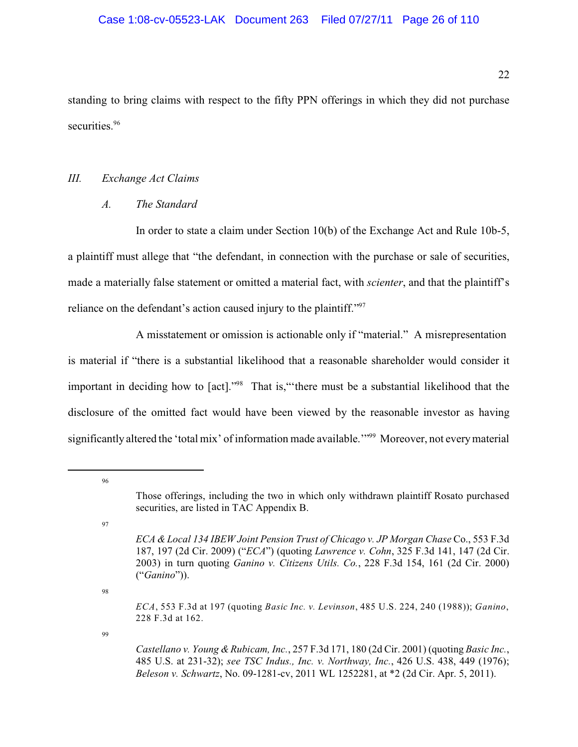standing to bring claims with respect to the fifty PPN offerings in which they did not purchase securities.<sup>96</sup>

## <span id="page-25-0"></span>*III. Exchange Act Claims*

## <span id="page-25-1"></span>*A. The Standard*

In order to state a claim under Section 10(b) of the Exchange Act and Rule 10b-5, a plaintiff must allege that "the defendant, in connection with the purchase or sale of securities, made a materially false statement or omitted a material fact, with *scienter*, and that the plaintiff's reliance on the defendant's action caused injury to the plaintiff."<sup>97</sup>

A misstatement or omission is actionable only if "material." A misrepresentation is material if "there is a substantial likelihood that a reasonable shareholder would consider it important in deciding how to [act]."<sup>98</sup> That is," there must be a substantial likelihood that the disclosure of the omitted fact would have been viewed by the reasonable investor as having significantly altered the 'total mix' of information made available."<sup>999</sup> Moreover, not every material

96

97

98

99

Those offerings, including the two in which only withdrawn plaintiff Rosato purchased securities, are listed in TAC Appendix B.

*ECA & Local 134 IBEW Joint Pension Trust of Chicago v. JP Morgan Chase* Co., 553 F.3d 187, 197 (2d Cir. 2009) ("*ECA*") (quoting *Lawrence v. Cohn*, 325 F.3d 141, 147 (2d Cir. 2003) in turn quoting *Ganino v. Citizens Utils. Co.*, 228 F.3d 154, 161 (2d Cir. 2000) ("*Ganino*")).

<span id="page-25-2"></span>*ECA*, 553 F.3d at 197 (quoting *Basic Inc. v. Levinson*, 485 U.S. 224, 240 (1988)); *Ganino*, 228 F.3d at 162.

<span id="page-25-3"></span>*Castellano v. Young & Rubicam, Inc.*, 257 F.3d 171, 180 (2d Cir. 2001) (quoting *Basic Inc.*, 485 U.S. at 231-32); *see TSC Indus., Inc. v. Northway, Inc.*, 426 U.S. 438, 449 (1976); *Beleson v. Schwartz*, No. 09-1281-cv, 2011 WL 1252281, at \*2 (2d Cir. Apr. 5, 2011).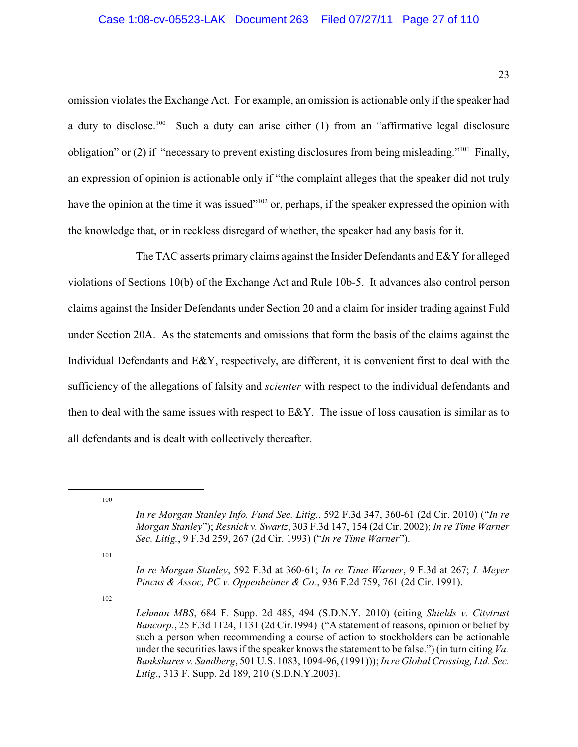omission violates the Exchange Act. For example, an omission is actionable only if the speaker had a duty to disclose.<sup>100</sup> Such a duty can arise either (1) from an "affirmative legal disclosure obligation" or (2) if "necessary to prevent existing disclosures from being misleading."<sup>101</sup> Finally, an expression of opinion is actionable only if "the complaint alleges that the speaker did not truly have the opinion at the time it was issued"<sup> $102$ </sup> or, perhaps, if the speaker expressed the opinion with the knowledge that, or in reckless disregard of whether, the speaker had any basis for it.

The TAC asserts primary claims against the Insider Defendants and E&Y for alleged violations of Sections 10(b) of the Exchange Act and Rule 10b-5. It advances also control person claims against the Insider Defendants under Section 20 and a claim for insider trading against Fuld under Section 20A. As the statements and omissions that form the basis of the claims against the Individual Defendants and E&Y, respectively, are different, it is convenient first to deal with the sufficiency of the allegations of falsity and *scienter* with respect to the individual defendants and then to deal with the same issues with respect to E&Y. The issue of loss causation is similar as to all defendants and is dealt with collectively thereafter.

100

101

*In re Morgan Stanley*, 592 F.3d at 360-61; *In re Time Warner*, 9 F.3d at 267; *I. Meyer Pincus & Assoc, PC v. Oppenheimer & Co.*, 936 F.2d 759, 761 (2d Cir. 1991).

*In re Morgan Stanley Info. Fund Sec. Litig.*, 592 F.3d 347, 360-61 (2d Cir. 2010) ("*In re Morgan Stanley*"); *Resnick v. Swartz*, 303 F.3d 147, 154 (2d Cir. 2002); *In re Time Warner Sec. Litig.*, 9 F.3d 259, 267 (2d Cir. 1993) ("*In re Time Warner*").

*Lehman MBS*, 684 F. Supp. 2d 485, 494 (S.D.N.Y. 2010) (citing *Shields v. Citytrust Bancorp.*, 25 F.3d 1124, 1131 (2d Cir.1994) ("A statement of reasons, opinion or belief by such a person when recommending a course of action to stockholders can be actionable under the securities laws if the speaker knows the statement to be false.") (in turn citing *Va. Bankshares v. Sandberg*, 501 U.S. 1083, 1094-96, (1991))); *In re Global Crossing, Ltd. Sec. Litig.*, 313 F. Supp. 2d 189, 210 (S.D.N.Y.2003).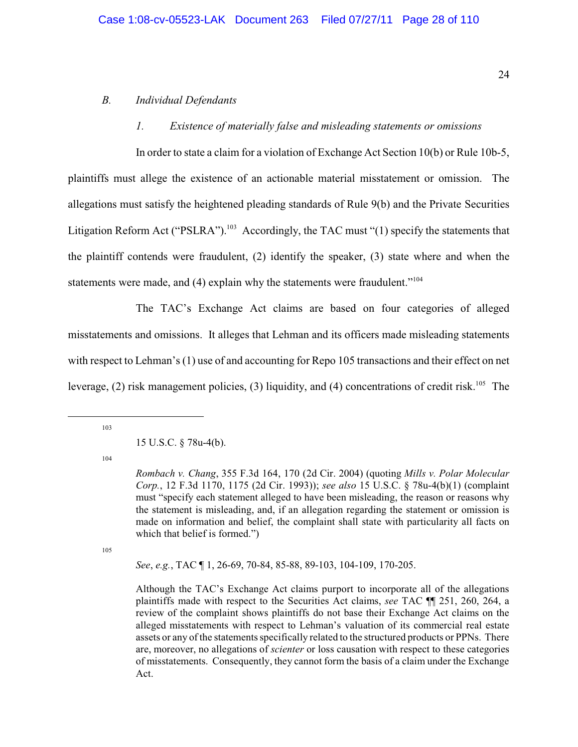#### <span id="page-27-0"></span>*B. Individual Defendants*

#### <span id="page-27-1"></span>*1. Existence of materially false and misleading statements or omissions*

In order to state a claim for a violation of Exchange Act Section 10(b) or Rule 10b-5, plaintiffs must allege the existence of an actionable material misstatement or omission. The allegations must satisfy the heightened pleading standards of Rule 9(b) and the Private Securities Litigation Reform Act ("PSLRA").<sup>103</sup> Accordingly, the TAC must "(1) specify the statements that the plaintiff contends were fraudulent, (2) identify the speaker, (3) state where and when the statements were made, and (4) explain why the statements were fraudulent."<sup>104</sup>

The TAC's Exchange Act claims are based on four categories of alleged misstatements and omissions. It alleges that Lehman and its officers made misleading statements with respect to Lehman's (1) use of and accounting for Repo 105 transactions and their effect on net leverage, (2) risk management policies, (3) liquidity, and (4) concentrations of credit risk.<sup>105</sup> The

103

#### 15 U.S.C. § 78u-4(b).

104

105

*See*, *e.g.*, TAC ¶ 1, 26-69, 70-84, 85-88, 89-103, 104-109, 170-205.

Although the TAC's Exchange Act claims purport to incorporate all of the allegations plaintiffs made with respect to the Securities Act claims, *see* TAC ¶¶ 251, 260, 264, a review of the complaint shows plaintiffs do not base their Exchange Act claims on the alleged misstatements with respect to Lehman's valuation of its commercial real estate assets or any of the statements specifically related to the structured products or PPNs. There are, moreover, no allegations of *scienter* or loss causation with respect to these categories of misstatements. Consequently, they cannot form the basis of a claim under the Exchange Act.

*Rombach v. Chang*, 355 F.3d 164, 170 (2d Cir. 2004) (quoting *Mills v. Polar Molecular Corp.*, 12 F.3d 1170, 1175 (2d Cir. 1993)); *see also* 15 U.S.C. § 78u-4(b)(1) (complaint must "specify each statement alleged to have been misleading, the reason or reasons why the statement is misleading, and, if an allegation regarding the statement or omission is made on information and belief, the complaint shall state with particularity all facts on which that belief is formed.")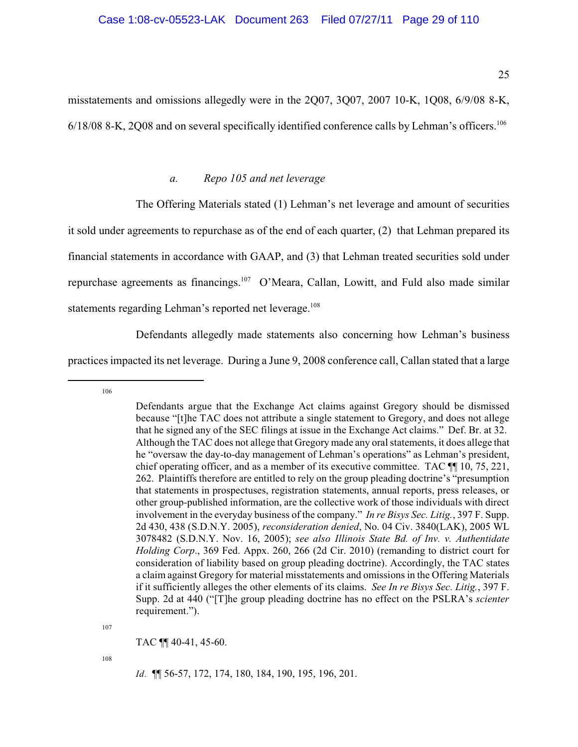misstatements and omissions allegedly were in the 2Q07, 3Q07, 2007 10-K, 1Q08, 6/9/08 8-K, 6/18/08 8-K, 2Q08 and on several specifically identified conference calls by Lehman's officers.<sup>106</sup>

### <span id="page-28-0"></span>*a. Repo 105 and net leverage*

The Offering Materials stated (1) Lehman's net leverage and amount of securities

it sold under agreements to repurchase as of the end of each quarter, (2) that Lehman prepared its

financial statements in accordance with GAAP, and (3) that Lehman treated securities sold under

repurchase agreements as financings.  $107$  O'Meara, Callan, Lowitt, and Fuld also made similar

statements regarding Lehman's reported net leverage.<sup>108</sup>

Defendants allegedly made statements also concerning how Lehman's business

practices impacted its net leverage. During a June 9, 2008 conference call, Callan stated that a large

106

107

TAC ¶¶ 40-41, 45-60.

108

*Id.* ¶¶ 56-57, 172, 174, 180, 184, 190, 195, 196, 201.

Defendants argue that the Exchange Act claims against Gregory should be dismissed because "[t]he TAC does not attribute a single statement to Gregory, and does not allege that he signed any of the SEC filings at issue in the Exchange Act claims." Def. Br. at 32. Although the TAC does not allege that Gregory made any oral statements, it does allege that he "oversaw the day-to-day management of Lehman's operations" as Lehman's president, chief operating officer, and as a member of its executive committee. TAC ¶¶ 10, 75, 221, 262. Plaintiffs therefore are entitled to rely on the group pleading doctrine's "presumption that statements in prospectuses, registration statements, annual reports, press releases, or other group-published information, are the collective work of those individuals with direct involvement in the everyday business of the company." *In re Bisys Sec. Litig.*, 397 F. Supp. 2d 430, 438 (S.D.N.Y. 2005), *reconsideration denied*, No. 04 Civ. 3840(LAK), 2005 WL 3078482 (S.D.N.Y. Nov. 16, 2005); *see also Illinois State Bd. of Inv. v. Authentidate Holding Corp*., 369 Fed. Appx. 260, 266 (2d Cir. 2010) (remanding to district court for consideration of liability based on group pleading doctrine). Accordingly, the TAC states a claim against Gregory for material misstatements and omissions in the Offering Materials if it sufficiently alleges the other elements of its claims. *See In re Bisys Sec. Litig.*, 397 F. Supp. 2d at 440 ("[T]he group pleading doctrine has no effect on the PSLRA's *scienter* requirement.").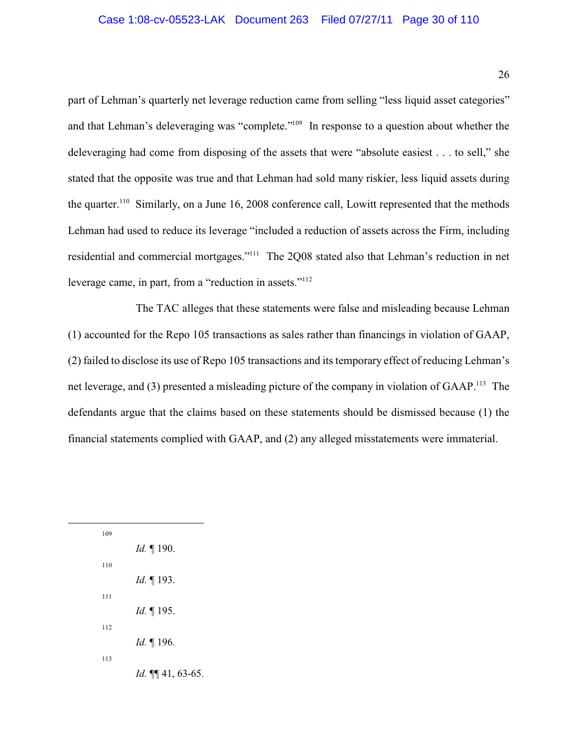part of Lehman's quarterly net leverage reduction came from selling "less liquid asset categories" and that Lehman's deleveraging was "complete."<sup>109</sup> In response to a question about whether the deleveraging had come from disposing of the assets that were "absolute easiest . . . to sell," she stated that the opposite was true and that Lehman had sold many riskier, less liquid assets during the quarter.<sup>110</sup> Similarly, on a June 16, 2008 conference call, Lowitt represented that the methods Lehman had used to reduce its leverage "included a reduction of assets across the Firm, including residential and commercial mortgages."<sup>111</sup> The 2Q08 stated also that Lehman's reduction in net leverage came, in part, from a "reduction in assets."<sup>112</sup>

The TAC alleges that these statements were false and misleading because Lehman (1) accounted for the Repo 105 transactions as sales rather than financings in violation of GAAP, (2) failed to disclose its use of Repo 105 transactions and its temporary effect of reducing Lehman's net leverage, and (3) presented a misleading picture of the company in violation of GAAP.<sup>113</sup> The defendants argue that the claims based on these statements should be dismissed because (1) the financial statements complied with GAAP, and (2) any alleged misstatements were immaterial.

| 109 |                       |
|-----|-----------------------|
|     | <i>Id.</i> 190.       |
| 110 |                       |
|     | <i>Id.</i> 193.       |
| 111 |                       |
|     | <i>Id.</i> 195.       |
| 112 |                       |
|     | <i>Id.</i> 196.       |
| 113 |                       |
|     | Id. $\P\P$ 41, 63-65. |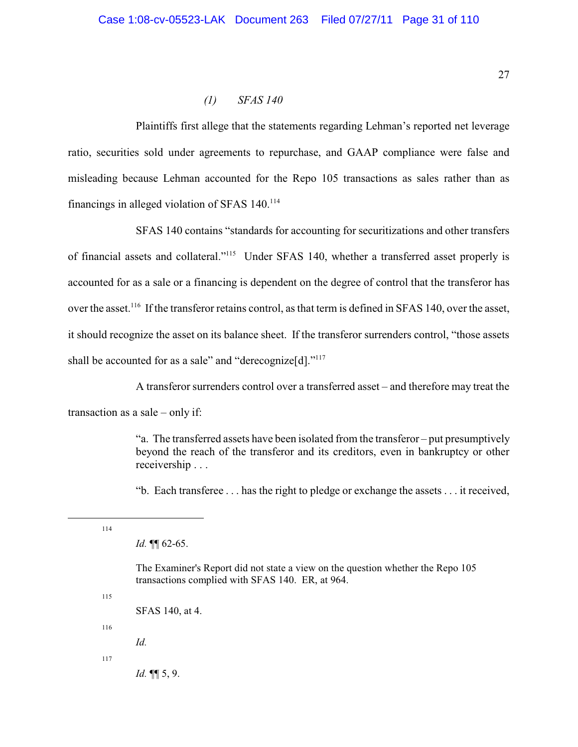## <span id="page-30-0"></span>*(1) SFAS 140*

Plaintiffs first allege that the statements regarding Lehman's reported net leverage ratio, securities sold under agreements to repurchase, and GAAP compliance were false and misleading because Lehman accounted for the Repo 105 transactions as sales rather than as financings in alleged violation of SFAS  $140^{114}$ 

SFAS 140 contains "standards for accounting for securitizations and other transfers of financial assets and collateral."<sup>115</sup> Under SFAS 140, whether a transferred asset properly is accounted for as a sale or a financing is dependent on the degree of control that the transferor has over the asset.<sup>116</sup> If the transferor retains control, as that term is defined in SFAS 140, over the asset, it should recognize the asset on its balance sheet. If the transferor surrenders control, "those assets shall be accounted for as a sale" and "derecognize[d]."<sup>117</sup>

A transferor surrenders control over a transferred asset – and therefore may treat the

transaction as a sale – only if:

"a. The transferred assets have been isolated from the transferor – put presumptively beyond the reach of the transferor and its creditors, even in bankruptcy or other receivership . . .

"b. Each transferee . . . has the right to pledge or exchange the assets . . . it received,

114

*Id.* ¶¶ 62-65.

The Examiner's Report did not state a view on the question whether the Repo 105 transactions complied with SFAS 140. ER, at 964.

115

SFAS 140, at 4.

116

*Id.*

117

*Id.* ¶¶ 5, 9.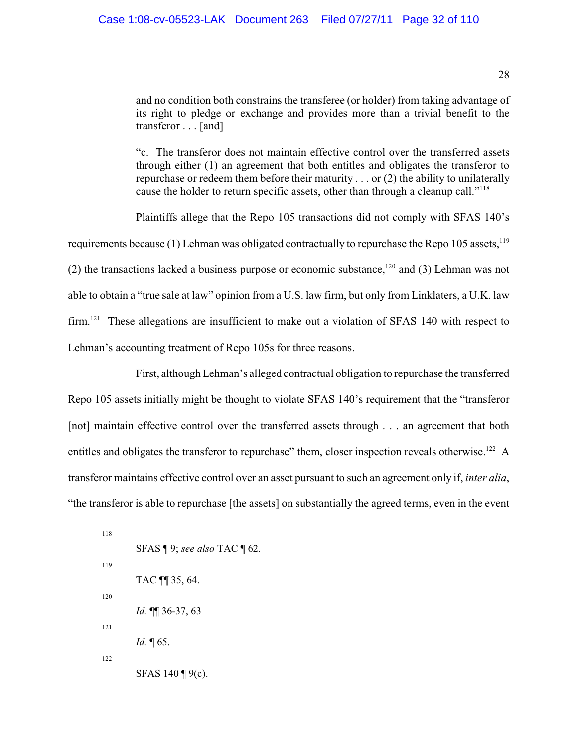and no condition both constrains the transferee (or holder) from taking advantage of its right to pledge or exchange and provides more than a trivial benefit to the transferor . . . [and]

"c. The transferor does not maintain effective control over the transferred assets through either (1) an agreement that both entitles and obligates the transferor to repurchase or redeem them before their maturity . . . or (2) the ability to unilaterally cause the holder to return specific assets, other than through a cleanup call."<sup>118</sup>

Plaintiffs allege that the Repo 105 transactions did not comply with SFAS 140's requirements because (1) Lehman was obligated contractually to repurchase the Repo 105 assets.<sup>119</sup> (2) the transactions lacked a business purpose or economic substance,  $^{120}$  and (3) Lehman was not able to obtain a "true sale at law" opinion from a U.S. law firm, but only from Linklaters, a U.K. law firm.<sup>121</sup> These allegations are insufficient to make out a violation of SFAS 140 with respect to Lehman's accounting treatment of Repo 105s for three reasons.

First, although Lehman's alleged contractual obligation to repurchase the transferred Repo 105 assets initially might be thought to violate SFAS 140's requirement that the "transferor [not] maintain effective control over the transferred assets through . . . an agreement that both entitles and obligates the transferor to repurchase" them, closer inspection reveals otherwise.<sup>122</sup> A transferor maintains effective control over an asset pursuant to such an agreement only if, *inter alia*, "the transferor is able to repurchase [the assets] on substantially the agreed terms, even in the event

118 SFAS ¶ 9; *see also* TAC ¶ 62. 119 TAC ¶¶ 35, 64. 120 *Id.* ¶¶ 36-37, 63 121 *Id.* ¶ 65. 122 SFAS 140 ¶ 9(c).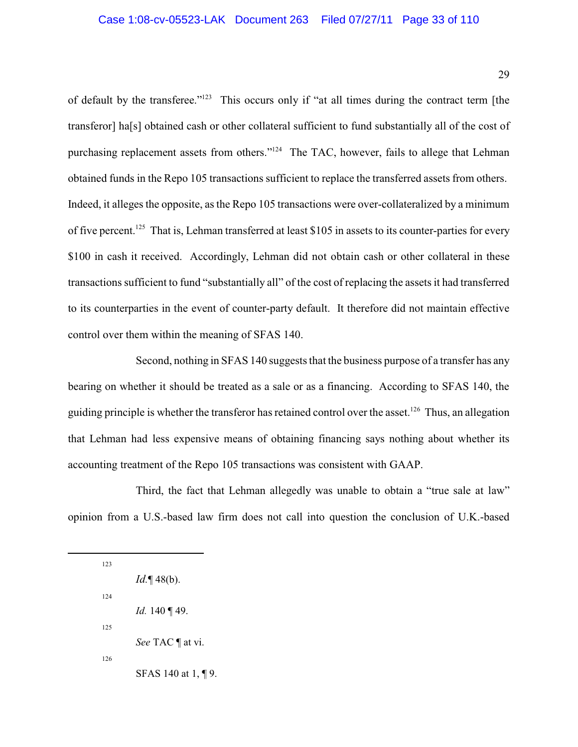of default by the transferee." $123$  This occurs only if "at all times during the contract term [the transferor] ha[s] obtained cash or other collateral sufficient to fund substantially all of the cost of purchasing replacement assets from others."<sup>124</sup> The TAC, however, fails to allege that Lehman obtained funds in the Repo 105 transactions sufficient to replace the transferred assets from others. Indeed, it alleges the opposite, as the Repo 105 transactions were over-collateralized by a minimum of five percent.<sup>125</sup> That is, Lehman transferred at least \$105 in assets to its counter-parties for every \$100 in cash it received. Accordingly, Lehman did not obtain cash or other collateral in these transactions sufficient to fund "substantially all" of the cost of replacing the assets it had transferred to its counterparties in the event of counter-party default. It therefore did not maintain effective control over them within the meaning of SFAS 140.

Second, nothing in SFAS 140 suggests that the business purpose of a transfer has any bearing on whether it should be treated as a sale or as a financing. According to SFAS 140, the guiding principle is whether the transferor has retained control over the asset.<sup>126</sup> Thus, an allegation that Lehman had less expensive means of obtaining financing says nothing about whether its accounting treatment of the Repo 105 transactions was consistent with GAAP.

Third, the fact that Lehman allegedly was unable to obtain a "true sale at law" opinion from a U.S.-based law firm does not call into question the conclusion of U.K.-based

123 *Id.*¶ 48(b). 124 *Id.* 140 ¶ 49. 125 *See* TAC ¶ at vi. 126 SFAS 140 at 1, ¶ 9.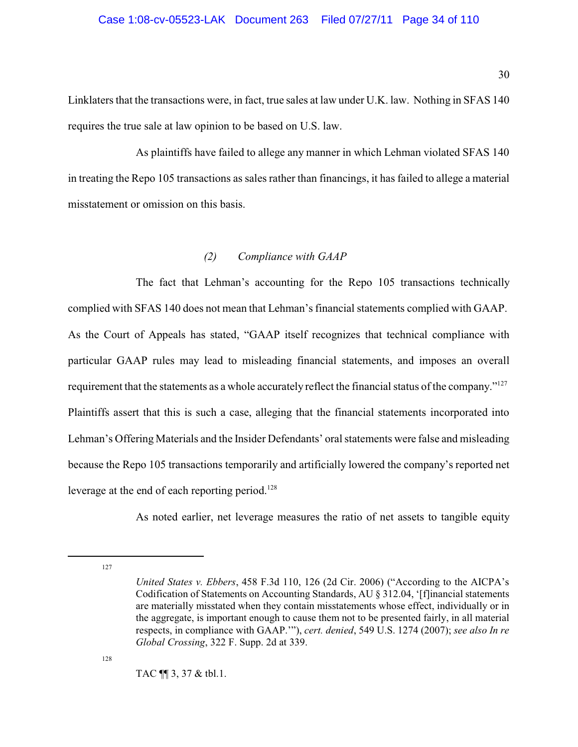Linklaters that the transactions were, in fact, true sales at law under U.K. law. Nothing in SFAS 140 requires the true sale at law opinion to be based on U.S. law.

As plaintiffs have failed to allege any manner in which Lehman violated SFAS 140 in treating the Repo 105 transactions as sales rather than financings, it has failed to allege a material misstatement or omission on this basis.

## <span id="page-33-0"></span>*(2) Compliance with GAAP*

The fact that Lehman's accounting for the Repo 105 transactions technically complied with SFAS 140 does not mean that Lehman's financial statements complied with GAAP. As the Court of Appeals has stated, "GAAP itself recognizes that technical compliance with particular GAAP rules may lead to misleading financial statements, and imposes an overall requirement that the statements as a whole accurately reflect the financial status of the company."<sup>127</sup> Plaintiffs assert that this is such a case, alleging that the financial statements incorporated into Lehman's Offering Materials and the Insider Defendants' oral statements were false and misleading because the Repo 105 transactions temporarily and artificially lowered the company's reported net leverage at the end of each reporting period.<sup>128</sup>

As noted earlier, net leverage measures the ratio of net assets to tangible equity

127

128

TAC ¶¶ 3, 37 & tbl.1.

*United States v. Ebbers*, 458 F.3d 110, 126 (2d Cir. 2006) ("According to the AICPA's Codification of Statements on Accounting Standards, AU § 312.04, '[f]inancial statements are materially misstated when they contain misstatements whose effect, individually or in the aggregate, is important enough to cause them not to be presented fairly, in all material respects, in compliance with GAAP.'"), *cert. denied*, 549 U.S. 1274 (2007); *see also In re Global Crossing*, 322 F. Supp. 2d at 339.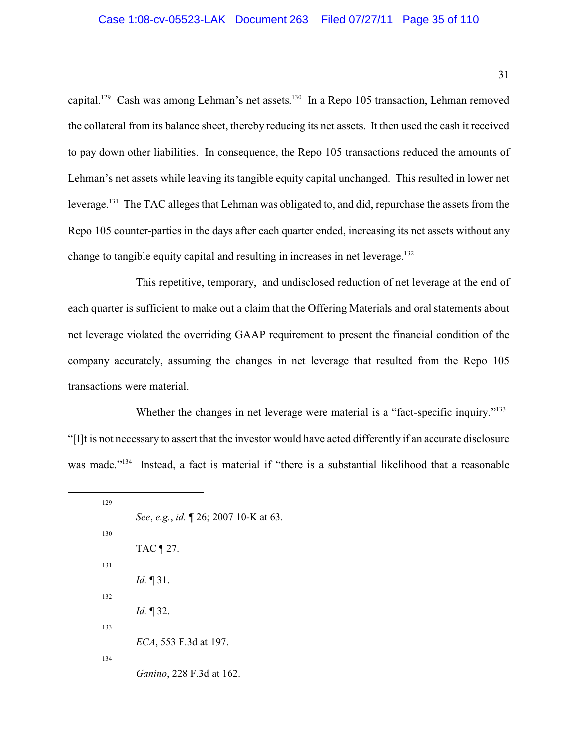capital.<sup>129</sup> Cash was among Lehman's net assets.<sup>130</sup> In a Repo 105 transaction, Lehman removed the collateral from its balance sheet, thereby reducing its net assets. It then used the cash it received to pay down other liabilities. In consequence, the Repo 105 transactions reduced the amounts of Lehman's net assets while leaving its tangible equity capital unchanged. This resulted in lower net leverage.<sup>131</sup> The TAC alleges that Lehman was obligated to, and did, repurchase the assets from the Repo 105 counter-parties in the days after each quarter ended, increasing its net assets without any change to tangible equity capital and resulting in increases in net leverage.<sup>132</sup>

This repetitive, temporary, and undisclosed reduction of net leverage at the end of each quarter is sufficient to make out a claim that the Offering Materials and oral statements about net leverage violated the overriding GAAP requirement to present the financial condition of the company accurately, assuming the changes in net leverage that resulted from the Repo 105 transactions were material.

Whether the changes in net leverage were material is a "fact-specific inquiry."<sup>133</sup> "[I]t is not necessary to assert that the investor would have acted differently if an accurate disclosure was made."<sup>134</sup> Instead, a fact is material if "there is a substantial likelihood that a reasonable

| 129 |                                      |
|-----|--------------------------------------|
|     | See, e.g., id. 126; 2007 10-K at 63. |
| 130 |                                      |
|     | TAC ¶ 27.                            |
| 131 |                                      |
|     | <i>Id.</i> $\P$ 31.                  |
| 132 |                                      |
|     | <i>Id.</i> $\P$ 32.                  |
| 133 |                                      |
|     | ECA, 553 F.3d at 197.                |
| 134 |                                      |
|     | Ganino, 228 F.3d at 162.             |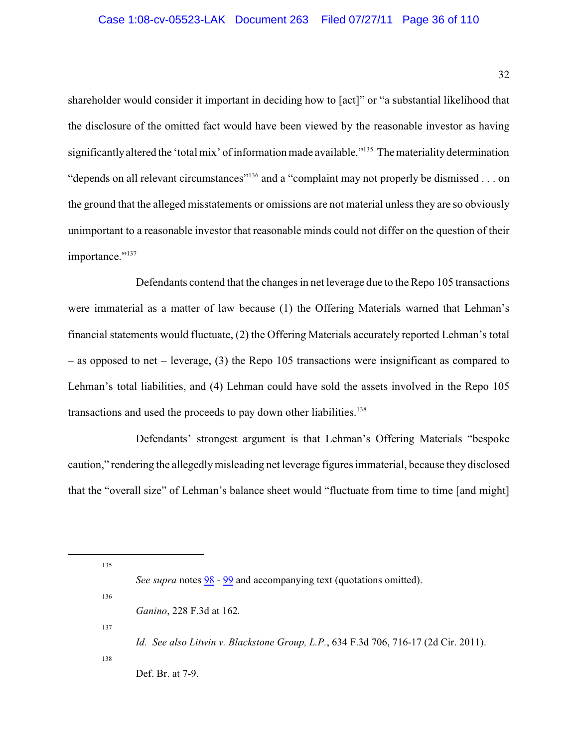shareholder would consider it important in deciding how to [act]" or "a substantial likelihood that the disclosure of the omitted fact would have been viewed by the reasonable investor as having significantly altered the 'total mix' of information made available."<sup>135</sup> The materiality determination "depends on all relevant circumstances"<sup>136</sup> and a "complaint may not properly be dismissed . . . on the ground that the alleged misstatements or omissions are not material unless they are so obviously unimportant to a reasonable investor that reasonable minds could not differ on the question of their importance."<sup>137</sup>

Defendants contend that the changes in net leverage due to the Repo 105 transactions were immaterial as a matter of law because (1) the Offering Materials warned that Lehman's financial statements would fluctuate, (2) the Offering Materials accurately reported Lehman's total – as opposed to net – leverage, (3) the Repo 105 transactions were insignificant as compared to Lehman's total liabilities, and (4) Lehman could have sold the assets involved in the Repo 105 transactions and used the proceeds to pay down other liabilities.<sup>138</sup>

Defendants' strongest argument is that Lehman's Offering Materials "bespoke caution," rendering the allegedlymisleading net leverage figures immaterial, because they disclosed that the "overall size" of Lehman's balance sheet would "fluctuate from time to time [and might]

135

136

137

138

*Id. See also Litwin v. Blackstone Group, L.P.*, 634 F.3d 706, 716-17 (2d Cir. 2011). Def. Br. at 7-9.

*See supra* notes  $\frac{98}{9}$  -  $\frac{99}{9}$  $\frac{99}{9}$  $\frac{99}{9}$  and accompanying text (quotations omitted).

*Ganino*, 228 F.3d at 162*.*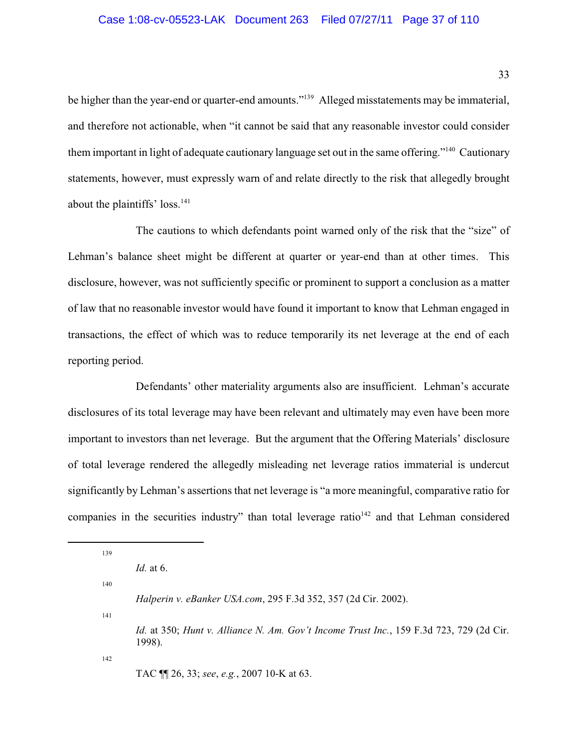be higher than the year-end or quarter-end amounts."<sup>139</sup> Alleged misstatements may be immaterial, and therefore not actionable, when "it cannot be said that any reasonable investor could consider them important in light of adequate cautionary language set out in the same offering."<sup>140</sup> Cautionary statements, however, must expressly warn of and relate directly to the risk that allegedly brought about the plaintiffs' loss. $141$ 

The cautions to which defendants point warned only of the risk that the "size" of Lehman's balance sheet might be different at quarter or year-end than at other times. This disclosure, however, was not sufficiently specific or prominent to support a conclusion as a matter of law that no reasonable investor would have found it important to know that Lehman engaged in transactions, the effect of which was to reduce temporarily its net leverage at the end of each reporting period.

Defendants' other materiality arguments also are insufficient. Lehman's accurate disclosures of its total leverage may have been relevant and ultimately may even have been more important to investors than net leverage. But the argument that the Offering Materials' disclosure of total leverage rendered the allegedly misleading net leverage ratios immaterial is undercut significantly by Lehman's assertions that net leverage is "a more meaningful, comparative ratio for companies in the securities industry" than total leverage ratio $142$  and that Lehman considered

139 *Id.* at 6. 140 *Halperin v. eBanker USA.com*, 295 F.3d 352, 357 (2d Cir. 2002). 141 *Id.* at 350; *Hunt v. Alliance N. Am. Gov't Income Trust Inc.*, 159 F.3d 723, 729 (2d Cir. 1998). 142 TAC ¶¶ 26, 33; *see*, *e.g.*, 2007 10-K at 63.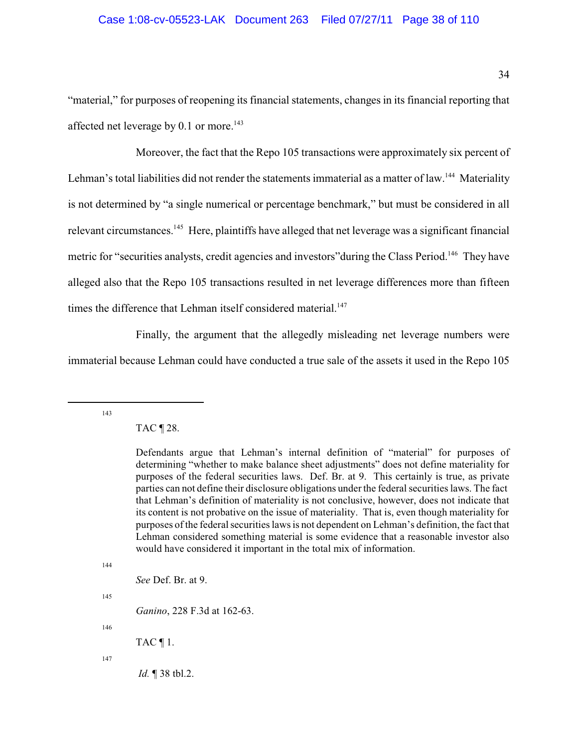#### Case 1:08-cv-05523-LAK Document 263 Filed 07/27/11 Page 38 of 110

"material," for purposes of reopening its financial statements, changes in its financial reporting that affected net leverage by  $0.1$  or more.<sup>143</sup>

Moreover, the fact that the Repo 105 transactions were approximately six percent of Lehman's total liabilities did not render the statements immaterial as a matter of law.<sup>144</sup> Materiality is not determined by "a single numerical or percentage benchmark," but must be considered in all relevant circumstances.<sup>145</sup> Here, plaintiffs have alleged that net leverage was a significant financial metric for "securities analysts, credit agencies and investors" during the Class Period.<sup>146</sup> They have alleged also that the Repo 105 transactions resulted in net leverage differences more than fifteen times the difference that Lehman itself considered material.<sup>147</sup>

Finally, the argument that the allegedly misleading net leverage numbers were immaterial because Lehman could have conducted a true sale of the assets it used in the Repo 105

143

TAC ¶ 28.

144

*See* Def. Br. at 9.

*Ganino*, 228 F.3d at 162-63.

146

145

TAC  $\P$  1.

147

*Id.* ¶ 38 tbl.2.

Defendants argue that Lehman's internal definition of "material" for purposes of determining "whether to make balance sheet adjustments" does not define materiality for purposes of the federal securities laws. Def. Br. at 9. This certainly is true, as private parties can not define their disclosure obligations under the federalsecurities laws. The fact that Lehman's definition of materiality is not conclusive, however, does not indicate that its content is not probative on the issue of materiality. That is, even though materiality for purposes of the federal securities laws is not dependent on Lehman's definition, the fact that Lehman considered something material is some evidence that a reasonable investor also would have considered it important in the total mix of information.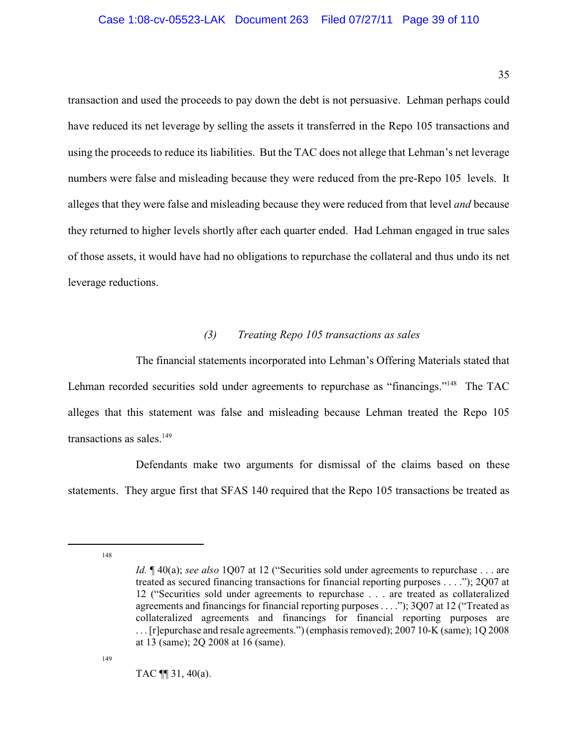transaction and used the proceeds to pay down the debt is not persuasive. Lehman perhaps could have reduced its net leverage by selling the assets it transferred in the Repo 105 transactions and using the proceeds to reduce its liabilities. But the TAC does not allege that Lehman's net leverage numbers were false and misleading because they were reduced from the pre-Repo 105 levels. It alleges that they were false and misleading because they were reduced from that level *and* because they returned to higher levels shortly after each quarter ended. Had Lehman engaged in true sales of those assets, it would have had no obligations to repurchase the collateral and thus undo its net leverage reductions.

#### *(3) Treating Repo 105 transactions as sales*

The financial statements incorporated into Lehman's Offering Materials stated that Lehman recorded securities sold under agreements to repurchase as "financings."<sup>148</sup> The TAC alleges that this statement was false and misleading because Lehman treated the Repo 105 transactions as sales. $149$ 

Defendants make two arguments for dismissal of the claims based on these statements. They argue first that SFAS 140 required that the Repo 105 transactions be treated as

148

*Id.* ¶ 40(a); *see also* 1Q07 at 12 ("Securities sold under agreements to repurchase . . . are treated as secured financing transactions for financial reporting purposes . . . ."); 2Q07 at 12 ("Securities sold under agreements to repurchase . . . are treated as collateralized agreements and financings for financial reporting purposes . . . ."); 3Q07 at 12 ("Treated as collateralized agreements and financings for financial reporting purposes are . . . [r]epurchase and resale agreements.") (emphasis removed); 2007 10-K (same); 1Q 2008 at 13 (same); 2Q 2008 at 16 (same).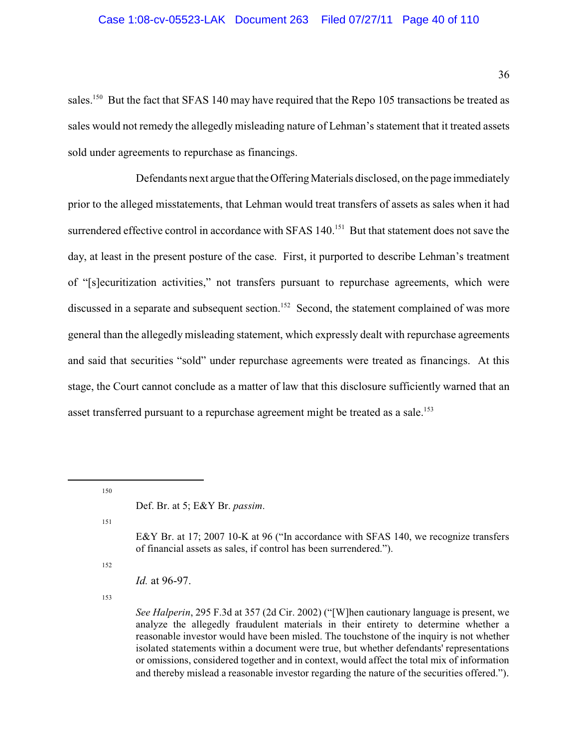sales.<sup>150</sup> But the fact that SFAS 140 may have required that the Repo 105 transactions be treated as sales would not remedy the allegedly misleading nature of Lehman's statement that it treated assets sold under agreements to repurchase as financings.

Defendants next argue that the Offering Materials disclosed, on the page immediately prior to the alleged misstatements, that Lehman would treat transfers of assets as sales when it had surrendered effective control in accordance with SFAS 140.<sup>151</sup> But that statement does not save the day, at least in the present posture of the case. First, it purported to describe Lehman's treatment of "[s]ecuritization activities," not transfers pursuant to repurchase agreements, which were discussed in a separate and subsequent section.<sup>152</sup> Second, the statement complained of was more general than the allegedly misleading statement, which expressly dealt with repurchase agreements and said that securities "sold" under repurchase agreements were treated as financings. At this stage, the Court cannot conclude as a matter of law that this disclosure sufficiently warned that an asset transferred pursuant to a repurchase agreement might be treated as a sale.<sup>153</sup>

150

151

E&Y Br. at 17; 2007 10-K at 96 ("In accordance with SFAS 140, we recognize transfers of financial assets as sales, if control has been surrendered.").

152

*Id.* at 96-97.

153

*See Halperin*, 295 F.3d at 357 (2d Cir. 2002) ("[W]hen cautionary language is present, we analyze the allegedly fraudulent materials in their entirety to determine whether a reasonable investor would have been misled. The touchstone of the inquiry is not whether isolated statements within a document were true, but whether defendants' representations or omissions, considered together and in context, would affect the total mix of information and thereby mislead a reasonable investor regarding the nature of the securities offered.").

Def. Br. at 5; E&Y Br. *passim*.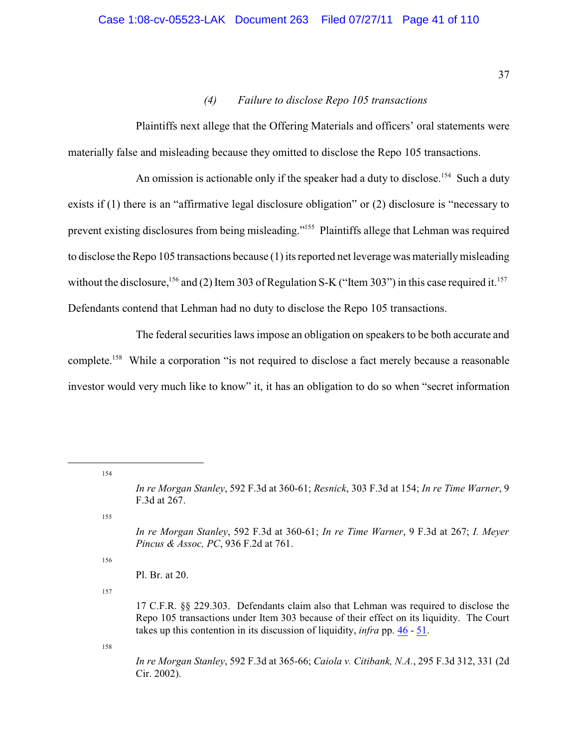## *(4) Failure to disclose Repo 105 transactions*

Plaintiffs next allege that the Offering Materials and officers' oral statements were materially false and misleading because they omitted to disclose the Repo 105 transactions.

An omission is actionable only if the speaker had a duty to disclose.<sup>154</sup> Such a duty exists if (1) there is an "affirmative legal disclosure obligation" or (2) disclosure is "necessary to prevent existing disclosures from being misleading."<sup>155</sup> Plaintiffs allege that Lehman was required to disclose the Repo 105 transactions because (1) its reported net leverage was materiallymisleading without the disclosure,  $^{156}$  and (2) Item 303 of Regulation S-K ("Item 303") in this case required it.  $^{157}$ Defendants contend that Lehman had no duty to disclose the Repo 105 transactions.

The federal securities laws impose an obligation on speakers to be both accurate and complete.<sup>158</sup> While a corporation "is not required to disclose a fact merely because a reasonable investor would very much like to know" it, it has an obligation to do so when "secret information

154

155

156

157

158

*In re Morgan Stanley*, 592 F.3d at 365-66; *Caiola v. Citibank, N.A.*, 295 F.3d 312, 331 (2d Cir. 2002).

*In re Morgan Stanley*, 592 F.3d at 360-61; *Resnick*, 303 F.3d at 154; *In re Time Warner*, 9 F.3d at 267.

*In re Morgan Stanley*, 592 F.3d at 360-61; *In re Time Warner*, 9 F.3d at 267; *I. Meyer Pincus & Assoc, PC*, 936 F.2d at 761.

Pl. Br. at 20.

<sup>17</sup> C.F.R. §§ 229.303. Defendants claim also that Lehman was required to disclose the Repo 105 transactions under Item 303 because of their effect on its liquidity. The Court takes up this contention in its discussion of liquidity, *infra* pp. [46](#page-49-0) - [51](#page-54-0).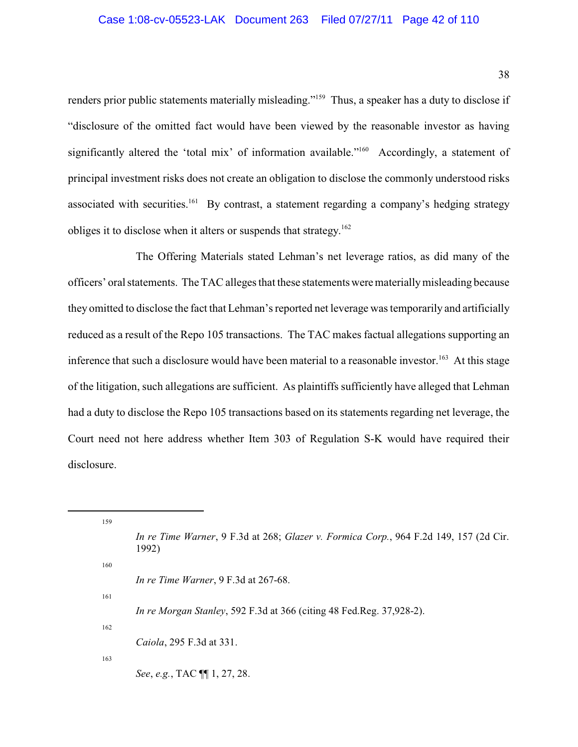renders prior public statements materially misleading."<sup>159</sup> Thus, a speaker has a duty to disclose if "disclosure of the omitted fact would have been viewed by the reasonable investor as having significantly altered the 'total mix' of information available."<sup>160</sup> Accordingly, a statement of principal investment risks does not create an obligation to disclose the commonly understood risks associated with securities.<sup>161</sup> By contrast, a statement regarding a company's hedging strategy obliges it to disclose when it alters or suspends that strategy.<sup>162</sup>

The Offering Materials stated Lehman's net leverage ratios, as did many of the officers' oral statements. The TAC alleges that these statements were materiallymisleading because they omitted to disclose the fact that Lehman's reported net leverage was temporarily and artificially reduced as a result of the Repo 105 transactions. The TAC makes factual allegations supporting an inference that such a disclosure would have been material to a reasonable investor.<sup>163</sup> At this stage of the litigation, such allegations are sufficient. As plaintiffs sufficiently have alleged that Lehman had a duty to disclose the Repo 105 transactions based on its statements regarding net leverage, the Court need not here address whether Item 303 of Regulation S-K would have required their disclosure.

| 159 |                                                                                                |
|-----|------------------------------------------------------------------------------------------------|
|     | In re Time Warner, 9 F.3d at 268; Glazer v. Formica Corp., 964 F.2d 149, 157 (2d Cir.<br>1992) |
| 160 |                                                                                                |
|     | In re Time Warner, $9$ F.3d at 267-68.                                                         |
| 161 |                                                                                                |
|     | <i>In re Morgan Stanley,</i> 592 F.3d at 366 (citing 48 Fed.Reg. 37,928-2).                    |
| 162 |                                                                                                |
|     | <i>Caiola</i> , 295 F.3d at 331.                                                               |
| 163 |                                                                                                |
|     | See, e.g., TAC $\P$ 1, 27, 28.                                                                 |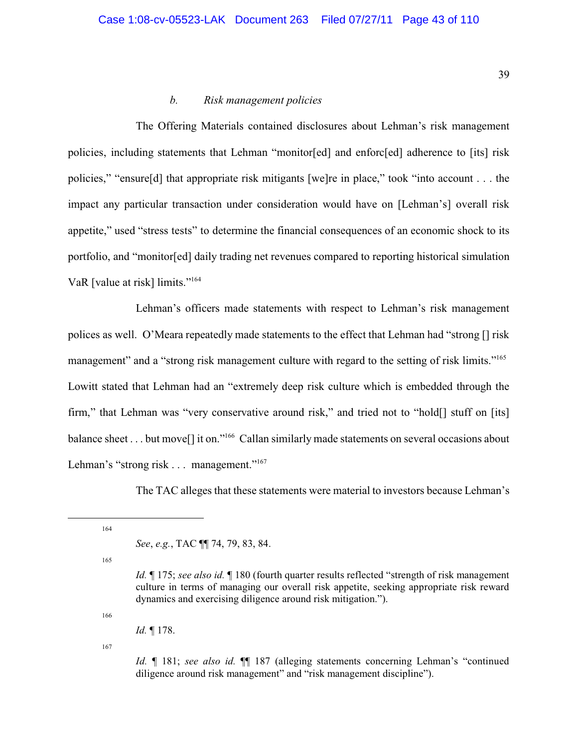#### *b. Risk management policies*

The Offering Materials contained disclosures about Lehman's risk management policies, including statements that Lehman "monitor[ed] and enforc[ed] adherence to [its] risk policies," "ensure[d] that appropriate risk mitigants [we]re in place," took "into account . . . the impact any particular transaction under consideration would have on [Lehman's] overall risk appetite," used "stress tests" to determine the financial consequences of an economic shock to its portfolio, and "monitor[ed] daily trading net revenues compared to reporting historical simulation VaR [value at risk] limits."<sup>164</sup>

Lehman's officers made statements with respect to Lehman's risk management polices as well. O'Meara repeatedly made statements to the effect that Lehman had "strong [] risk management" and a "strong risk management culture with regard to the setting of risk limits."<sup>165</sup> Lowitt stated that Lehman had an "extremely deep risk culture which is embedded through the firm," that Lehman was "very conservative around risk," and tried not to "hold[] stuff on [its] balance sheet . . . but move<sup>[]</sup> it on."<sup>166</sup> Callan similarly made statements on several occasions about Lehman's "strong risk . . . management."<sup>167</sup>

The TAC alleges that these statements were material to investors because Lehman's

164

165

166

*Id.* ¶ 178.

167

*Id.* ¶ 181; *see also id.* ¶¶ 187 (alleging statements concerning Lehman's "continued diligence around risk management" and "risk management discipline").

*See*, *e.g.*, TAC ¶¶ 74, 79, 83, 84.

*Id.* ¶ 175; *see also id.* ¶ 180 (fourth quarter results reflected "strength of risk management culture in terms of managing our overall risk appetite, seeking appropriate risk reward dynamics and exercising diligence around risk mitigation.").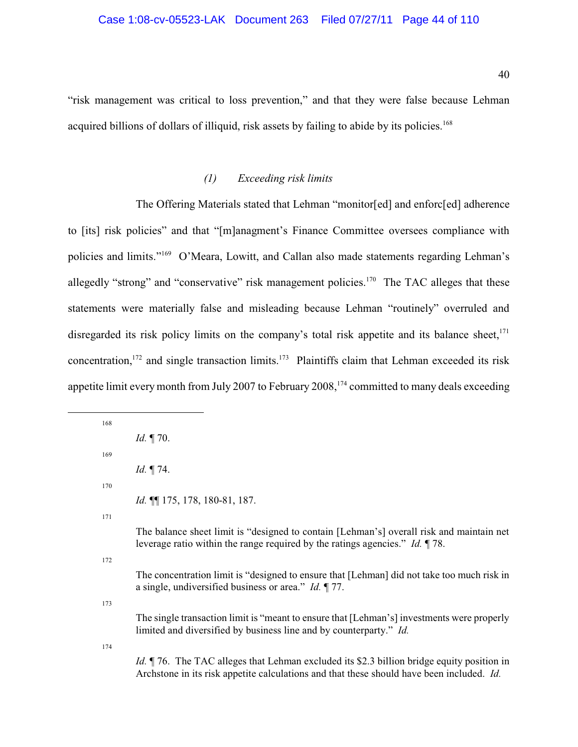"risk management was critical to loss prevention," and that they were false because Lehman acquired billions of dollars of illiquid, risk assets by failing to abide by its policies.<sup>168</sup>

## *(1) Exceeding risk limits*

The Offering Materials stated that Lehman "monitor[ed] and enforc[ed] adherence to [its] risk policies" and that "[m]anagment's Finance Committee oversees compliance with policies and limits."<sup>169</sup> O'Meara, Lowitt, and Callan also made statements regarding Lehman's allegedly "strong" and "conservative" risk management policies.<sup>170</sup> The TAC alleges that these statements were materially false and misleading because Lehman "routinely" overruled and disregarded its risk policy limits on the company's total risk appetite and its balance sheet, $171$ concentration,  $172$  and single transaction limits.  $173$  Plaintiffs claim that Lehman exceeded its risk appetite limit every month from July 2007 to February 2008,  $174$  committed to many deals exceeding

| 168 |                                                                                                                                                                                               |
|-----|-----------------------------------------------------------------------------------------------------------------------------------------------------------------------------------------------|
|     | <i>Id.</i> 170.                                                                                                                                                                               |
| 169 |                                                                                                                                                                                               |
|     | <i>Id.</i> $\P$ 74.                                                                                                                                                                           |
| 170 |                                                                                                                                                                                               |
|     | Id. $\P$ 175, 178, 180-81, 187.                                                                                                                                                               |
| 171 |                                                                                                                                                                                               |
|     | The balance sheet limit is "designed to contain [Lehman's] overall risk and maintain net<br>leverage ratio within the range required by the ratings agencies." Id. ¶78.                       |
| 172 |                                                                                                                                                                                               |
|     | The concentration limit is "designed to ensure that [Lehman] did not take too much risk in<br>a single, undiversified business or area." <i>Id.</i> $\P$ 77.                                  |
| 173 |                                                                                                                                                                                               |
|     | The single transaction limit is "meant to ensure that [Lehman's] investments were properly<br>limited and diversified by business line and by counterparty." Id.                              |
| 174 |                                                                                                                                                                                               |
|     | <i>Id.</i> 176. The TAC alleges that Lehman excluded its \$2.3 billion bridge equity position in<br>Architone in its risk appetite calculations and that these should have been included. Id. |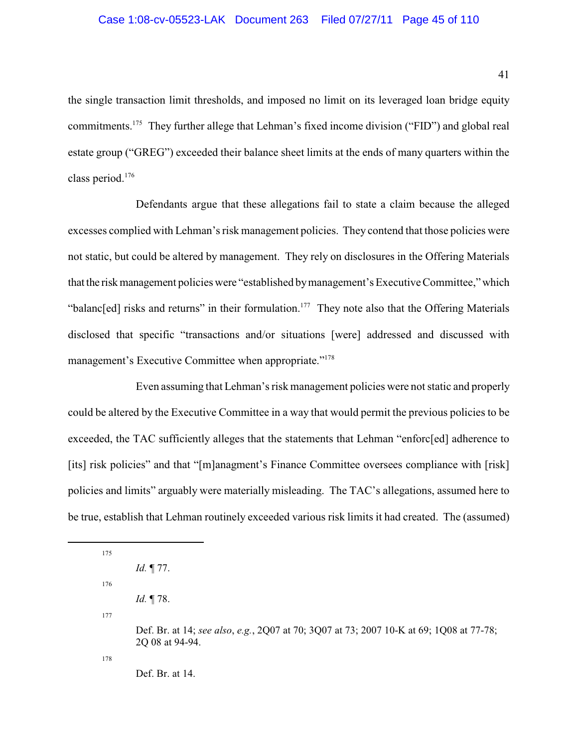the single transaction limit thresholds, and imposed no limit on its leveraged loan bridge equity commitments.<sup>175</sup> They further allege that Lehman's fixed income division ("FID") and global real estate group ("GREG") exceeded their balance sheet limits at the ends of many quarters within the class period.<sup>176</sup>

Defendants argue that these allegations fail to state a claim because the alleged excesses complied with Lehman's risk management policies. They contend that those policies were not static, but could be altered by management. They rely on disclosures in the Offering Materials that the risk management policies were "established by management's Executive Committee," which "balanc[ed] risks and returns" in their formulation.<sup>177</sup> They note also that the Offering Materials disclosed that specific "transactions and/or situations [were] addressed and discussed with management's Executive Committee when appropriate."<sup>178</sup>

Even assuming that Lehman's risk management policies were not static and properly could be altered by the Executive Committee in a way that would permit the previous policies to be exceeded, the TAC sufficiently alleges that the statements that Lehman "enforc[ed] adherence to [its] risk policies" and that "[m]anagment's Finance Committee oversees compliance with [risk] policies and limits" arguably were materially misleading. The TAC's allegations, assumed here to be true, establish that Lehman routinely exceeded various risk limits it had created. The (assumed)

175 *Id.* ¶ 77. 176

- *Id.* ¶ 78.
- 177

Def. Br. at 14; *see also*, *e.g.*, 2Q07 at 70; 3Q07 at 73; 2007 10-K at 69; 1Q08 at 77-78; 2Q 08 at 94-94.

178

Def. Br. at 14.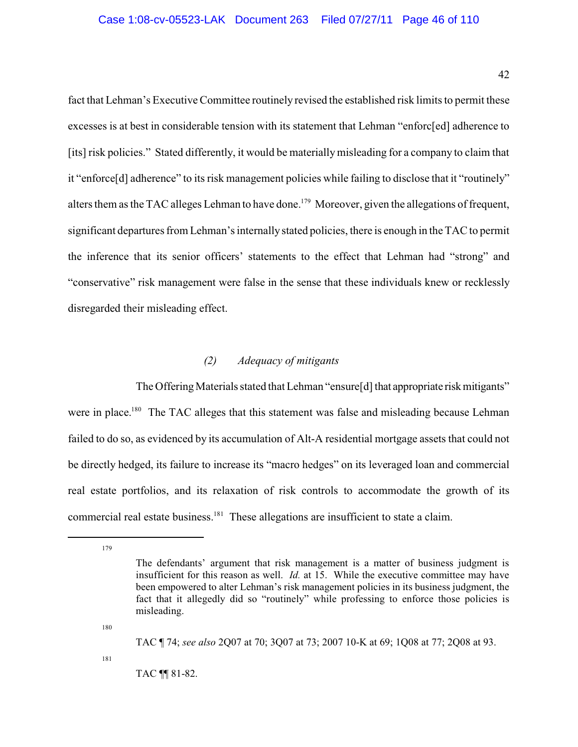fact that Lehman's Executive Committee routinely revised the established risk limits to permit these excesses is at best in considerable tension with its statement that Lehman "enforc[ed] adherence to [its] risk policies." Stated differently, it would be materially misleading for a company to claim that it "enforce[d] adherence" to its risk management policies while failing to disclose that it "routinely" alters them as the TAC alleges Lehman to have done.<sup>179</sup> Moreover, given the allegations of frequent, significant departures from Lehman's internally stated policies, there is enough in the TAC to permit the inference that its senior officers' statements to the effect that Lehman had "strong" and "conservative" risk management were false in the sense that these individuals knew or recklessly disregarded their misleading effect.

# *(2) Adequacy of mitigants*

The Offering Materials stated that Lehman "ensure[d] that appropriate risk mitigants" were in place.<sup>180</sup> The TAC alleges that this statement was false and misleading because Lehman failed to do so, as evidenced by its accumulation of Alt-A residential mortgage assets that could not be directly hedged, its failure to increase its "macro hedges" on its leveraged loan and commercial real estate portfolios, and its relaxation of risk controls to accommodate the growth of its commercial real estate business.<sup>181</sup> These allegations are insufficient to state a claim.

179

180

TAC ¶ 74; *see also* 2Q07 at 70; 3Q07 at 73; 2007 10-K at 69; 1Q08 at 77; 2Q08 at 93.

181

TAC ¶¶ 81-82.

The defendants' argument that risk management is a matter of business judgment is insufficient for this reason as well. *Id.* at 15. While the executive committee may have been empowered to alter Lehman's risk management policies in its business judgment, the fact that it allegedly did so "routinely" while professing to enforce those policies is misleading.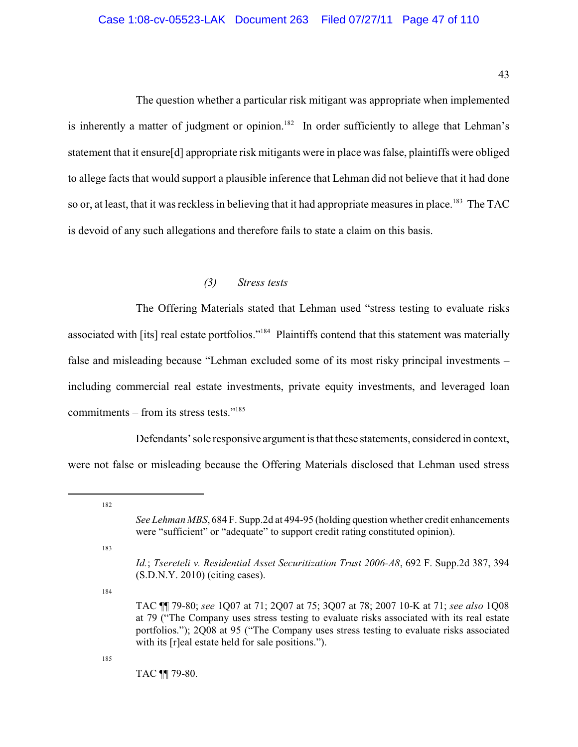The question whether a particular risk mitigant was appropriate when implemented is inherently a matter of judgment or opinion.<sup>182</sup> In order sufficiently to allege that Lehman's statement that it ensure[d] appropriate risk mitigants were in place was false, plaintiffs were obliged to allege facts that would support a plausible inference that Lehman did not believe that it had done so or, at least, that it was reckless in believing that it had appropriate measures in place.<sup>183</sup> The TAC is devoid of any such allegations and therefore fails to state a claim on this basis.

#### *(3) Stress tests*

The Offering Materials stated that Lehman used "stress testing to evaluate risks associated with [its] real estate portfolios."<sup>184</sup> Plaintiffs contend that this statement was materially false and misleading because "Lehman excluded some of its most risky principal investments – including commercial real estate investments, private equity investments, and leveraged loan commitments – from its stress tests." $185$ 

Defendants' sole responsive argument is that these statements, considered in context, were not false or misleading because the Offering Materials disclosed that Lehman used stress

183

184

185

TAC ¶¶ 79-80.

<sup>182</sup>

*See Lehman MBS*, 684 F. Supp.2d at 494-95 (holding question whether credit enhancements were "sufficient" or "adequate" to support credit rating constituted opinion).

*Id.*; *Tsereteli v. Residential Asset Securitization Trust 2006-A8*, 692 F. Supp.2d 387, 394 (S.D.N.Y. 2010) (citing cases).

TAC ¶¶ 79-80; *see* 1Q07 at 71; 2Q07 at 75; 3Q07 at 78; 2007 10-K at 71; *see also* 1Q08 at 79 ("The Company uses stress testing to evaluate risks associated with its real estate portfolios."); 2Q08 at 95 ("The Company uses stress testing to evaluate risks associated with its [r]eal estate held for sale positions.").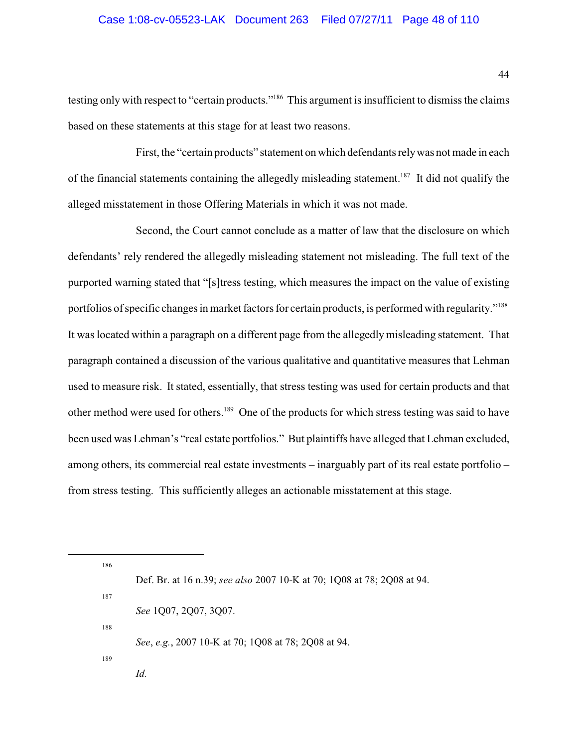#### Case 1:08-cv-05523-LAK Document 263 Filed 07/27/11 Page 48 of 110

testing only with respect to "certain products."<sup>186</sup> This argument is insufficient to dismiss the claims based on these statements at this stage for at least two reasons.

First, the "certain products" statement on which defendants relywas not made in each of the financial statements containing the allegedly misleading statement.<sup>187</sup> It did not qualify the alleged misstatement in those Offering Materials in which it was not made.

Second, the Court cannot conclude as a matter of law that the disclosure on which defendants' rely rendered the allegedly misleading statement not misleading. The full text of the purported warning stated that "[s]tress testing, which measures the impact on the value of existing portfolios of specific changes in market factors for certain products, is performed with regularity."<sup>188</sup> It was located within a paragraph on a different page from the allegedly misleading statement. That paragraph contained a discussion of the various qualitative and quantitative measures that Lehman used to measure risk. It stated, essentially, that stress testing was used for certain products and that other method were used for others.<sup>189</sup> One of the products for which stress testing was said to have been used was Lehman's "real estate portfolios." But plaintiffs have alleged that Lehman excluded, among others, its commercial real estate investments – inarguably part of its real estate portfolio – from stress testing. This sufficiently alleges an actionable misstatement at this stage.

186 Def. Br. at 16 n.39; *see also* 2007 10-K at 70; 1Q08 at 78; 2Q08 at 94. 187 *See* 1Q07, 2Q07, 3Q07. 188 *See*, *e.g.*, 2007 10-K at 70; 1Q08 at 78; 2Q08 at 94. 189

*Id.*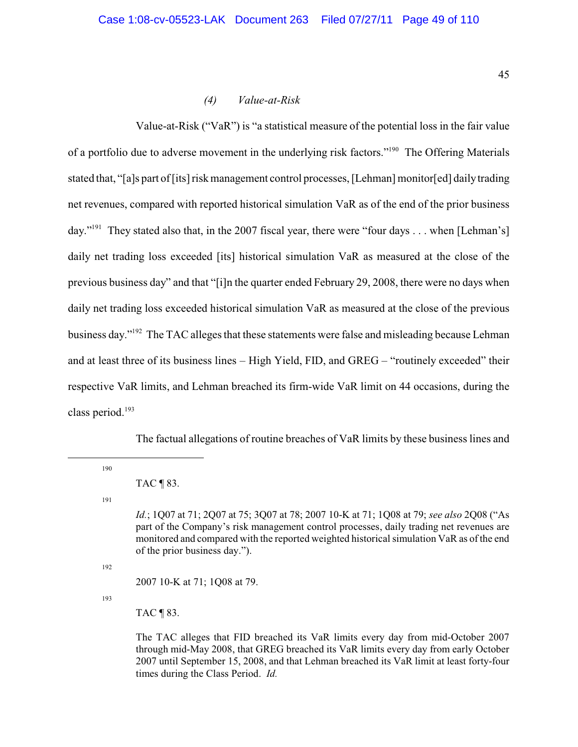*(4) Value-at-Risk*

Value-at-Risk ("VaR") is "a statistical measure of the potential loss in the fair value of a portfolio due to adverse movement in the underlying risk factors."<sup>190</sup> The Offering Materials stated that, "[a]s part of [its] risk management control processes, [Lehman] monitor[ed] daily trading net revenues, compared with reported historical simulation VaR as of the end of the prior business day."<sup>191</sup> They stated also that, in the 2007 fiscal year, there were "four days . . . when [Lehman's] daily net trading loss exceeded [its] historical simulation VaR as measured at the close of the previous business day" and that "[i]n the quarter ended February 29, 2008, there were no days when daily net trading loss exceeded historical simulation VaR as measured at the close of the previous business day."<sup>192</sup> The TAC alleges that these statements were false and misleading because Lehman and at least three of its business lines – High Yield, FID, and GREG – "routinely exceeded" their respective VaR limits, and Lehman breached its firm-wide VaR limit on 44 occasions, during the class period.<sup>193</sup>

The factual allegations of routine breaches of VaR limits by these business lines and

190

191

192

2007 10-K at 71; 1Q08 at 79.

193

TAC ¶ 83.

The TAC alleges that FID breached its VaR limits every day from mid-October 2007 through mid-May 2008, that GREG breached its VaR limits every day from early October 2007 until September 15, 2008, and that Lehman breached its VaR limit at least forty-four times during the Class Period. *Id.*

TAC ¶ 83.

*Id.*; 1Q07 at 71; 2Q07 at 75; 3Q07 at 78; 2007 10-K at 71; 1Q08 at 79; *see also* 2Q08 ("As part of the Company's risk management control processes, daily trading net revenues are monitored and compared with the reported weighted historicalsimulation VaR as of the end of the prior business day.").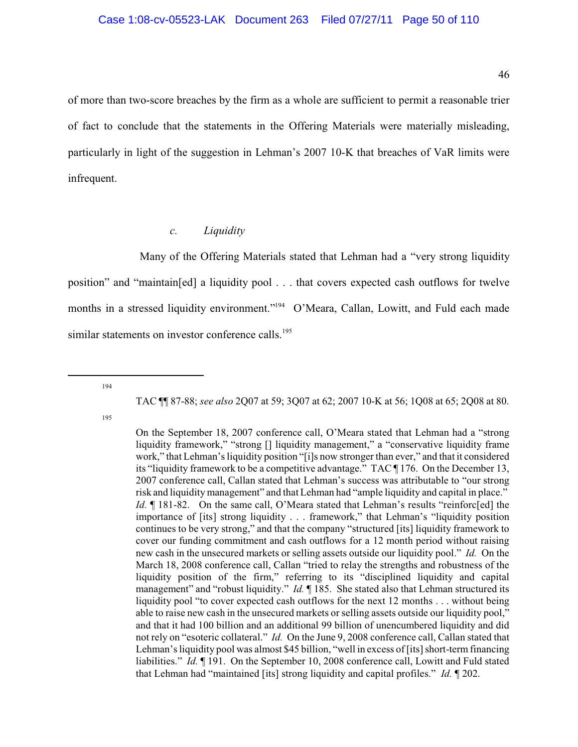of more than two-score breaches by the firm as a whole are sufficient to permit a reasonable trier of fact to conclude that the statements in the Offering Materials were materially misleading, particularly in light of the suggestion in Lehman's 2007 10-K that breaches of VaR limits were infrequent.

### <span id="page-49-0"></span>*c. Liquidity*

Many of the Offering Materials stated that Lehman had a "very strong liquidity position" and "maintain[ed] a liquidity pool . . . that covers expected cash outflows for twelve months in a stressed liquidity environment."<sup>194</sup> O'Meara, Callan, Lowitt, and Fuld each made similar statements on investor conference calls.<sup>195</sup>

194

TAC ¶¶ 87-88; *see also* 2Q07 at 59; 3Q07 at 62; 2007 10-K at 56; 1Q08 at 65; 2Q08 at 80.

On the September 18, 2007 conference call, O'Meara stated that Lehman had a "strong liquidity framework," "strong [] liquidity management," a "conservative liquidity frame work," that Lehman's liquidity position "[i]s now stronger than ever," and that it considered its "liquidity framework to be a competitive advantage." TAC ¶ 176. On the December 13, 2007 conference call, Callan stated that Lehman's success was attributable to "our strong risk and liquidity management" and that Lehman had "ample liquidity and capital in place." *Id.*  $\llbracket$  181-82. On the same call, O'Meara stated that Lehman's results "reinforc[ed] the importance of [its] strong liquidity . . . framework," that Lehman's "liquidity position continues to be very strong," and that the company "structured [its] liquidity framework to cover our funding commitment and cash outflows for a 12 month period without raising new cash in the unsecured markets or selling assets outside our liquidity pool." *Id.* On the March 18, 2008 conference call, Callan "tried to relay the strengths and robustness of the liquidity position of the firm," referring to its "disciplined liquidity and capital management" and "robust liquidity." *Id.* 185. She stated also that Lehman structured its liquidity pool "to cover expected cash outflows for the next 12 months . . . without being able to raise new cash in the unsecured markets or selling assets outside our liquidity pool," and that it had 100 billion and an additional 99 billion of unencumbered liquidity and did not rely on "esoteric collateral." *Id.* On the June 9, 2008 conference call, Callan stated that Lehman's liquidity pool was almost \$45 billion, "well in excess of [its] short-term financing liabilities." *Id.* ¶ 191. On the September 10, 2008 conference call, Lowitt and Fuld stated that Lehman had "maintained [its] strong liquidity and capital profiles." *Id.* ¶ 202.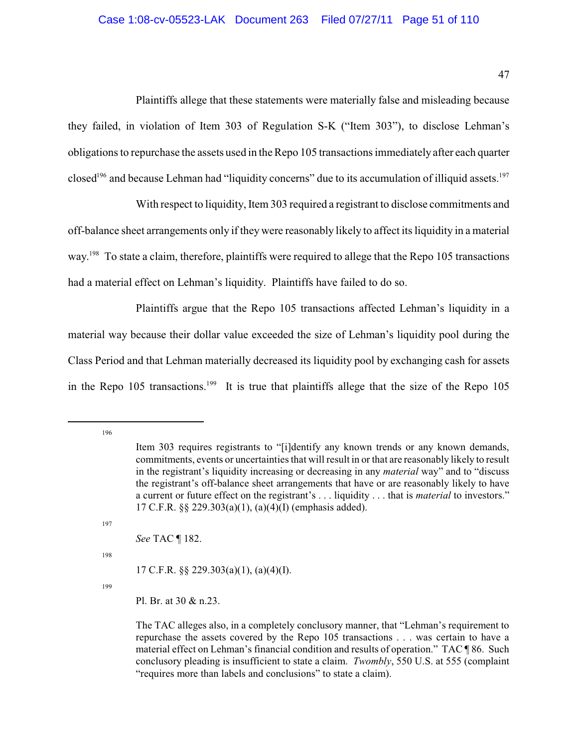Plaintiffs allege that these statements were materially false and misleading because they failed, in violation of Item 303 of Regulation S-K ("Item 303"), to disclose Lehman's obligations to repurchase the assets used in the Repo 105 transactions immediately after each quarter closed<sup>196</sup> and because Lehman had "liquidity concerns" due to its accumulation of illiquid assets.<sup>197</sup>

With respect to liquidity, Item 303 required a registrant to disclose commitments and off-balance sheet arrangements only if they were reasonably likely to affect its liquidity in a material way.<sup>198</sup> To state a claim, therefore, plaintiffs were required to allege that the Repo 105 transactions had a material effect on Lehman's liquidity. Plaintiffs have failed to do so.

Plaintiffs argue that the Repo 105 transactions affected Lehman's liquidity in a material way because their dollar value exceeded the size of Lehman's liquidity pool during the Class Period and that Lehman materially decreased its liquidity pool by exchanging cash for assets in the Repo  $105$  transactions.<sup>199</sup> It is true that plaintiffs allege that the size of the Repo  $105$ 

196

197

*See* TAC ¶ 182.

198

17 C.F.R. §§ 229.303(a)(1), (a)(4)(I).

199

Pl. Br. at 30 & n.23.

Item 303 requires registrants to "[i]dentify any known trends or any known demands, commitments, events or uncertainties that will result in or that are reasonably likely to result in the registrant's liquidity increasing or decreasing in any *material* way" and to "discuss the registrant's off-balance sheet arrangements that have or are reasonably likely to have a current or future effect on the registrant's . . . liquidity . . . that is *material* to investors." 17 C.F.R. §§ 229.303(a)(1), (a)(4)(I) (emphasis added).

The TAC alleges also, in a completely conclusory manner, that "Lehman's requirement to repurchase the assets covered by the Repo 105 transactions . . . was certain to have a material effect on Lehman's financial condition and results of operation." TAC ¶ 86. Such conclusory pleading is insufficient to state a claim. *Twombly*, 550 U.S. at 555 (complaint "requires more than labels and conclusions" to state a claim).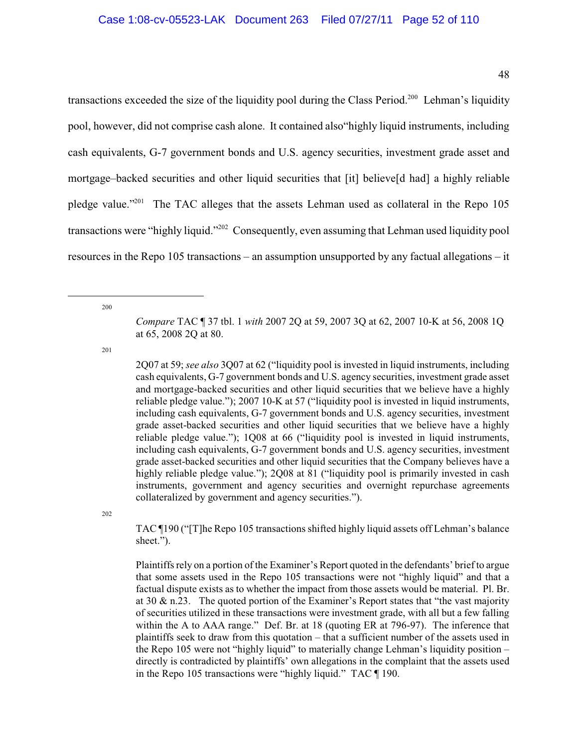transactions exceeded the size of the liquidity pool during the Class Period.<sup>200</sup> Lehman's liquidity pool, however, did not comprise cash alone. It contained also"highly liquid instruments, including cash equivalents, G-7 government bonds and U.S. agency securities, investment grade asset and mortgage–backed securities and other liquid securities that [it] believe[d had] a highly reliable pledge value." The TAC alleges that the assets Lehman used as collateral in the Repo  $105$ transactions were "highly liquid."<sup>202</sup> Consequently, even assuming that Lehman used liquidity pool resources in the Repo 105 transactions – an assumption unsupported by any factual allegations – it

200

201

2Q07 at 59; *see also* 3Q07 at 62 ("liquidity pool is invested in liquid instruments, including cash equivalents, G-7 government bonds and U.S. agency securities, investment grade asset and mortgage-backed securities and other liquid securities that we believe have a highly reliable pledge value."); 2007 10-K at 57 ("liquidity pool is invested in liquid instruments, including cash equivalents, G-7 government bonds and U.S. agency securities, investment grade asset-backed securities and other liquid securities that we believe have a highly reliable pledge value."); 1Q08 at 66 ("liquidity pool is invested in liquid instruments, including cash equivalents, G-7 government bonds and U.S. agency securities, investment grade asset-backed securities and other liquid securities that the Company believes have a highly reliable pledge value."); 2008 at 81 ("liquidity pool is primarily invested in cash instruments, government and agency securities and overnight repurchase agreements collateralized by government and agency securities.").

202

TAC ¶190 ("[T]he Repo 105 transactions shifted highly liquid assets off Lehman's balance sheet.").

Plaintiffs rely on a portion of the Examiner's Report quoted in the defendants' brief to argue that some assets used in the Repo 105 transactions were not "highly liquid" and that a factual dispute exists as to whether the impact from those assets would be material. Pl. Br. at 30 & n.23. The quoted portion of the Examiner's Report states that "the vast majority of securities utilized in these transactions were investment grade, with all but a few falling within the A to AAA range." Def. Br. at 18 (quoting ER at 796-97). The inference that plaintiffs seek to draw from this quotation – that a sufficient number of the assets used in the Repo 105 were not "highly liquid" to materially change Lehman's liquidity position – directly is contradicted by plaintiffs' own allegations in the complaint that the assets used in the Repo 105 transactions were "highly liquid." TAC ¶ 190.

*Compare* TAC ¶ 37 tbl. 1 *with* 2007 2Q at 59, 2007 3Q at 62, 2007 10-K at 56, 2008 1Q at 65, 2008 2Q at 80.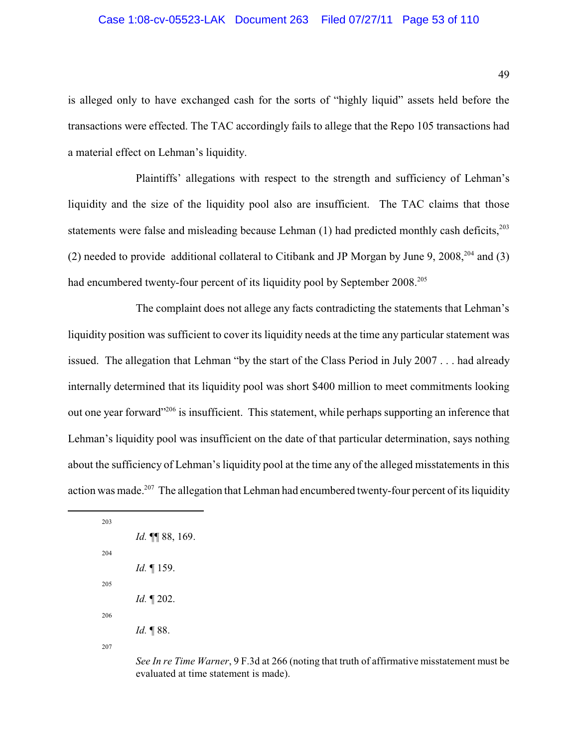#### Case 1:08-cv-05523-LAK Document 263 Filed 07/27/11 Page 53 of 110

is alleged only to have exchanged cash for the sorts of "highly liquid" assets held before the transactions were effected. The TAC accordingly fails to allege that the Repo 105 transactions had a material effect on Lehman's liquidity.

Plaintiffs' allegations with respect to the strength and sufficiency of Lehman's liquidity and the size of the liquidity pool also are insufficient. The TAC claims that those statements were false and misleading because Lehman  $(1)$  had predicted monthly cash deficits,<sup>203</sup> (2) needed to provide additional collateral to Citibank and JP Morgan by June 9, 2008,  $204$  and (3) had encumbered twenty-four percent of its liquidity pool by September 2008.<sup>205</sup>

The complaint does not allege any facts contradicting the statements that Lehman's liquidity position was sufficient to cover its liquidity needs at the time any particular statement was issued. The allegation that Lehman "by the start of the Class Period in July 2007 . . . had already internally determined that its liquidity pool was short \$400 million to meet commitments looking out one year forward<sup>" 206</sup> is insufficient. This statement, while perhaps supporting an inference that Lehman's liquidity pool was insufficient on the date of that particular determination, says nothing about the sufficiency of Lehman's liquidity pool at the time any of the alleged misstatements in this action was made.<sup>207</sup> The allegation that Lehman had encumbered twenty-four percent of its liquidity

| 203 |                      |
|-----|----------------------|
|     | Id. ¶ 88, 169.       |
| 204 |                      |
|     | <i>Id.</i> 159.      |
| 205 |                      |
|     | <i>Id.</i> $\P$ 202. |
| 206 |                      |
|     | <i>Id.</i> 188.      |
| 207 |                      |

*See In re Time Warner*, 9 F.3d at 266 (noting that truth of affirmative misstatement must be evaluated at time statement is made).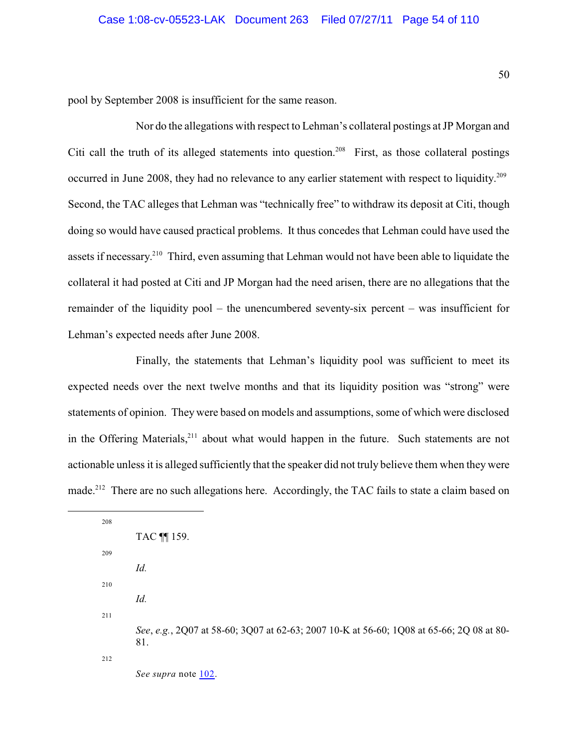pool by September 2008 is insufficient for the same reason.

Nor do the allegations with respect to Lehman's collateral postings at JP Morgan and Citi call the truth of its alleged statements into question.<sup>208</sup> First, as those collateral postings occurred in June 2008, they had no relevance to any earlier statement with respect to liquidity.<sup>209</sup> Second, the TAC alleges that Lehman was "technically free" to withdraw its deposit at Citi, though doing so would have caused practical problems. It thus concedes that Lehman could have used the assets if necessary.<sup>210</sup> Third, even assuming that Lehman would not have been able to liquidate the collateral it had posted at Citi and JP Morgan had the need arisen, there are no allegations that the remainder of the liquidity pool – the unencumbered seventy-six percent – was insufficient for Lehman's expected needs after June 2008.

Finally, the statements that Lehman's liquidity pool was sufficient to meet its expected needs over the next twelve months and that its liquidity position was "strong" were statements of opinion. They were based on models and assumptions, some of which were disclosed in the Offering Materials,  $211$  about what would happen in the future. Such statements are not actionable unless it is alleged sufficiently that the speaker did not truly believe them when they were made.<sup>212</sup> There are no such allegations here. Accordingly, the TAC fails to state a claim based on

| 208 |                                                                                                 |
|-----|-------------------------------------------------------------------------------------------------|
|     | TAC $\P$ 159.                                                                                   |
| 209 |                                                                                                 |
|     | Id.                                                                                             |
| 210 |                                                                                                 |
|     | Id.                                                                                             |
| 211 |                                                                                                 |
|     | See, e.g., 2Q07 at 58-60; 3Q07 at 62-63; 2007 10-K at 56-60; 1Q08 at 65-66; 2Q 08 at 80-<br>81. |
| 212 |                                                                                                 |
|     | See supra note 102.                                                                             |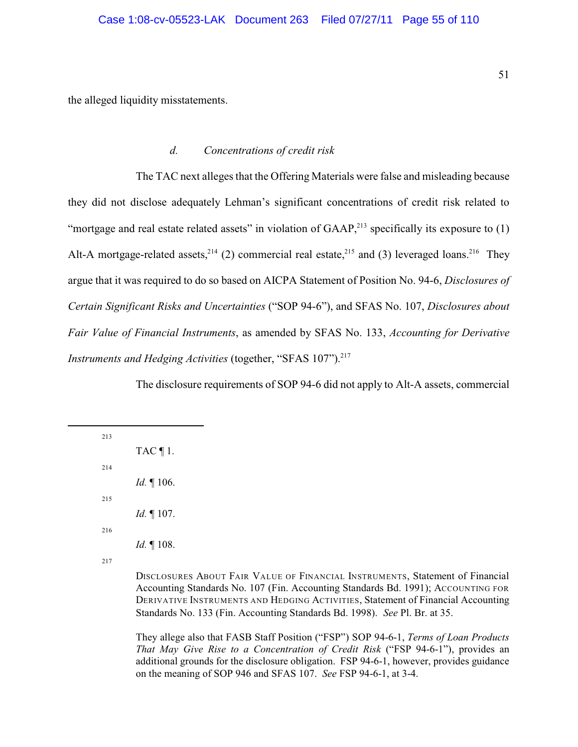the alleged liquidity misstatements.

### <span id="page-54-0"></span>*d. Concentrations of credit risk*

The TAC next alleges that the Offering Materials were false and misleading because they did not disclose adequately Lehman's significant concentrations of credit risk related to "mortgage and real estate related assets" in violation of  $GAAP<sub>1</sub><sup>213</sup>$  specifically its exposure to (1) Alt-A mortgage-related assets,  $2^{14}$  (2) commercial real estate,  $2^{15}$  and (3) leveraged loans. They argue that it was required to do so based on AICPA Statement of Position No. 94-6, *Disclosures of Certain Significant Risks and Uncertainties* ("SOP 94-6"), and SFAS No. 107, *Disclosures about Fair Value of Financial Instruments*, as amended by SFAS No. 133, *Accounting for Derivative Instruments and Hedging Activities* (together, "SFAS 107"). 217

The disclosure requirements of SOP 94-6 did not apply to Alt-A assets, commercial

| 213 |                                                                                     |
|-----|-------------------------------------------------------------------------------------|
|     | TAC $\P$ 1.                                                                         |
| 214 |                                                                                     |
|     | <i>Id.</i> $\P$ 106.                                                                |
| 215 |                                                                                     |
|     | <i>Id.</i> $\P$ 107.                                                                |
| 216 |                                                                                     |
|     | <i>Id.</i> $\P$ 108.                                                                |
| 217 |                                                                                     |
|     | $\frac{1}{2}$ $\frac{1}{2}$ $\frac{1}{2}$ $\frac{1}{2}$ $\frac{1}{2}$ $\frac{1}{2}$ |

DISCLOSURES ABOUT FAIR VALUE OF FINANCIAL INSTRUMENTS, Statement of Financial Accounting Standards No. 107 (Fin. Accounting Standards Bd. 1991); ACCOUNTING FOR DERIVATIVE INSTRUMENTS AND HEDGING ACTIVITIES, Statement of Financial Accounting Standards No. 133 (Fin. Accounting Standards Bd. 1998). *See* Pl. Br. at 35.

They allege also that FASB Staff Position ("FSP") SOP 94-6-1, *Terms of Loan Products That May Give Rise to a Concentration of Credit Risk* ("FSP 94-6-1"), provides an additional grounds for the disclosure obligation. FSP 94-6-1, however, provides guidance on the meaning of SOP 946 and SFAS 107. *See* FSP 94-6-1, at 3-4.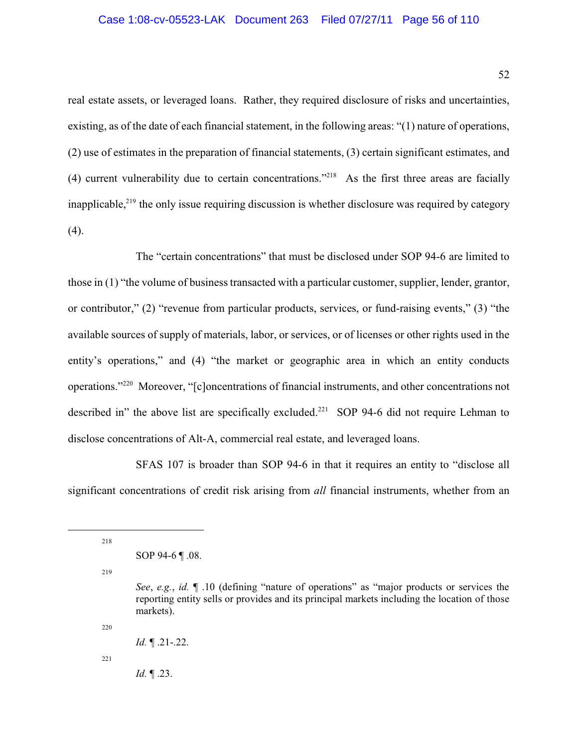#### Case 1:08-cv-05523-LAK Document 263 Filed 07/27/11 Page 56 of 110

real estate assets, or leveraged loans. Rather, they required disclosure of risks and uncertainties, existing, as of the date of each financial statement, in the following areas: "(1) nature of operations, (2) use of estimates in the preparation of financial statements, (3) certain significant estimates, and (4) current vulnerability due to certain concentrations."<sup>218</sup> As the first three areas are facially inapplicable, $2^{19}$  the only issue requiring discussion is whether disclosure was required by category (4).

The "certain concentrations" that must be disclosed under SOP 94-6 are limited to those in (1) "the volume of business transacted with a particular customer, supplier, lender, grantor, or contributor," (2) "revenue from particular products, services, or fund-raising events," (3) "the available sources of supply of materials, labor, or services, or of licenses or other rights used in the entity's operations," and (4) "the market or geographic area in which an entity conducts operations."<sup>220</sup> Moreover, "[c]oncentrations of financial instruments, and other concentrations not described in" the above list are specifically excluded.<sup>221</sup> SOP 94-6 did not require Lehman to disclose concentrations of Alt-A, commercial real estate, and leveraged loans.

SFAS 107 is broader than SOP 94-6 in that it requires an entity to "disclose all significant concentrations of credit risk arising from *all* financial instruments, whether from an

218

219

220

221

*Id.* ¶ .23.

SOP 94-6 ¶ .08.

*See*, *e.g.*, *id.* ¶ .10 (defining "nature of operations" as "major products or services the reporting entity sells or provides and its principal markets including the location of those markets).

*Id.* ¶ .21-.22.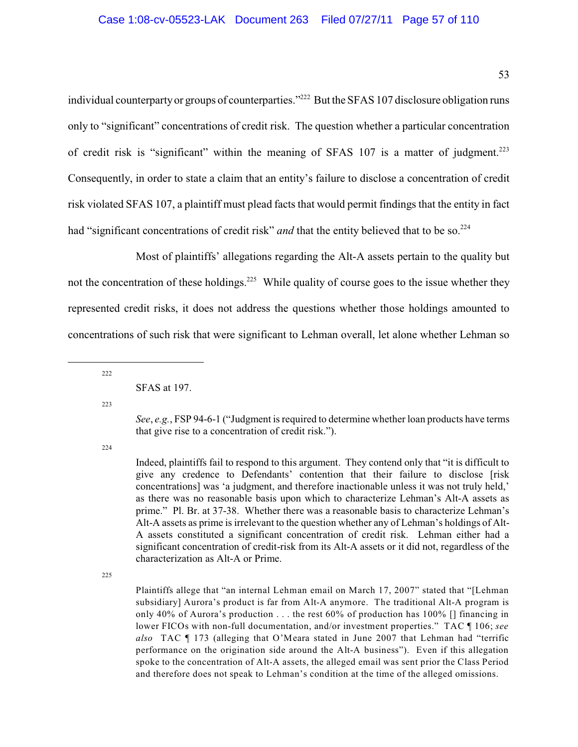individual counterparty or groups of counterparties."<sup>222</sup> But the SFAS 107 disclosure obligation runs only to "significant" concentrations of credit risk. The question whether a particular concentration of credit risk is "significant" within the meaning of SFAS 107 is a matter of judgment.<sup>223</sup> Consequently, in order to state a claim that an entity's failure to disclose a concentration of credit risk violated SFAS 107, a plaintiff must plead facts that would permit findings that the entity in fact had "significant concentrations of credit risk" *and* that the entity believed that to be so.<sup>224</sup>

Most of plaintiffs' allegations regarding the Alt-A assets pertain to the quality but not the concentration of these holdings.<sup>225</sup> While quality of course goes to the issue whether they represented credit risks, it does not address the questions whether those holdings amounted to concentrations of such risk that were significant to Lehman overall, let alone whether Lehman so

222

223

*See*, *e.g.*, FSP 94-6-1 ("Judgment is required to determine whether loan products have terms that give rise to a concentration of credit risk.").

224

Indeed, plaintiffs fail to respond to this argument. They contend only that "it is difficult to give any credence to Defendants' contention that their failure to disclose [risk concentrations] was 'a judgment, and therefore inactionable unless it was not truly held,' as there was no reasonable basis upon which to characterize Lehman's Alt-A assets as prime." Pl. Br. at 37-38. Whether there was a reasonable basis to characterize Lehman's Alt-A assets as prime is irrelevant to the question whether any of Lehman's holdings of Alt-A assets constituted a significant concentration of credit risk. Lehman either had a significant concentration of credit-risk from its Alt-A assets or it did not, regardless of the characterization as Alt-A or Prime.

225

Plaintiffs allege that "an internal Lehman email on March 17, 2007" stated that "[Lehman subsidiary] Aurora's product is far from Alt-A anymore. The traditional Alt-A program is only 40% of Aurora's production ... the rest  $60\%$  of production has 100% [] financing in lower FICOs with non-full documentation, and/or investment properties." TAC ¶ 106; *see also* TAC ¶ 173 (alleging that O'Meara stated in June 2007 that Lehman had "terrific performance on the origination side around the Alt-A business"). Even if this allegation spoke to the concentration of Alt-A assets, the alleged email was sent prior the Class Period and therefore does not speak to Lehman's condition at the time of the alleged omissions.

SFAS at 197.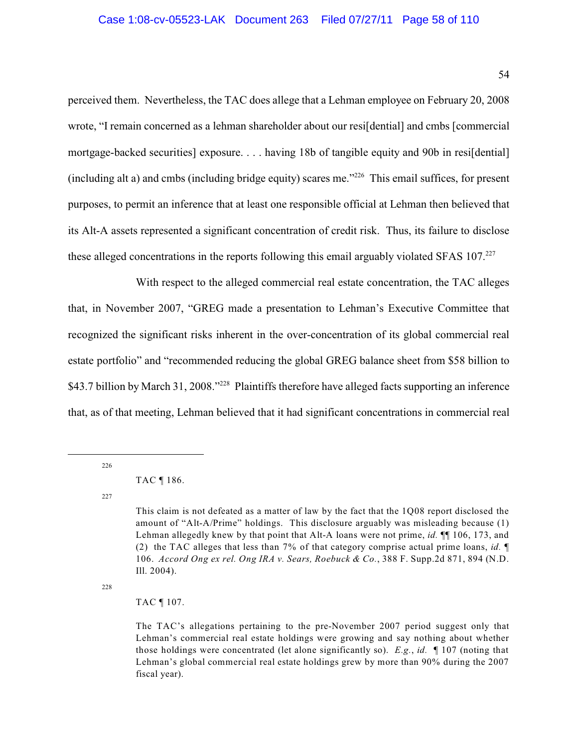perceived them. Nevertheless, the TAC does allege that a Lehman employee on February 20, 2008 wrote, "I remain concerned as a lehman shareholder about our resi[dential] and cmbs [commercial mortgage-backed securities] exposure. . . . having 18b of tangible equity and 90b in resifdential] (including alt a) and cmbs (including bridge equity) scares me." $^{226}$  This email suffices, for present purposes, to permit an inference that at least one responsible official at Lehman then believed that its Alt-A assets represented a significant concentration of credit risk. Thus, its failure to disclose these alleged concentrations in the reports following this email arguably violated SFAS 107.<sup>227</sup>

With respect to the alleged commercial real estate concentration, the TAC alleges that, in November 2007, "GREG made a presentation to Lehman's Executive Committee that recognized the significant risks inherent in the over-concentration of its global commercial real estate portfolio" and "recommended reducing the global GREG balance sheet from \$58 billion to \$43.7 billion by March 31, 2008."<sup>228</sup> Plaintiffs therefore have alleged facts supporting an inference that, as of that meeting, Lehman believed that it had significant concentrations in commercial real

226

227

228

## <span id="page-57-0"></span>TAC ¶ 107.

TAC ¶ 186.

This claim is not defeated as a matter of law by the fact that the 1Q08 report disclosed the amount of "Alt-A/Prime" holdings. This disclosure arguably was misleading because (1) Lehman allegedly knew by that point that Alt-A loans were not prime, *id.* ¶¶ 106, 173, and (2) the TAC alleges that less than 7% of that category comprise actual prime loans, *id.* ¶ 106. *Accord Ong ex rel. Ong IRA v. Sears, Roebuck & Co.*, 388 F. Supp.2d 871, 894 (N.D. Ill. 2004).

The TAC's allegations pertaining to the pre-November 2007 period suggest only that Lehman's commercial real estate holdings were growing and say nothing about whether those holdings were concentrated (let alone significantly so). *E.g.*, *id.* ¶ 107 (noting that Lehman's global commercial real estate holdings grew by more than 90% during the 2007 fiscal year).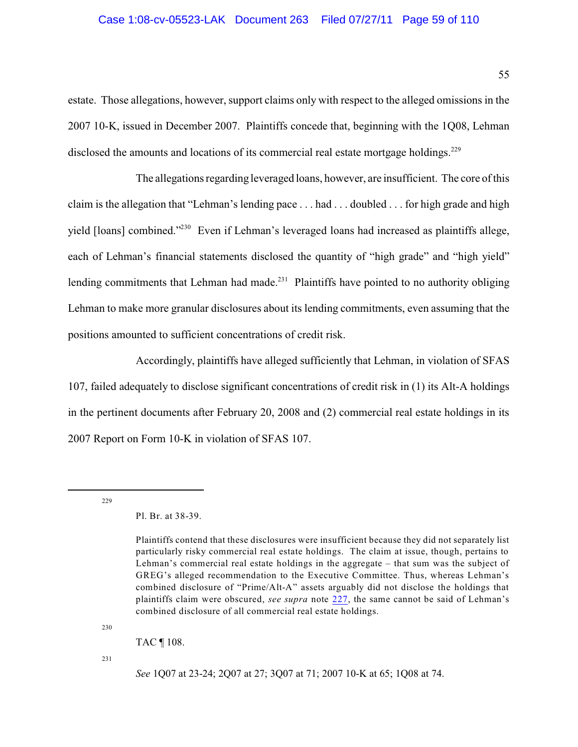#### Case 1:08-cv-05523-LAK Document 263 Filed 07/27/11 Page 59 of 110

estate. Those allegations, however, support claims only with respect to the alleged omissions in the 2007 10-K, issued in December 2007. Plaintiffs concede that, beginning with the 1Q08, Lehman disclosed the amounts and locations of its commercial real estate mortgage holdings.<sup>229</sup>

The allegations regarding leveraged loans, however, are insufficient. The core of this claim is the allegation that "Lehman's lending pace . . . had . . . doubled . . . for high grade and high yield [loans] combined."<sup>230</sup> Even if Lehman's leveraged loans had increased as plaintiffs allege, each of Lehman's financial statements disclosed the quantity of "high grade" and "high yield" lending commitments that Lehman had made.<sup>231</sup> Plaintiffs have pointed to no authority obliging Lehman to make more granular disclosures about its lending commitments, even assuming that the positions amounted to sufficient concentrations of credit risk.

Accordingly, plaintiffs have alleged sufficiently that Lehman, in violation of SFAS 107, failed adequately to disclose significant concentrations of credit risk in (1) its Alt-A holdings in the pertinent documents after February 20, 2008 and (2) commercial real estate holdings in its 2007 Report on Form 10-K in violation of SFAS 107.

229

230

TAC ¶ 108.

 $231$ 

*See* 1Q07 at 23-24; 2Q07 at 27; 3Q07 at 71; 2007 10-K at 65; 1Q08 at 74.

Pl. Br. at 38-39.

Plaintiffs contend that these disclosures were insufficient because they did not separately list particularly risky commercial real estate holdings. The claim at issue, though, pertains to Lehman's commercial real estate holdings in the aggregate – that sum was the subject of GREG's alleged recommendation to the Executive Committee. Thus, whereas Lehman's combined disclosure of "Prime/Alt-A" assets arguably did not disclose the holdings that plaintiffs claim were obscured, *see supra* note [227](#page-57-0), the same cannot be said of Lehman's combined disclosure of all commercial real estate holdings.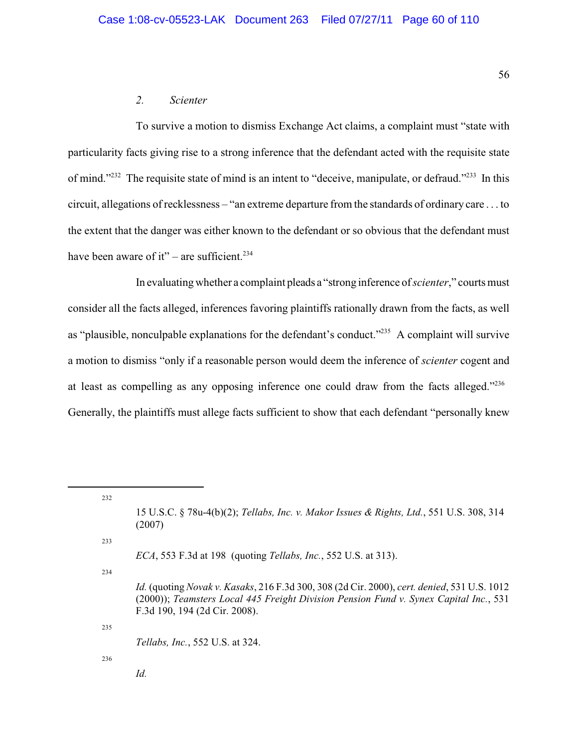#### *2. Scienter*

To survive a motion to dismiss Exchange Act claims, a complaint must "state with particularity facts giving rise to a strong inference that the defendant acted with the requisite state of mind."<sup>232</sup> The requisite state of mind is an intent to "deceive, manipulate, or defraud."<sup>233</sup> In this circuit, allegations of recklessness – "an extreme departure from the standards of ordinary care . . . to the extent that the danger was either known to the defendant or so obvious that the defendant must have been aware of it" – are sufficient.<sup>234</sup>

In evaluating whether a complaint pleads a "strong inference of *scienter*," courts must consider all the facts alleged, inferences favoring plaintiffs rationally drawn from the facts, as well as "plausible, nonculpable explanations for the defendant's conduct."<sup>235</sup> A complaint will survive a motion to dismiss "only if a reasonable person would deem the inference of *scienter* cogent and at least as compelling as any opposing inference one could draw from the facts alleged."<sup>236</sup> Generally, the plaintiffs must allege facts sufficient to show that each defendant "personally knew

232

233

*ECA*, 553 F.3d at 198 (quoting *Tellabs, Inc.*, 552 U.S. at 313).

234

235

*Tellabs, Inc.*, 552 U.S. at 324.

236

*Id.*

<sup>15</sup> U.S.C. § 78u-4(b)(2); *Tellabs, Inc. v. Makor Issues & Rights, Ltd.*, 551 U.S. 308, 314 (2007)

*Id.* (quoting *Novak v. Kasaks*, 216 F.3d 300, 308 (2d Cir. 2000), *cert. denied*, 531 U.S. 1012 (2000)); *Teamsters Local 445 Freight Division Pension Fund v. Synex Capital Inc.*, 531 F.3d 190, 194 (2d Cir. 2008).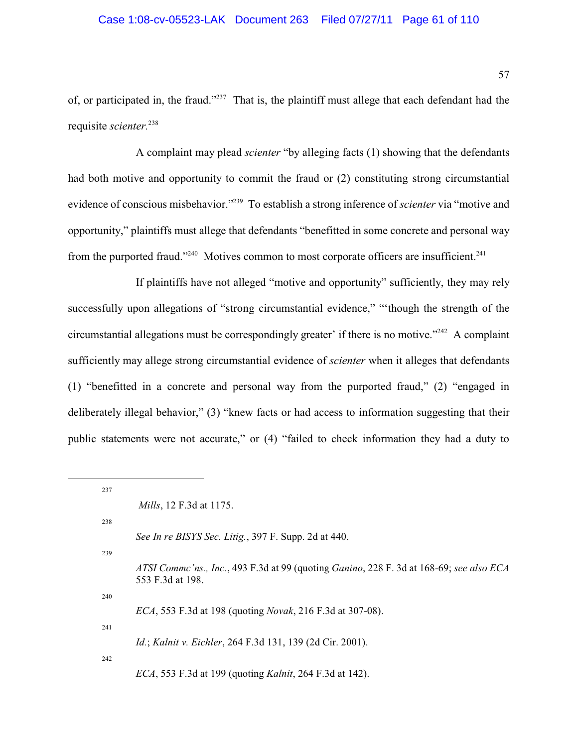of, or participated in, the fraud."<sup>237</sup> That is, the plaintiff must allege that each defendant had the requisite *scienter.*<sup>238</sup>

A complaint may plead *scienter* "by alleging facts (1) showing that the defendants had both motive and opportunity to commit the fraud or (2) constituting strong circumstantial evidence of conscious misbehavior."<sup>239</sup> To establish a strong inference of *scienter* via "motive and opportunity," plaintiffs must allege that defendants "benefitted in some concrete and personal way from the purported fraud."<sup>240</sup> Motives common to most corporate officers are insufficient.<sup>241</sup>

If plaintiffs have not alleged "motive and opportunity" sufficiently, they may rely successfully upon allegations of "strong circumstantial evidence," "'though the strength of the circumstantial allegations must be correspondingly greater' if there is no motive."<sup> $242$ </sup> A complaint sufficiently may allege strong circumstantial evidence of *scienter* when it alleges that defendants (1) "benefitted in a concrete and personal way from the purported fraud," (2) "engaged in deliberately illegal behavior," (3) "knew facts or had access to information suggesting that their public statements were not accurate," or (4) "failed to check information they had a duty to

| 237 |                                                                                                             |
|-----|-------------------------------------------------------------------------------------------------------------|
|     | <i>Mills</i> , 12 F.3d at 1175.                                                                             |
| 238 |                                                                                                             |
|     | See In re BISYS Sec. Litig., 397 F. Supp. 2d at 440.                                                        |
| 239 |                                                                                                             |
|     | ATSI Commc'ns., Inc., 493 F.3d at 99 (quoting Ganino, 228 F. 3d at 168-69; see also ECA<br>553 F.3d at 198. |
| 240 |                                                                                                             |
|     | ECA, 553 F.3d at 198 (quoting Novak, 216 F.3d at 307-08).                                                   |
| 241 |                                                                                                             |
|     | <i>Id.</i> ; <i>Kalnit v. Eichler</i> , 264 F.3d 131, 139 (2d Cir. 2001).                                   |
| 242 |                                                                                                             |
|     | <i>ECA</i> , 553 F.3d at 199 (quoting <i>Kalnit</i> , 264 F.3d at 142).                                     |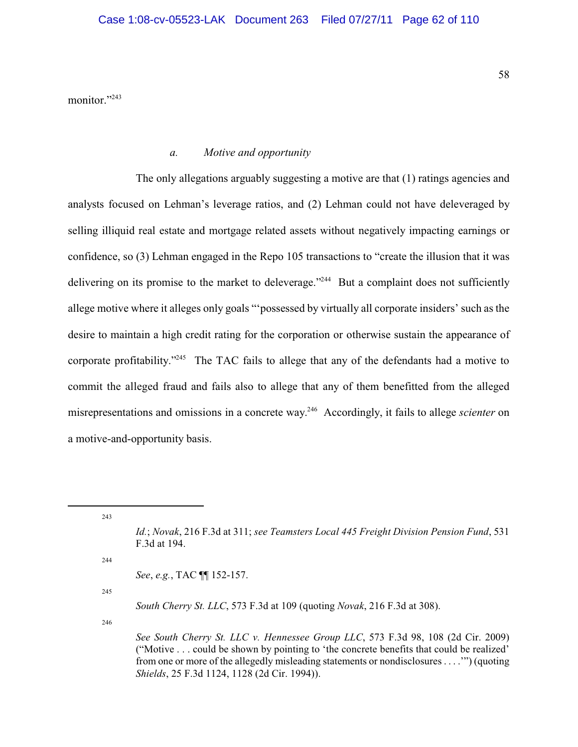monitor."243

#### *a. Motive and opportunity*

The only allegations arguably suggesting a motive are that (1) ratings agencies and analysts focused on Lehman's leverage ratios, and (2) Lehman could not have deleveraged by selling illiquid real estate and mortgage related assets without negatively impacting earnings or confidence, so (3) Lehman engaged in the Repo 105 transactions to "create the illusion that it was delivering on its promise to the market to deleverage."<sup> $244$ </sup> But a complaint does not sufficiently allege motive where it alleges only goals "'possessed by virtually all corporate insiders' such as the desire to maintain a high credit rating for the corporation or otherwise sustain the appearance of corporate profitability."<sup> $245$ </sup> The TAC fails to allege that any of the defendants had a motive to commit the alleged fraud and fails also to allege that any of them benefitted from the alleged misrepresentations and omissions in a concrete way.<sup>246</sup> Accordingly, it fails to allege *scienter* on a motive-and-opportunity basis.

244

*See*, *e.g.*, TAC ¶¶ 152-157.

245

*South Cherry St. LLC*, 573 F.3d at 109 (quoting *Novak*, 216 F.3d at 308).

246

<sup>243</sup>

*Id.*; *Novak*, 216 F.3d at 311; *see Teamsters Local 445 Freight Division Pension Fund*, 531 F.3d at 194.

*See South Cherry St. LLC v. Hennessee Group LLC*, 573 F.3d 98, 108 (2d Cir. 2009) ("Motive . . . could be shown by pointing to 'the concrete benefits that could be realized' from one or more of the allegedly misleading statements or nondisclosures . . . .'") (quoting *Shields*, 25 F.3d 1124, 1128 (2d Cir. 1994)).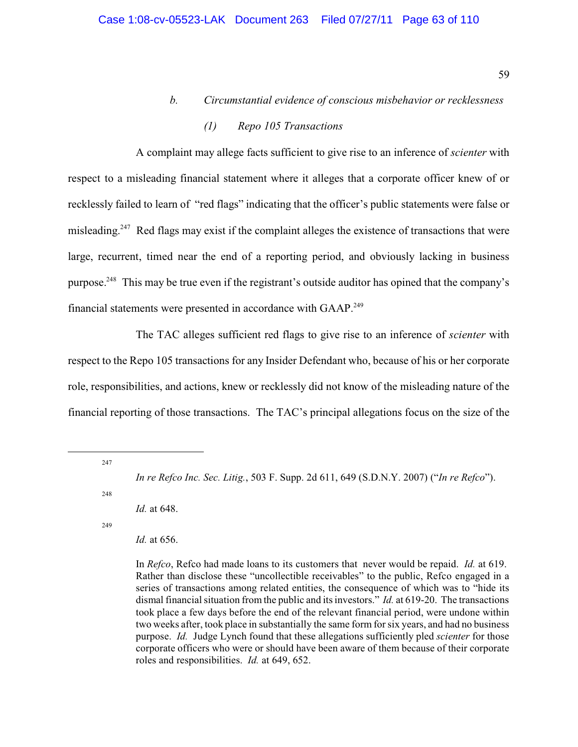*b. Circumstantial evidence of conscious misbehavior or recklessness*

# *(1) Repo 105 Transactions*

A complaint may allege facts sufficient to give rise to an inference of *scienter* with respect to a misleading financial statement where it alleges that a corporate officer knew of or recklessly failed to learn of "red flags" indicating that the officer's public statements were false or misleading.<sup>247</sup> Red flags may exist if the complaint alleges the existence of transactions that were large, recurrent, timed near the end of a reporting period, and obviously lacking in business purpose.<sup>248</sup> This may be true even if the registrant's outside auditor has opined that the company's financial statements were presented in accordance with GAAP.<sup>249</sup>

The TAC alleges sufficient red flags to give rise to an inference of *scienter* with respect to the Repo 105 transactions for any Insider Defendant who, because of his or her corporate role, responsibilities, and actions, knew or recklessly did not know of the misleading nature of the financial reporting of those transactions. The TAC's principal allegations focus on the size of the

247

248

*Id.* at 648.

249

*Id.* at 656.

*In re Refco Inc. Sec. Litig.*, 503 F. Supp. 2d 611, 649 (S.D.N.Y. 2007) ("*In re Refco*").

In *Refco*, Refco had made loans to its customers that never would be repaid. *Id.* at 619. Rather than disclose these "uncollectible receivables" to the public, Refco engaged in a series of transactions among related entities, the consequence of which was to "hide its dismal financial situation from the public and its investors." *Id.* at 619-20. The transactions took place a few days before the end of the relevant financial period, were undone within two weeks after, took place in substantially the same form forsix years, and had no business purpose. *Id.* Judge Lynch found that these allegations sufficiently pled *scienter* for those corporate officers who were or should have been aware of them because of their corporate roles and responsibilities. *Id.* at 649, 652.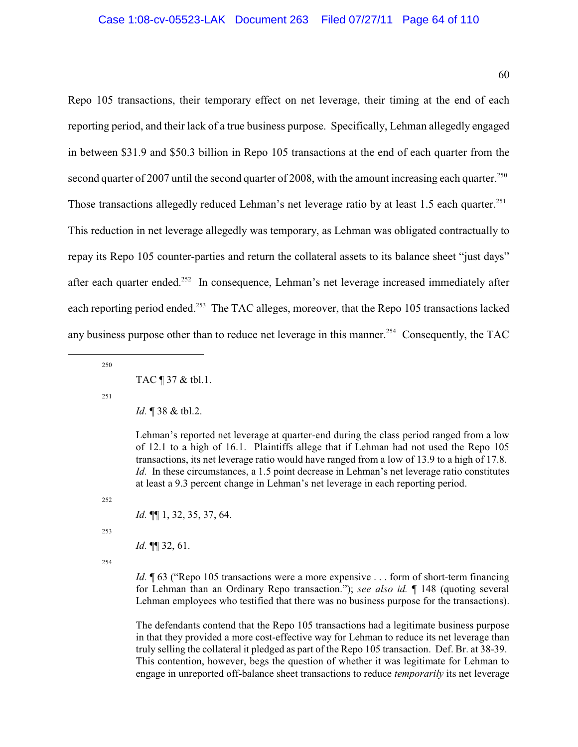Repo 105 transactions, their temporary effect on net leverage, their timing at the end of each reporting period, and their lack of a true business purpose. Specifically, Lehman allegedly engaged in between \$31.9 and \$50.3 billion in Repo 105 transactions at the end of each quarter from the second quarter of 2007 until the second quarter of 2008, with the amount increasing each quarter.<sup>250</sup> Those transactions allegedly reduced Lehman's net leverage ratio by at least 1.5 each quarter.<sup>251</sup> This reduction in net leverage allegedly was temporary, as Lehman was obligated contractually to repay its Repo 105 counter-parties and return the collateral assets to its balance sheet "just days" after each quarter ended.<sup>252</sup> In consequence, Lehman's net leverage increased immediately after each reporting period ended.<sup>253</sup> The TAC alleges, moreover, that the Repo 105 transactions lacked any business purpose other than to reduce net leverage in this manner.<sup>254</sup> Consequently, the TAC

250

251

Lehman's reported net leverage at quarter-end during the class period ranged from a low of 12.1 to a high of 16.1. Plaintiffs allege that if Lehman had not used the Repo 105 transactions, its net leverage ratio would have ranged from a low of 13.9 to a high of 17.8. *Id.* In these circumstances, a 1.5 point decrease in Lehman's net leverage ratio constitutes at least a 9.3 percent change in Lehman's net leverage in each reporting period.

252

*Id.* ¶¶ 1, 32, 35, 37, 64.

253

*Id.* ¶¶ 32, 61.

254

*Id.*  $\sqrt{63}$  ("Repo 105 transactions were a more expensive . . . form of short-term financing for Lehman than an Ordinary Repo transaction."); *see also id.* ¶ 148 (quoting several Lehman employees who testified that there was no business purpose for the transactions).

The defendants contend that the Repo 105 transactions had a legitimate business purpose in that they provided a more cost-effective way for Lehman to reduce its net leverage than truly selling the collateral it pledged as part of the Repo 105 transaction. Def. Br. at 38-39. This contention, however, begs the question of whether it was legitimate for Lehman to engage in unreported off-balance sheet transactions to reduce *temporarily* its net leverage

TAC ¶ 37 & tbl.1.

*Id.* ¶ 38 & tbl.2.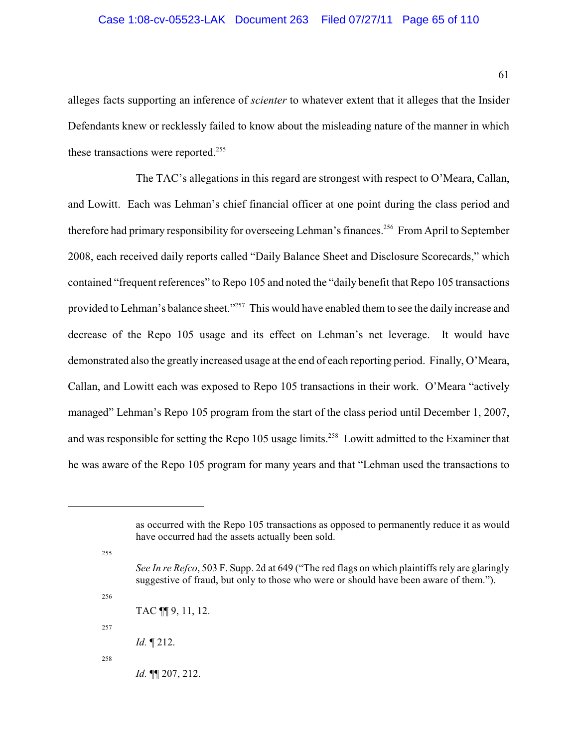alleges facts supporting an inference of *scienter* to whatever extent that it alleges that the Insider Defendants knew or recklessly failed to know about the misleading nature of the manner in which these transactions were reported.<sup>255</sup>

The TAC's allegations in this regard are strongest with respect to O'Meara, Callan, and Lowitt. Each was Lehman's chief financial officer at one point during the class period and therefore had primary responsibility for overseeing Lehman's finances.<sup>256</sup> From April to September 2008, each received daily reports called "Daily Balance Sheet and Disclosure Scorecards," which contained "frequent references" to Repo 105 and noted the "daily benefit that Repo 105 transactions provided to Lehman's balance sheet."<sup>257</sup> This would have enabled them to see the daily increase and decrease of the Repo 105 usage and its effect on Lehman's net leverage. It would have demonstrated also the greatly increased usage at the end of each reporting period. Finally, O'Meara, Callan, and Lowitt each was exposed to Repo 105 transactions in their work. O'Meara "actively managed" Lehman's Repo 105 program from the start of the class period until December 1, 2007, and was responsible for setting the Repo 105 usage limits.<sup>258</sup> Lowitt admitted to the Examiner that he was aware of the Repo 105 program for many years and that "Lehman used the transactions to

255

256

- *See In re Refco*, 503 F. Supp. 2d at 649 ("The red flags on which plaintiffs rely are glaringly suggestive of fraud, but only to those who were or should have been aware of them.").
- TAC ¶¶ 9, 11, 12.

*Id.* ¶ 212.

258

257

*Id.* ¶¶ 207, 212.

as occurred with the Repo 105 transactions as opposed to permanently reduce it as would have occurred had the assets actually been sold.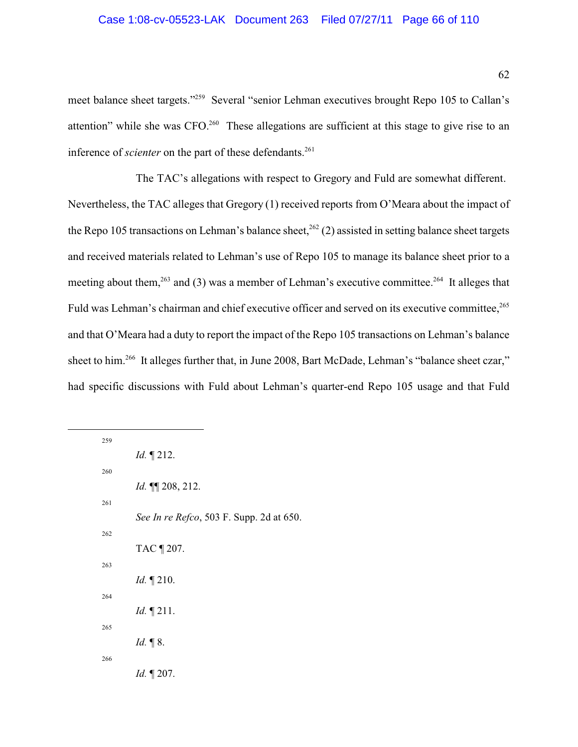meet balance sheet targets."<sup>259</sup> Several "senior Lehman executives brought Repo 105 to Callan's attention" while she was  $CFO<sup>260</sup>$  These allegations are sufficient at this stage to give rise to an inference of *scienter* on the part of these defendants.<sup>261</sup>

The TAC's allegations with respect to Gregory and Fuld are somewhat different. Nevertheless, the TAC alleges that Gregory (1) received reports from O'Meara about the impact of the Repo 105 transactions on Lehman's balance sheet,  $262$  (2) assisted in setting balance sheet targets and received materials related to Lehman's use of Repo 105 to manage its balance sheet prior to a meeting about them,  $263$  and (3) was a member of Lehman's executive committee.  $264$  It alleges that Fuld was Lehman's chairman and chief executive officer and served on its executive committee,<sup>265</sup> and that O'Meara had a duty to report the impact of the Repo 105 transactions on Lehman's balance sheet to him.<sup>266</sup> It alleges further that, in June 2008, Bart McDade, Lehman's "balance sheet czar," had specific discussions with Fuld about Lehman's quarter-end Repo 105 usage and that Fuld

| 259 |                                          |
|-----|------------------------------------------|
|     | <i>Id.</i> $\P$ 212.                     |
| 260 |                                          |
|     | Id. $\P$ 208, 212.                       |
| 261 |                                          |
|     | See In re Refco, 503 F. Supp. 2d at 650. |
| 262 |                                          |
|     | TAC ¶ 207.                               |
| 263 |                                          |
|     | <i>Id.</i> $\P$ 210.                     |
| 264 |                                          |
|     | <i>Id.</i> $\P$ 211.                     |
| 265 |                                          |
|     | Id. $\P$ 8.                              |
| 266 |                                          |
|     | <i>Id.</i> $\P$ 207.                     |
|     |                                          |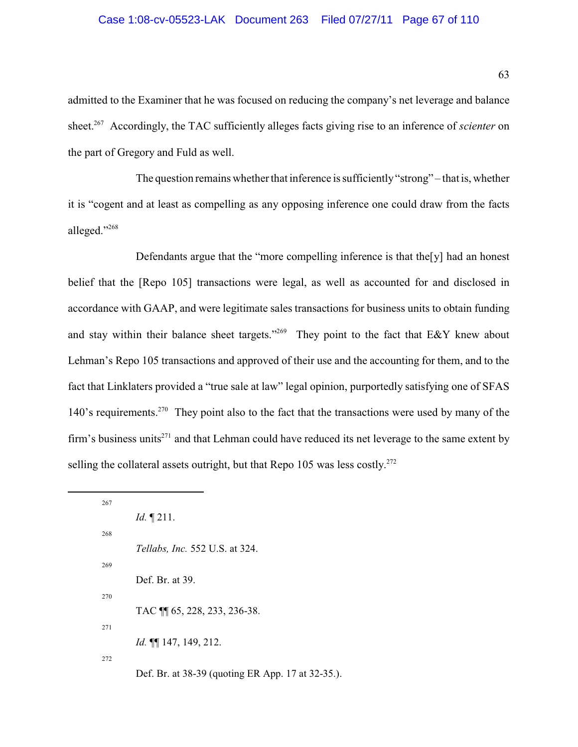#### Case 1:08-cv-05523-LAK Document 263 Filed 07/27/11 Page 67 of 110

admitted to the Examiner that he was focused on reducing the company's net leverage and balance sheet.<sup>267</sup> Accordingly, the TAC sufficiently alleges facts giving rise to an inference of *scienter* on the part of Gregory and Fuld as well.

The question remains whether that inference is sufficiently "strong" – that is, whether it is "cogent and at least as compelling as any opposing inference one could draw from the facts alleged."268

Defendants argue that the "more compelling inference is that the[y] had an honest belief that the [Repo 105] transactions were legal, as well as accounted for and disclosed in accordance with GAAP, and were legitimate sales transactions for business units to obtain funding and stay within their balance sheet targets."<sup>269</sup> They point to the fact that E&Y knew about Lehman's Repo 105 transactions and approved of their use and the accounting for them, and to the fact that Linklaters provided a "true sale at law" legal opinion, purportedly satisfying one of SFAS 140's requirements.<sup>270</sup> They point also to the fact that the transactions were used by many of the firm's business units<sup> $271$ </sup> and that Lehman could have reduced its net leverage to the same extent by selling the collateral assets outright, but that Repo 105 was less costly.<sup>272</sup>

| 267 |                                                   |
|-----|---------------------------------------------------|
|     | <i>Id.</i> $\P$ 211.                              |
| 268 |                                                   |
|     | <i>Tellabs, Inc.</i> 552 U.S. at 324.             |
|     |                                                   |
|     | Def. Br. at 39.                                   |
|     |                                                   |
|     | TAC \[ 65, 228, 233, 236-38.                      |
|     | <i>Id.</i> $\P\P$ 147, 149, 212.                  |
|     |                                                   |
|     | Def. Br. at 38-39 (quoting ER App. 17 at 32-35.). |
|     | 269<br>270<br>271<br>272                          |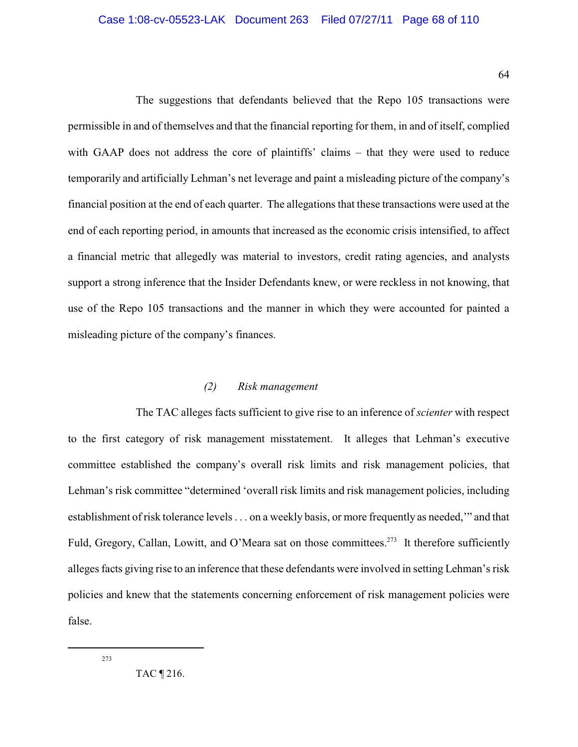The suggestions that defendants believed that the Repo 105 transactions were permissible in and of themselves and that the financial reporting for them, in and of itself, complied with GAAP does not address the core of plaintiffs' claims – that they were used to reduce temporarily and artificially Lehman's net leverage and paint a misleading picture of the company's financial position at the end of each quarter. The allegations that these transactions were used at the end of each reporting period, in amounts that increased as the economic crisis intensified, to affect a financial metric that allegedly was material to investors, credit rating agencies, and analysts support a strong inference that the Insider Defendants knew, or were reckless in not knowing, that use of the Repo 105 transactions and the manner in which they were accounted for painted a misleading picture of the company's finances.

### *(2) Risk management*

The TAC alleges facts sufficient to give rise to an inference of *scienter* with respect to the first category of risk management misstatement. It alleges that Lehman's executive committee established the company's overall risk limits and risk management policies, that Lehman's risk committee "determined 'overall risk limits and risk management policies, including establishment of risk tolerance levels . . . on a weekly basis, or more frequently as needed,'" and that Fuld, Gregory, Callan, Lowitt, and O'Meara sat on those committees.<sup>273</sup> It therefore sufficiently alleges facts giving rise to an inference that these defendants were involved in setting Lehman's risk policies and knew that the statements concerning enforcement of risk management policies were false.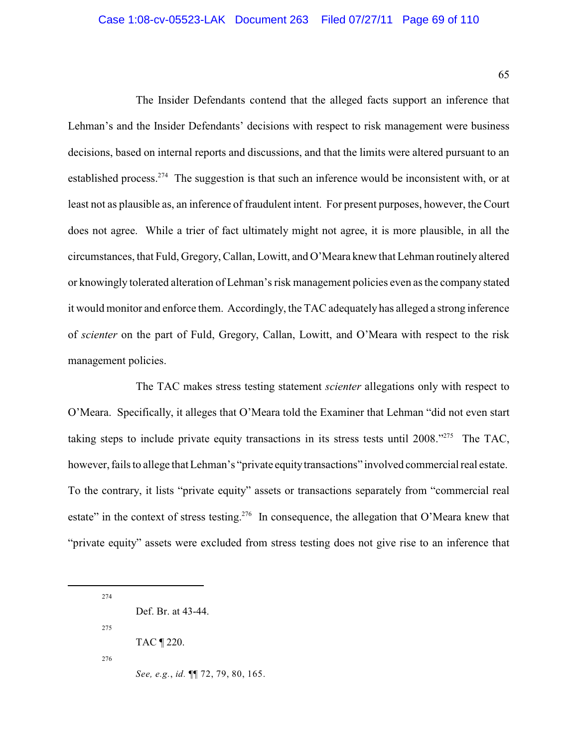The Insider Defendants contend that the alleged facts support an inference that Lehman's and the Insider Defendants' decisions with respect to risk management were business decisions, based on internal reports and discussions, and that the limits were altered pursuant to an established process.<sup>274</sup> The suggestion is that such an inference would be inconsistent with, or at least not as plausible as, an inference of fraudulent intent. For present purposes, however, the Court does not agree. While a trier of fact ultimately might not agree, it is more plausible, in all the circumstances, that Fuld, Gregory, Callan, Lowitt, and O'Meara knew that Lehman routinely altered or knowingly tolerated alteration of Lehman's risk management policies even as the company stated it would monitor and enforce them. Accordingly, the TAC adequately has alleged a strong inference of *scienter* on the part of Fuld, Gregory, Callan, Lowitt, and O'Meara with respect to the risk management policies.

The TAC makes stress testing statement *scienter* allegations only with respect to O'Meara. Specifically, it alleges that O'Meara told the Examiner that Lehman "did not even start taking steps to include private equity transactions in its stress tests until  $2008.^{275}$ . The TAC, however, fails to allege that Lehman's "private equity transactions" involved commercial real estate. To the contrary, it lists "private equity" assets or transactions separately from "commercial real estate" in the context of stress testing.<sup>276</sup> In consequence, the allegation that O'Meara knew that "private equity" assets were excluded from stress testing does not give rise to an inference that

274 Def. Br. at 43-44. 275 TAC ¶ 220. 276 *See, e.g.*, *id.* ¶¶ 72, 79, 80, 165.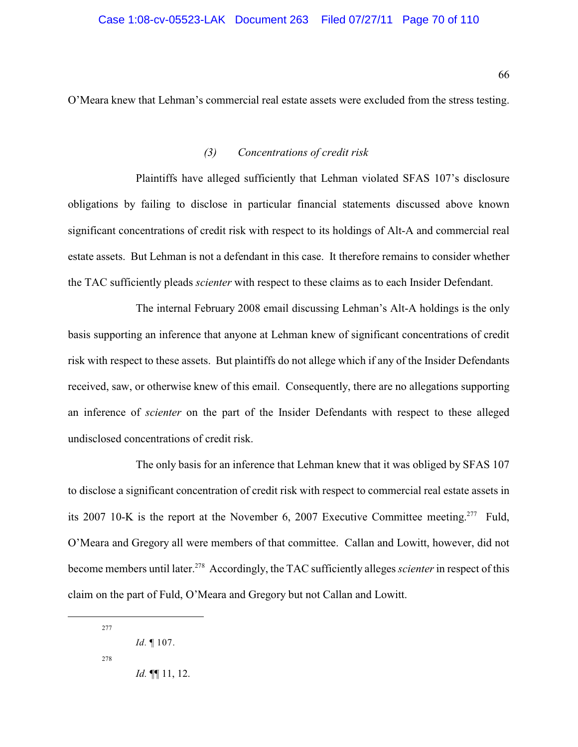O'Meara knew that Lehman's commercial real estate assets were excluded from the stress testing.

## *(3) Concentrations of credit risk*

Plaintiffs have alleged sufficiently that Lehman violated SFAS 107's disclosure obligations by failing to disclose in particular financial statements discussed above known significant concentrations of credit risk with respect to its holdings of Alt-A and commercial real estate assets. But Lehman is not a defendant in this case. It therefore remains to consider whether the TAC sufficiently pleads *scienter* with respect to these claims as to each Insider Defendant.

The internal February 2008 email discussing Lehman's Alt-A holdings is the only basis supporting an inference that anyone at Lehman knew of significant concentrations of credit risk with respect to these assets. But plaintiffs do not allege which if any of the Insider Defendants received, saw, or otherwise knew of this email. Consequently, there are no allegations supporting an inference of *scienter* on the part of the Insider Defendants with respect to these alleged undisclosed concentrations of credit risk.

The only basis for an inference that Lehman knew that it was obliged by SFAS 107 to disclose a significant concentration of credit risk with respect to commercial real estate assets in its 2007 10-K is the report at the November 6, 2007 Executive Committee meeting.<sup>277</sup> Fuld, O'Meara and Gregory all were members of that committee. Callan and Lowitt, however, did not become members until later.<sup>278</sup> Accordingly, the TAC sufficiently alleges *scienter* in respect of this claim on the part of Fuld, O'Meara and Gregory but not Callan and Lowitt.

<sup>277</sup>

*Id.* ¶ 107.

<sup>278</sup> 

*Id.* ¶¶ 11, 12.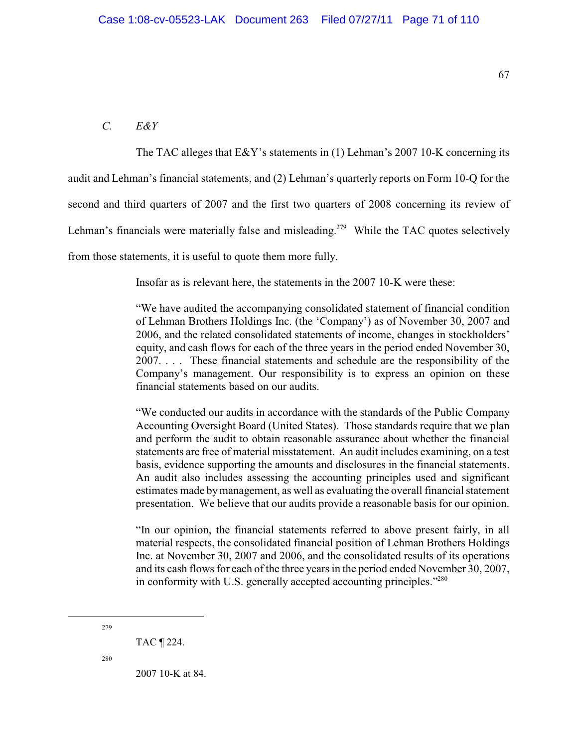### *C. E&Y*

The TAC alleges that E&Y's statements in (1) Lehman's 2007 10-K concerning its audit and Lehman's financial statements, and (2) Lehman's quarterly reports on Form 10-Q for the second and third quarters of 2007 and the first two quarters of 2008 concerning its review of Lehman's financials were materially false and misleading.<sup> $279$ </sup> While the TAC quotes selectively from those statements, it is useful to quote them more fully.

Insofar as is relevant here, the statements in the 2007 10-K were these:

"We have audited the accompanying consolidated statement of financial condition of Lehman Brothers Holdings Inc. (the 'Company') as of November 30, 2007 and 2006, and the related consolidated statements of income, changes in stockholders' equity, and cash flows for each of the three years in the period ended November 30, 2007. . . . These financial statements and schedule are the responsibility of the Company's management. Our responsibility is to express an opinion on these financial statements based on our audits.

"We conducted our audits in accordance with the standards of the Public Company Accounting Oversight Board (United States). Those standards require that we plan and perform the audit to obtain reasonable assurance about whether the financial statements are free of material misstatement. An audit includes examining, on a test basis, evidence supporting the amounts and disclosures in the financial statements. An audit also includes assessing the accounting principles used and significant estimates made bymanagement, as well as evaluating the overall financial statement presentation. We believe that our audits provide a reasonable basis for our opinion.

"In our opinion, the financial statements referred to above present fairly, in all material respects, the consolidated financial position of Lehman Brothers Holdings Inc. at November 30, 2007 and 2006, and the consolidated results of its operations and its cash flows for each of the three years in the period ended November 30, 2007, in conformity with U.S. generally accepted accounting principles."<sup>280</sup>

279

280

2007 10-K at 84.

TAC ¶ 224.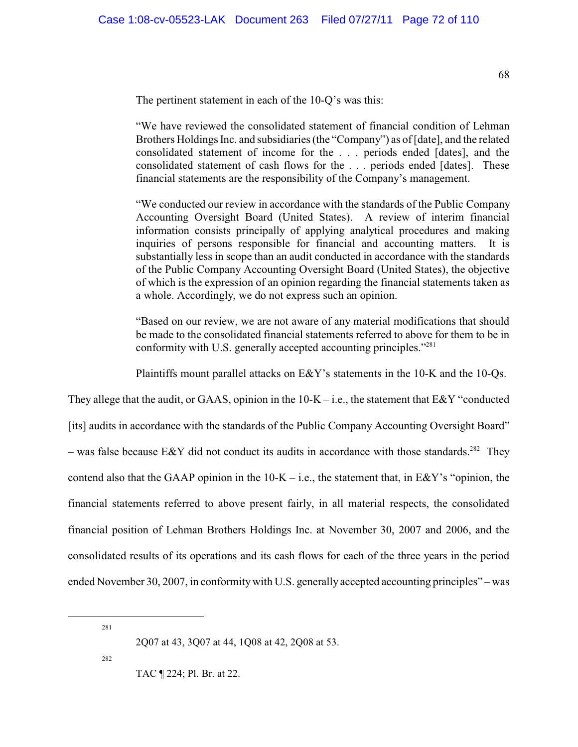The pertinent statement in each of the 10-Q's was this:

"We have reviewed the consolidated statement of financial condition of Lehman Brothers Holdings Inc. and subsidiaries (the "Company") as of [date], and the related consolidated statement of income for the . . . periods ended [dates], and the consolidated statement of cash flows for the . . . periods ended [dates]. These financial statements are the responsibility of the Company's management.

"We conducted our review in accordance with the standards of the Public Company Accounting Oversight Board (United States). A review of interim financial information consists principally of applying analytical procedures and making inquiries of persons responsible for financial and accounting matters. It is substantially less in scope than an audit conducted in accordance with the standards of the Public Company Accounting Oversight Board (United States), the objective of which is the expression of an opinion regarding the financial statements taken as a whole. Accordingly, we do not express such an opinion.

"Based on our review, we are not aware of any material modifications that should be made to the consolidated financial statements referred to above for them to be in conformity with U.S. generally accepted accounting principles."<sup>281</sup>

Plaintiffs mount parallel attacks on E&Y's statements in the 10-K and the 10-Qs.

They allege that the audit, or GAAS, opinion in the  $10-K$  – i.e., the statement that E&Y "conducted [its] audits in accordance with the standards of the Public Company Accounting Oversight Board" – was false because E&Y did not conduct its audits in accordance with those standards.<sup>282</sup> They contend also that the GAAP opinion in the  $10-K - i.e.,$  the statement that, in E&Y's "opinion, the financial statements referred to above present fairly, in all material respects, the consolidated financial position of Lehman Brothers Holdings Inc. at November 30, 2007 and 2006, and the consolidated results of its operations and its cash flows for each of the three years in the period ended November 30, 2007, in conformity with U.S. generally accepted accounting principles" – was

281

282

TAC ¶ 224; Pl. Br. at 22.

<sup>2</sup>Q07 at 43, 3Q07 at 44, 1Q08 at 42, 2Q08 at 53.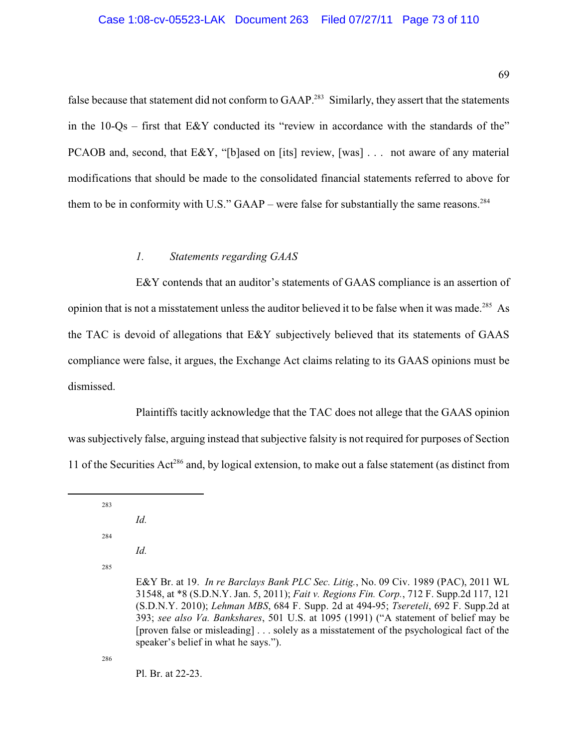false because that statement did not conform to GAAP.<sup>283</sup> Similarly, they assert that the statements in the  $10\text{-}Qs$  – first that E&Y conducted its "review in accordance with the standards of the" PCAOB and, second, that E&Y, "[b]ased on [its] review, [was] . . . not aware of any material modifications that should be made to the consolidated financial statements referred to above for them to be in conformity with U.S." GAAP – were false for substantially the same reasons.<sup>284</sup>

## *1. Statements regarding GAAS*

E&Y contends that an auditor's statements of GAAS compliance is an assertion of opinion that is not a misstatement unless the auditor believed it to be false when it was made.<sup>285</sup> As the TAC is devoid of allegations that E&Y subjectively believed that its statements of GAAS compliance were false, it argues, the Exchange Act claims relating to its GAAS opinions must be dismissed.

Plaintiffs tacitly acknowledge that the TAC does not allege that the GAAS opinion was subjectively false, arguing instead that subjective falsity is not required for purposes of Section 11 of the Securities Act<sup>286</sup> and, by logical extension, to make out a false statement (as distinct from

- 284
- *Id.*

*Id.*

285

286

Pl. Br. at 22-23.

<sup>283</sup>

E&Y Br. at 19. *In re Barclays Bank PLC Sec. Litig.*, No. 09 Civ. 1989 (PAC), 2011 WL 31548, at \*8 (S.D.N.Y. Jan. 5, 2011); *Fait v. Regions Fin. Corp.*, 712 F. Supp.2d 117, 121 (S.D.N.Y. 2010); *Lehman MBS*, 684 F. Supp. 2d at 494-95; *Tsereteli*, 692 F. Supp.2d at 393; *see also Va. Bankshares*, 501 U.S. at 1095 (1991) ("A statement of belief may be [proven false or misleading] . . . solely as a misstatement of the psychological fact of the speaker's belief in what he says.").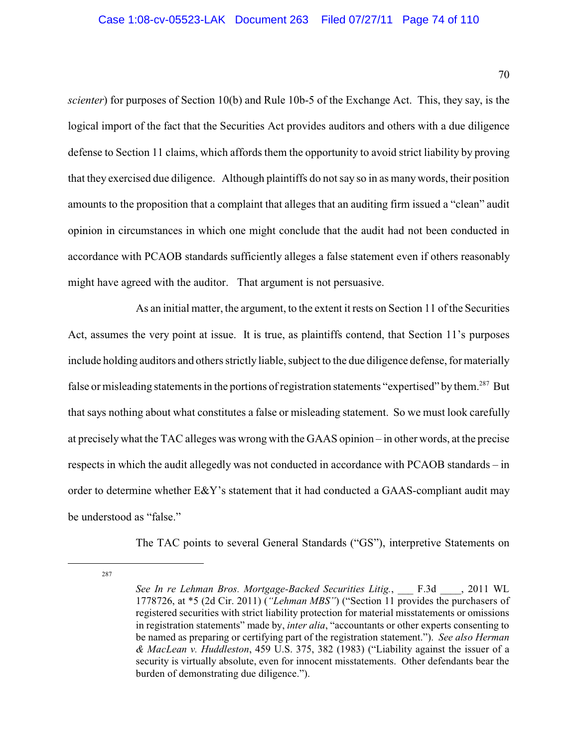*scienter*) for purposes of Section 10(b) and Rule 10b-5 of the Exchange Act. This, they say, is the logical import of the fact that the Securities Act provides auditors and others with a due diligence defense to Section 11 claims, which affords them the opportunity to avoid strict liability by proving that they exercised due diligence. Although plaintiffs do not say so in as manywords, their position amounts to the proposition that a complaint that alleges that an auditing firm issued a "clean" audit opinion in circumstances in which one might conclude that the audit had not been conducted in accordance with PCAOB standards sufficiently alleges a false statement even if others reasonably might have agreed with the auditor. That argument is not persuasive.

As an initial matter, the argument, to the extent it rests on Section 11 of the Securities Act, assumes the very point at issue. It is true, as plaintiffs contend, that Section 11's purposes include holding auditors and others strictly liable, subject to the due diligence defense, for materially false or misleading statements in the portions of registration statements "expertised" by them.<sup>287</sup> But that says nothing about what constitutes a false or misleading statement. So we must look carefully at precisely what the TAC alleges was wrong with the GAAS opinion – in other words, at the precise respects in which the audit allegedly was not conducted in accordance with PCAOB standards – in order to determine whether E&Y's statement that it had conducted a GAAS-compliant audit may be understood as "false."

The TAC points to several General Standards ("GS"), interpretive Statements on

*See In re Lehman Bros. Mortgage-Backed Securities Litig.*, \_\_\_ F.3d \_\_\_\_, 2011 WL 1778726, at \*5 (2d Cir. 2011) (*"Lehman MBS"*) ("Section 11 provides the purchasers of registered securities with strict liability protection for material misstatements or omissions in registration statements" made by, *inter alia*, "accountants or other experts consenting to be named as preparing or certifying part of the registration statement."). *See also Herman & MacLean v. Huddleston*, 459 U.S. 375, 382 (1983) ("Liability against the issuer of a security is virtually absolute, even for innocent misstatements. Other defendants bear the burden of demonstrating due diligence.").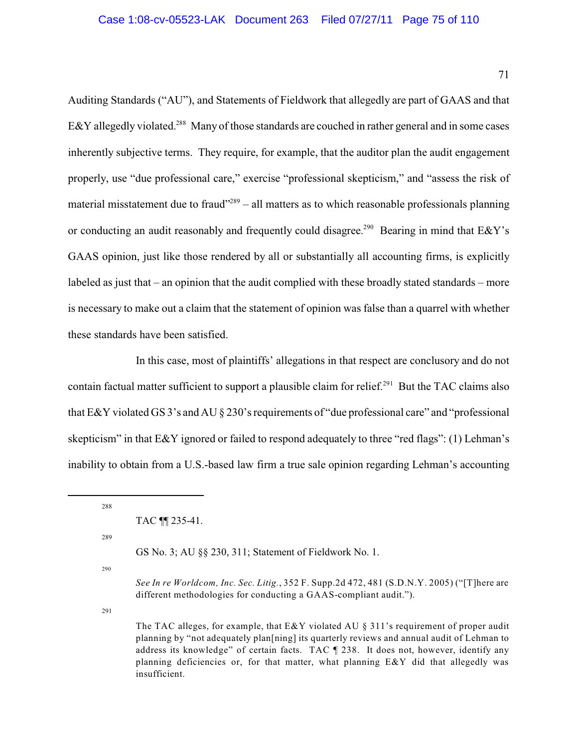71

Auditing Standards ("AU"), and Statements of Fieldwork that allegedly are part of GAAS and that E&Y allegedly violated.<sup>288</sup> Many of those standards are couched in rather general and in some cases inherently subjective terms. They require, for example, that the auditor plan the audit engagement properly, use "due professional care," exercise "professional skepticism," and "assess the risk of material misstatement due to fraud $1289 - 11$  matters as to which reasonable professionals planning or conducting an audit reasonably and frequently could disagree.<sup>290</sup> Bearing in mind that  $E\&Y$ 's GAAS opinion, just like those rendered by all or substantially all accounting firms, is explicitly labeled as just that – an opinion that the audit complied with these broadly stated standards – more is necessary to make out a claim that the statement of opinion was false than a quarrel with whether these standards have been satisfied.

In this case, most of plaintiffs' allegations in that respect are conclusory and do not contain factual matter sufficient to support a plausible claim for relief.<sup> $291$ </sup> But the TAC claims also that E&Y violated GS 3's and AU § 230's requirements of "due professional care" and "professional skepticism" in that E&Y ignored or failed to respond adequately to three "red flags": (1) Lehman's inability to obtain from a U.S.-based law firm a true sale opinion regarding Lehman's accounting

288

289

GS No. 3; AU §§ 230, 311; Statement of Fieldwork No. 1.

290

*See In re Worldcom, Inc. Sec. Litig.*, 352 F. Supp.2d 472, 481 (S.D.N.Y. 2005) ("[T]here are different methodologies for conducting a GAAS-compliant audit.").

291

The TAC alleges, for example, that  $E&Y$  violated AU  $\S$  311's requirement of proper audit planning by "not adequately plan[ning] its quarterly reviews and annual audit of Lehman to address its knowledge" of certain facts. TAC ¶ 238. It does not, however, identify any planning deficiencies or, for that matter, what planning  $E\&Y$  did that allegedly was insufficient.

TAC ¶¶ 235-41.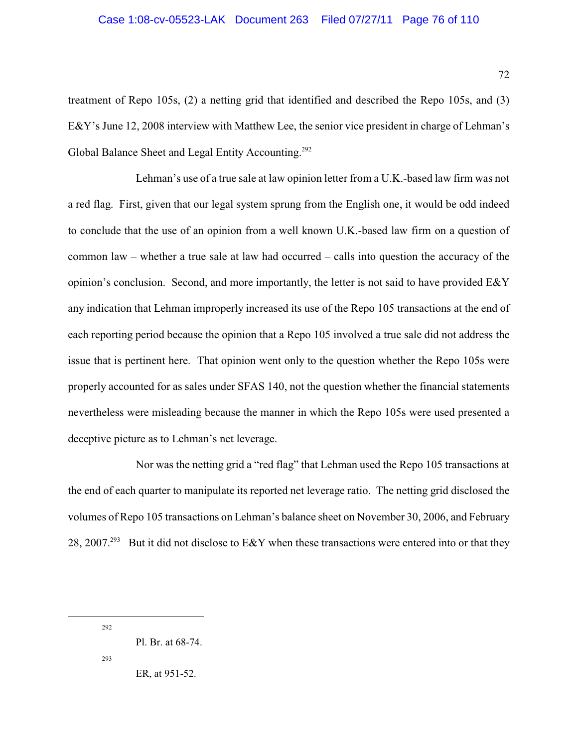treatment of Repo 105s, (2) a netting grid that identified and described the Repo 105s, and (3) E&Y's June 12, 2008 interview with Matthew Lee, the senior vice president in charge of Lehman's Global Balance Sheet and Legal Entity Accounting.<sup>292</sup>

Lehman's use of a true sale at law opinion letter from a U.K.-based law firm was not a red flag. First, given that our legal system sprung from the English one, it would be odd indeed to conclude that the use of an opinion from a well known U.K.-based law firm on a question of common law – whether a true sale at law had occurred – calls into question the accuracy of the opinion's conclusion. Second, and more importantly, the letter is not said to have provided E&Y any indication that Lehman improperly increased its use of the Repo 105 transactions at the end of each reporting period because the opinion that a Repo 105 involved a true sale did not address the issue that is pertinent here. That opinion went only to the question whether the Repo 105s were properly accounted for as sales under SFAS 140, not the question whether the financial statements nevertheless were misleading because the manner in which the Repo 105s were used presented a deceptive picture as to Lehman's net leverage.

Nor was the netting grid a "red flag" that Lehman used the Repo 105 transactions at the end of each quarter to manipulate its reported net leverage ratio. The netting grid disclosed the volumes of Repo 105 transactions on Lehman's balance sheet on November 30, 2006, and February 28, 2007.<sup>293</sup> But it did not disclose to E&Y when these transactions were entered into or that they

292

 $293$ 

ER, at 951-52.

Pl. Br. at 68-74.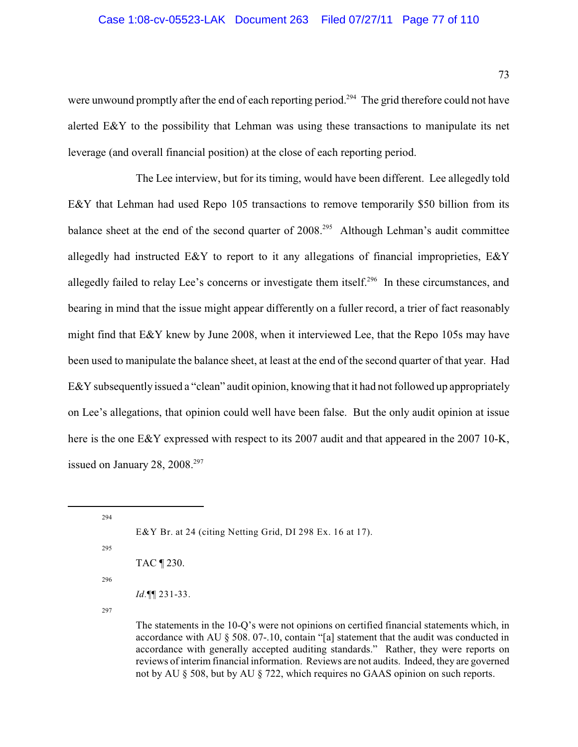were unwound promptly after the end of each reporting period.<sup> $294$ </sup> The grid therefore could not have alerted E&Y to the possibility that Lehman was using these transactions to manipulate its net leverage (and overall financial position) at the close of each reporting period.

The Lee interview, but for its timing, would have been different. Lee allegedly told E&Y that Lehman had used Repo 105 transactions to remove temporarily \$50 billion from its balance sheet at the end of the second quarter of  $2008<sup>295</sup>$  Although Lehman's audit committee allegedly had instructed E&Y to report to it any allegations of financial improprieties, E&Y allegedly failed to relay Lee's concerns or investigate them itself.<sup>296</sup> In these circumstances, and bearing in mind that the issue might appear differently on a fuller record, a trier of fact reasonably might find that E&Y knew by June 2008, when it interviewed Lee, that the Repo 105s may have been used to manipulate the balance sheet, at least at the end of the second quarter of that year. Had E&Y subsequently issued a "clean" audit opinion, knowing that it had not followed up appropriately on Lee's allegations, that opinion could well have been false. But the only audit opinion at issue here is the one E&Y expressed with respect to its 2007 audit and that appeared in the 2007 10-K, issued on January 28,  $2008.<sup>297</sup>$ 

<sup>295</sup>

| `AC¶230. |
|----------|
|          |

296

*Id.*¶¶ 231-33.

297

The statements in the 10-Q's were not opinions on certified financial statements which, in accordance with AU § 508. 07-.10, contain "[a] statement that the audit was conducted in accordance with generally accepted auditing standards." Rather, they were reports on reviews of interim financial information. Reviews are not audits. Indeed, they are governed not by AU § 508, but by AU § 722, which requires no GAAS opinion on such reports.

<sup>294</sup> E&Y Br. at 24 (citing Netting Grid, DI 298 Ex. 16 at 17).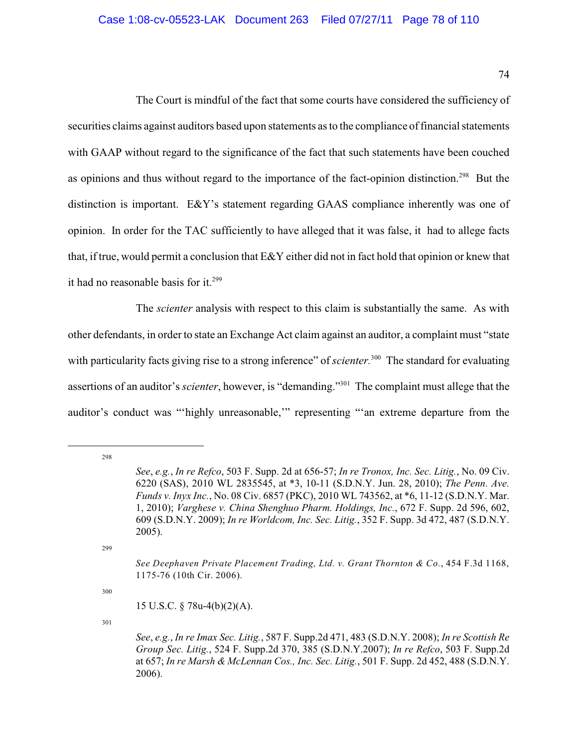74

The Court is mindful of the fact that some courts have considered the sufficiency of securities claims against auditors based upon statements as to the compliance of financial statements with GAAP without regard to the significance of the fact that such statements have been couched as opinions and thus without regard to the importance of the fact-opinion distinction.<sup>298</sup> But the distinction is important. E&Y's statement regarding GAAS compliance inherently was one of opinion. In order for the TAC sufficiently to have alleged that it was false, it had to allege facts that, if true, would permit a conclusion that E&Y either did not in fact hold that opinion or knew that it had no reasonable basis for it.<sup>299</sup>

The *scienter* analysis with respect to this claim is substantially the same. As with other defendants, in order to state an Exchange Act claim against an auditor, a complaint must "state with particularity facts giving rise to a strong inference" of *scienter*.<sup>300</sup> The standard for evaluating assertions of an auditor's *scienter*, however, is "demanding."<sup>301</sup> The complaint must allege that the auditor's conduct was "'highly unreasonable,'" representing "'an extreme departure from the

298

299

300

*See*, *e.g.*, *In re Refco*, 503 F. Supp. 2d at 656-57; *In re Tronox, Inc. Sec. Litig.*, No. 09 Civ. 6220 (SAS), 2010 WL 2835545, at \*3, 10-11 (S.D.N.Y. Jun. 28, 2010); *The Penn. Ave. Funds v. Inyx Inc.*, No. 08 Civ. 6857 (PKC), 2010 WL 743562, at \*6, 11-12 (S.D.N.Y. Mar. 1, 2010); *Varghese v. China Shenghuo Pharm. Holdings, Inc.*, 672 F. Supp. 2d 596, 602, 609 (S.D.N.Y. 2009); *In re Worldcom, Inc. Sec. Litig.*, 352 F. Supp. 3d 472, 487 (S.D.N.Y. 2005).

*See Deephaven Private Placement Trading, Ltd. v. Grant Thornton & Co.*, 454 F.3d 1168, 1175-76 (10th Cir. 2006).

<sup>15</sup> U.S.C. § 78u-4(b)(2)(A).

*See*, *e.g.*, *In re Imax Sec. Litig.*, 587 F. Supp.2d 471, 483 (S.D.N.Y. 2008); *In re Scottish Re Group Sec. Litig.*, 524 F. Supp.2d 370, 385 (S.D.N.Y.2007); *In re Refco*, 503 F. Supp.2d at 657; *In re Marsh & McLennan Cos., Inc. Sec. Litig.*, 501 F. Supp. 2d 452, 488 (S.D.N.Y. 2006).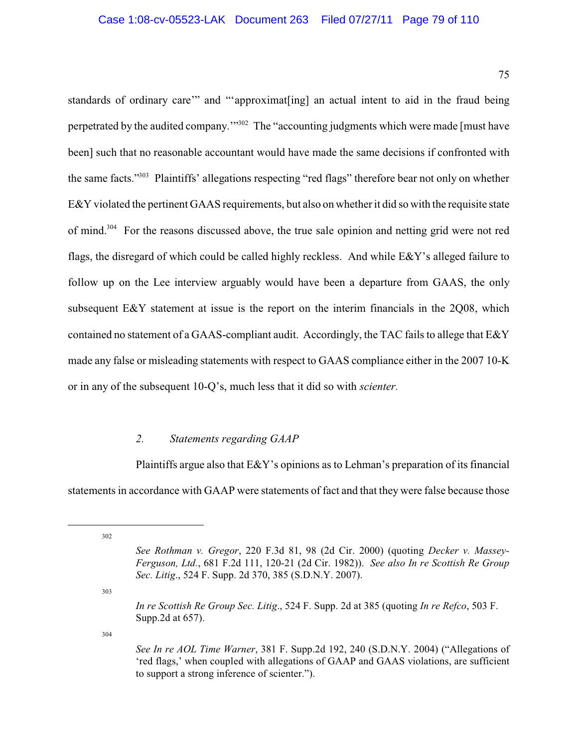75

standards of ordinary care'" and "'approximat[ing] an actual intent to aid in the fraud being perpetrated by the audited company."<sup>302</sup> The "accounting judgments which were made [must have been] such that no reasonable accountant would have made the same decisions if confronted with the same facts."<sup>303</sup> Plaintiffs' allegations respecting "red flags" therefore bear not only on whether E&Y violated the pertinent GAAS requirements, but also on whetherit did so with the requisite state of mind.<sup>304</sup> For the reasons discussed above, the true sale opinion and netting grid were not red flags, the disregard of which could be called highly reckless. And while E&Y's alleged failure to follow up on the Lee interview arguably would have been a departure from GAAS, the only subsequent E&Y statement at issue is the report on the interim financials in the 2Q08, which contained no statement of a GAAS-compliant audit. Accordingly, the TAC fails to allege that E&Y made any false or misleading statements with respect to GAAS compliance either in the 2007 10-K or in any of the subsequent 10-Q's, much less that it did so with *scienter.*

# *2. Statements regarding GAAP*

Plaintiffs argue also that E&Y's opinions as to Lehman's preparation of its financial statements in accordance with GAAP were statements of fact and that they were false because those

303

*In re Scottish Re Group Sec. Litig*., 524 F. Supp. 2d at 385 (quoting *In re Refco*, 503 F. Supp.2d at 657).

<sup>302</sup>

*See Rothman v. Gregor*, 220 F.3d 81, 98 (2d Cir. 2000) (quoting *Decker v. Massey-Ferguson, Ltd.*, 681 F.2d 111, 120-21 (2d Cir. 1982)). *See also In re Scottish Re Group Sec. Litig*., 524 F. Supp. 2d 370, 385 (S.D.N.Y. 2007).

*See In re AOL Time Warner*, 381 F. Supp.2d 192, 240 (S.D.N.Y. 2004) ("Allegations of 'red flags,' when coupled with allegations of GAAP and GAAS violations, are sufficient to support a strong inference of scienter.").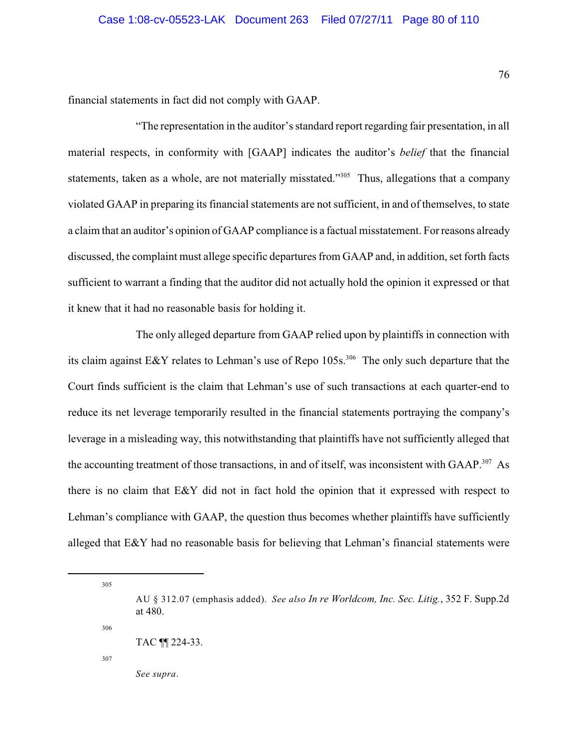financial statements in fact did not comply with GAAP.

"The representation in the auditor's standard report regarding fair presentation, in all material respects, in conformity with [GAAP] indicates the auditor's *belief* that the financial statements, taken as a whole, are not materially misstated."<sup>305</sup> Thus, allegations that a company violated GAAP in preparing its financial statements are not sufficient, in and of themselves, to state a claim that an auditor's opinion of GAAP compliance is a factual misstatement. Forreasons already discussed, the complaint must allege specific departures from GAAP and, in addition, set forth facts sufficient to warrant a finding that the auditor did not actually hold the opinion it expressed or that it knew that it had no reasonable basis for holding it.

The only alleged departure from GAAP relied upon by plaintiffs in connection with its claim against E&Y relates to Lehman's use of Repo  $105s$ <sup>306</sup>. The only such departure that the Court finds sufficient is the claim that Lehman's use of such transactions at each quarter-end to reduce its net leverage temporarily resulted in the financial statements portraying the company's leverage in a misleading way, this notwithstanding that plaintiffs have not sufficiently alleged that the accounting treatment of those transactions, in and of itself, was inconsistent with GAAP.<sup>307</sup> As there is no claim that E&Y did not in fact hold the opinion that it expressed with respect to Lehman's compliance with GAAP, the question thus becomes whether plaintiffs have sufficiently alleged that E&Y had no reasonable basis for believing that Lehman's financial statements were

305

306

307

*See supra*.

AU § 312.07 (emphasis added). *See also In re Worldcom, Inc. Sec. Litig.*, 352 F. Supp.2d at 480.

TAC ¶¶ 224-33.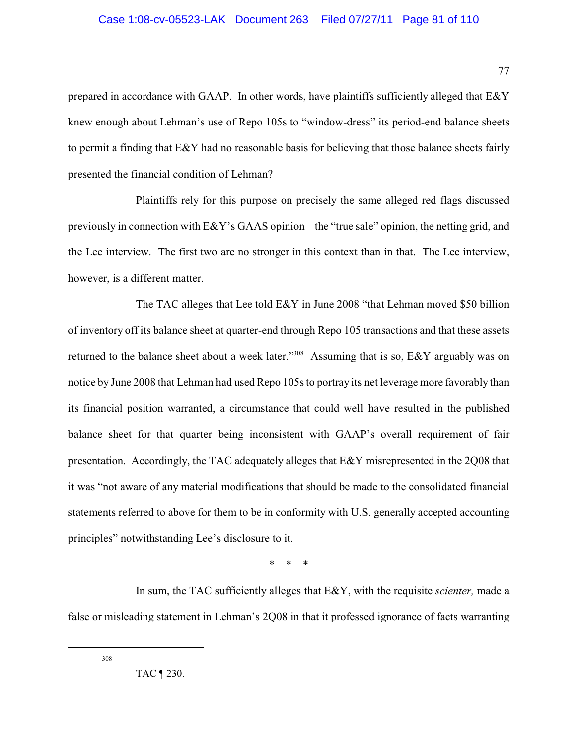prepared in accordance with GAAP. In other words, have plaintiffs sufficiently alleged that E&Y knew enough about Lehman's use of Repo 105s to "window-dress" its period-end balance sheets to permit a finding that E&Y had no reasonable basis for believing that those balance sheets fairly presented the financial condition of Lehman?

Plaintiffs rely for this purpose on precisely the same alleged red flags discussed previously in connection with E&Y's GAAS opinion – the "true sale" opinion, the netting grid, and the Lee interview. The first two are no stronger in this context than in that. The Lee interview, however, is a different matter.

The TAC alleges that Lee told E&Y in June 2008 "that Lehman moved \$50 billion of inventory off its balance sheet at quarter-end through Repo 105 transactions and that these assets returned to the balance sheet about a week later."<sup>308</sup> Assuming that is so,  $E\&Y$  arguably was on notice by June 2008 that Lehman had used Repo 105s to portray its net leverage more favorably than its financial position warranted, a circumstance that could well have resulted in the published balance sheet for that quarter being inconsistent with GAAP's overall requirement of fair presentation. Accordingly, the TAC adequately alleges that E&Y misrepresented in the 2Q08 that it was "not aware of any material modifications that should be made to the consolidated financial statements referred to above for them to be in conformity with U.S. generally accepted accounting principles" notwithstanding Lee's disclosure to it.

\* \* \*

In sum, the TAC sufficiently alleges that E&Y, with the requisite *scienter,* made a false or misleading statement in Lehman's 2Q08 in that it professed ignorance of facts warranting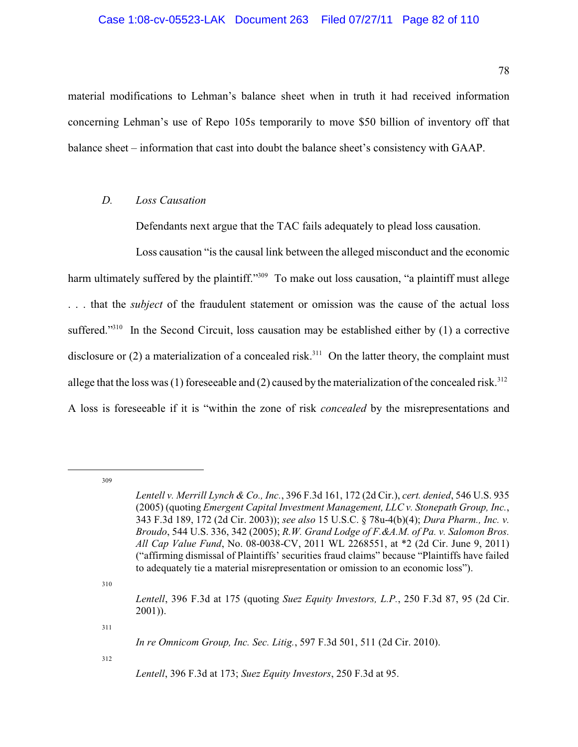material modifications to Lehman's balance sheet when in truth it had received information concerning Lehman's use of Repo 105s temporarily to move \$50 billion of inventory off that balance sheet – information that cast into doubt the balance sheet's consistency with GAAP.

### *D. Loss Causation*

Defendants next argue that the TAC fails adequately to plead loss causation.

Loss causation "is the causal link between the alleged misconduct and the economic harm ultimately suffered by the plaintiff."<sup>309</sup> To make out loss causation, "a plaintiff must allege . . . that the *subject* of the fraudulent statement or omission was the cause of the actual loss suffered."<sup>310</sup> In the Second Circuit, loss causation may be established either by  $(1)$  a corrective disclosure or  $(2)$  a materialization of a concealed risk.<sup>311</sup> On the latter theory, the complaint must allege that the loss was (1) foreseeable and (2) caused by the materialization of the concealed risk.<sup>312</sup> A loss is foreseeable if it is "within the zone of risk *concealed* by the misrepresentations and

309

310

311

*Lentell v. Merrill Lynch & Co., Inc.*, 396 F.3d 161, 172 (2d Cir.), *cert. denied*, 546 U.S. 935 (2005) (quoting *Emergent Capital Investment Management, LLC v. Stonepath Group, Inc.*, 343 F.3d 189, 172 (2d Cir. 2003)); *see also* 15 U.S.C. § 78u-4(b)(4); *Dura Pharm., Inc. v. Broudo*, 544 U.S. 336, 342 (2005); *R.W. Grand Lodge of F.&A.M. of Pa. v. Salomon Bros. All Cap Value Fund*, No. 08-0038-CV, 2011 WL 2268551, at \*2 (2d Cir. June 9, 2011) ("affirming dismissal of Plaintiffs' securities fraud claims" because "Plaintiffs have failed to adequately tie a material misrepresentation or omission to an economic loss").

*Lentell*, 396 F.3d at 175 (quoting *Suez Equity Investors, L.P.*, 250 F.3d 87, 95 (2d Cir. 2001)).

*In re Omnicom Group, Inc. Sec. Litig.*, 597 F.3d 501, 511 (2d Cir. 2010).

*Lentell*, 396 F.3d at 173; *Suez Equity Investors*, 250 F.3d at 95.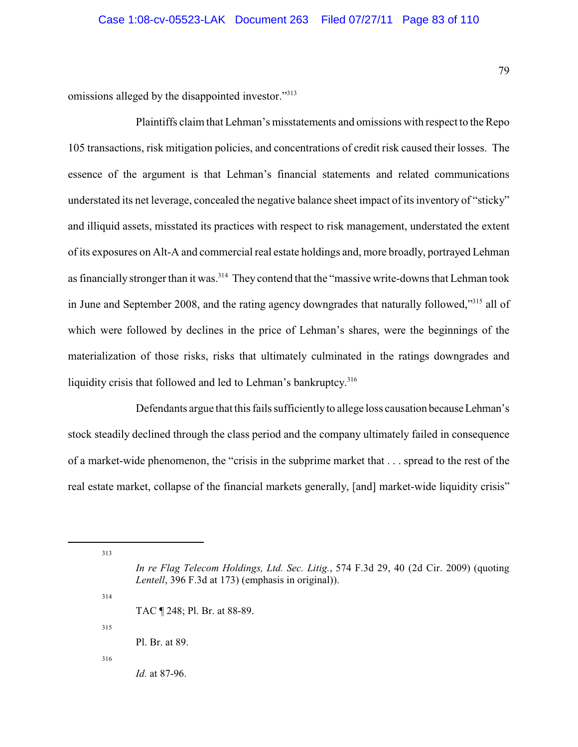omissions alleged by the disappointed investor."<sup>313</sup>

Plaintiffs claim that Lehman's misstatements and omissions with respect to the Repo 105 transactions, risk mitigation policies, and concentrations of credit risk caused their losses. The essence of the argument is that Lehman's financial statements and related communications understated its net leverage, concealed the negative balance sheet impact of its inventory of "sticky" and illiquid assets, misstated its practices with respect to risk management, understated the extent of its exposures on Alt-A and commercial real estate holdings and, more broadly, portrayed Lehman as financially stronger than it was.<sup>314</sup> They contend that the "massive write-downs that Lehman took in June and September 2008, and the rating agency downgrades that naturally followed,"<sup>315</sup> all of which were followed by declines in the price of Lehman's shares, were the beginnings of the materialization of those risks, risks that ultimately culminated in the ratings downgrades and liquidity crisis that followed and led to Lehman's bankruptcy.<sup>316</sup>

Defendants argue that this fails sufficientlyto allege loss causation becauseLehman's stock steadily declined through the class period and the company ultimately failed in consequence of a market-wide phenomenon, the "crisis in the subprime market that . . . spread to the rest of the real estate market, collapse of the financial markets generally, [and] market-wide liquidity crisis"

313

315

314

Pl. Br. at 89.

316

*Id.* at 87-96.

*In re Flag Telecom Holdings, Ltd. Sec. Litig.*, 574 F.3d 29, 40 (2d Cir. 2009) (quoting *Lentell*, 396 F.3d at 173) (emphasis in original)).

TAC ¶ 248; Pl. Br. at 88-89.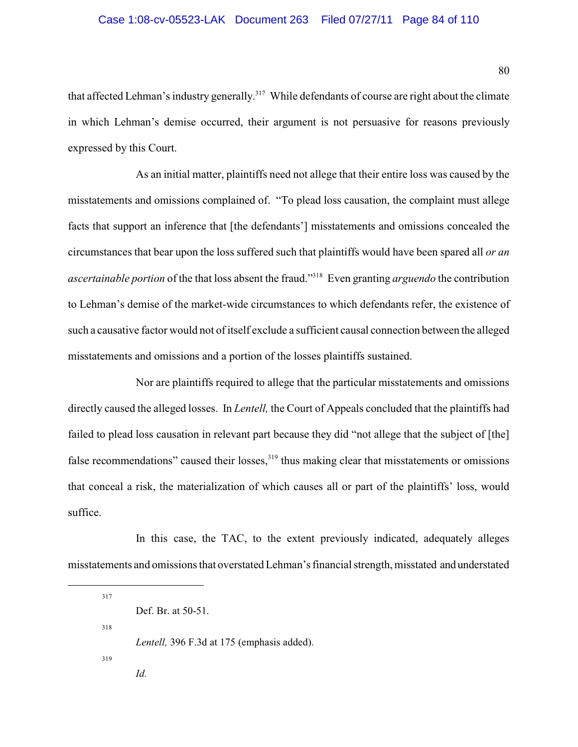that affected Lehman's industry generally.<sup>317</sup> While defendants of course are right about the climate in which Lehman's demise occurred, their argument is not persuasive for reasons previously expressed by this Court.

As an initial matter, plaintiffs need not allege that their entire loss was caused by the misstatements and omissions complained of. "To plead loss causation, the complaint must allege facts that support an inference that [the defendants'] misstatements and omissions concealed the circumstances that bear upon the loss suffered such that plaintiffs would have been spared all *or an ascertainable portion* of the that loss absent the fraud."<sup>318</sup> Even granting *arguendo* the contribution to Lehman's demise of the market-wide circumstances to which defendants refer, the existence of such a causative factor would not of itself exclude a sufficient causal connection between the alleged misstatements and omissions and a portion of the losses plaintiffs sustained.

Nor are plaintiffs required to allege that the particular misstatements and omissions directly caused the alleged losses. In *Lentell,* the Court of Appeals concluded that the plaintiffs had failed to plead loss causation in relevant part because they did "not allege that the subject of [the] false recommendations" caused their losses, $319$  thus making clear that misstatements or omissions that conceal a risk, the materialization of which causes all or part of the plaintiffs' loss, would suffice.

In this case, the TAC, to the extent previously indicated, adequately alleges misstatements and omissionsthat overstated Lehman's financial strength, misstated and understated

317 Def. Br. at 50-51. 318 *Lentell,* 396 F.3d at 175 (emphasis added). 319 *Id.*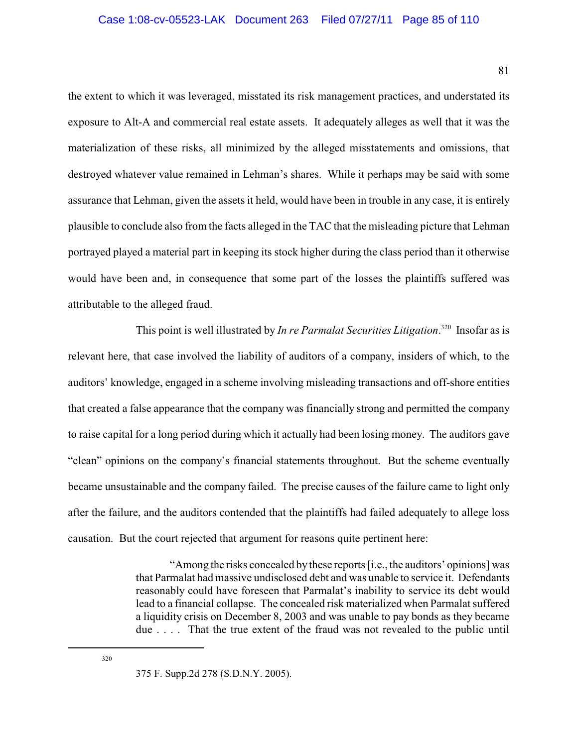the extent to which it was leveraged, misstated its risk management practices, and understated its exposure to Alt-A and commercial real estate assets. It adequately alleges as well that it was the materialization of these risks, all minimized by the alleged misstatements and omissions, that destroyed whatever value remained in Lehman's shares. While it perhaps may be said with some assurance that Lehman, given the assets it held, would have been in trouble in any case, it is entirely plausible to conclude also from the facts alleged in the TAC that the misleading picture that Lehman portrayed played a material part in keeping its stock higher during the class period than it otherwise would have been and, in consequence that some part of the losses the plaintiffs suffered was attributable to the alleged fraud.

This point is well illustrated by *In re Parmalat Securities Litigation*.<sup>320</sup> Insofar as is relevant here, that case involved the liability of auditors of a company, insiders of which, to the auditors' knowledge, engaged in a scheme involving misleading transactions and off-shore entities that created a false appearance that the company was financially strong and permitted the company to raise capital for a long period during which it actually had been losing money. The auditors gave "clean" opinions on the company's financial statements throughout. But the scheme eventually became unsustainable and the company failed. The precise causes of the failure came to light only after the failure, and the auditors contended that the plaintiffs had failed adequately to allege loss causation. But the court rejected that argument for reasons quite pertinent here:

> "Among the risks concealed by these reports [i.e., the auditors' opinions] was that Parmalat had massive undisclosed debt and was unable to service it. Defendants reasonably could have foreseen that Parmalat's inability to service its debt would lead to a financial collapse. The concealed risk materialized when Parmalat suffered a liquidity crisis on December 8, 2003 and was unable to pay bonds as they became due . . . . That the true extent of the fraud was not revealed to the public until

<sup>375</sup> F. Supp.2d 278 (S.D.N.Y. 2005).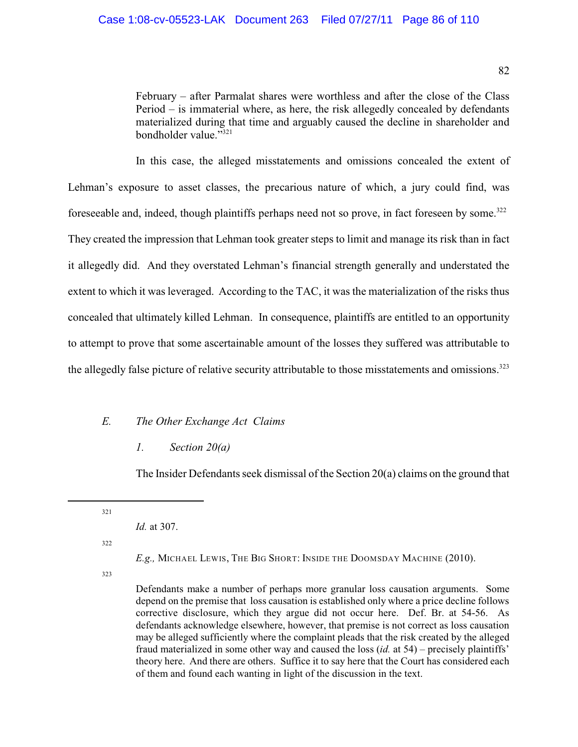February – after Parmalat shares were worthless and after the close of the Class Period – is immaterial where, as here, the risk allegedly concealed by defendants materialized during that time and arguably caused the decline in shareholder and bondholder value." $321$ 

In this case, the alleged misstatements and omissions concealed the extent of Lehman's exposure to asset classes, the precarious nature of which, a jury could find, was foreseeable and, indeed, though plaintiffs perhaps need not so prove, in fact foreseen by some.<sup>322</sup> They created the impression that Lehman took greater steps to limit and manage its risk than in fact it allegedly did. And they overstated Lehman's financial strength generally and understated the extent to which it was leveraged. According to the TAC, it was the materialization of the risks thus concealed that ultimately killed Lehman. In consequence, plaintiffs are entitled to an opportunity to attempt to prove that some ascertainable amount of the losses they suffered was attributable to the allegedly false picture of relative security attributable to those misstatements and omissions.<sup>323</sup>

# *E. The Other Exchange Act Claims*

## *1. Section 20(a)*

The Insider Defendants seek dismissal of the Section 20(a) claims on the ground that

321

*Id.* at 307.

322

*E.g.,* MICHAEL LEWIS, THE BIG SHORT: INSIDE THE DOOMSDAY MACHINE (2010).

323

Defendants make a number of perhaps more granular loss causation arguments. Some depend on the premise that loss causation is established only where a price decline follows corrective disclosure, which they argue did not occur here. Def. Br. at 54-56. As defendants acknowledge elsewhere, however, that premise is not correct as loss causation may be alleged sufficiently where the complaint pleads that the risk created by the alleged fraud materialized in some other way and caused the loss (*id.* at 54) – precisely plaintiffs' theory here. And there are others. Suffice it to say here that the Court has considered each of them and found each wanting in light of the discussion in the text.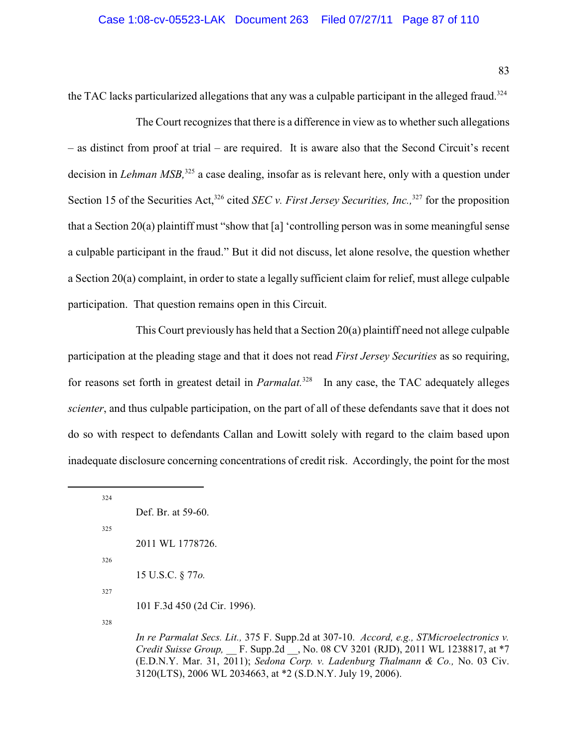83

the TAC lacks particularized allegations that any was a culpable participant in the alleged fraud.<sup>324</sup>

The Court recognizes that there is a difference in view as to whether such allegations – as distinct from proof at trial – are required. It is aware also that the Second Circuit's recent decision in *Lehman MSB*,<sup>325</sup> a case dealing, insofar as is relevant here, only with a question under Section 15 of the Securities Act,<sup>326</sup> cited *SEC v. First Jersey Securities, Inc.*, <sup>327</sup> for the proposition that a Section 20(a) plaintiff must "show that [a] 'controlling person was in some meaningful sense a culpable participant in the fraud." But it did not discuss, let alone resolve, the question whether a Section 20(a) complaint, in order to state a legally sufficient claim for relief, must allege culpable participation. That question remains open in this Circuit.

This Court previously has held that a Section 20(a) plaintiff need not allege culpable participation at the pleading stage and that it does not read *First Jersey Securities* as so requiring, for reasons set forth in greatest detail in *Parmalat*.<sup>328</sup> In any case, the TAC adequately alleges *scienter*, and thus culpable participation, on the part of all of these defendants save that it does not do so with respect to defendants Callan and Lowitt solely with regard to the claim based upon inadequate disclosure concerning concentrations of credit risk. Accordingly, the point for the most

| 324 |                              |
|-----|------------------------------|
|     | Def. Br. at 59-60.           |
| 325 |                              |
|     | 2011 WL 1778726.             |
| 326 |                              |
|     | 15 U.S.C. § 770.             |
| 327 |                              |
|     | 101 F.3d 450 (2d Cir. 1996). |
| 328 |                              |

*In re Parmalat Secs. Lit.,* 375 F. Supp.2d at 307-10. *Accord, e.g., STMicroelectronics v. Credit Suisse Group,* \_\_ F. Supp.2d \_\_, No. 08 CV 3201 (RJD), 2011 WL 1238817, at \*7 (E.D.N.Y. Mar. 31, 2011); *Sedona Corp. v. Ladenburg Thalmann & Co.,* No. 03 Civ. 3120(LTS), 2006 WL 2034663, at \*2 (S.D.N.Y. July 19, 2006).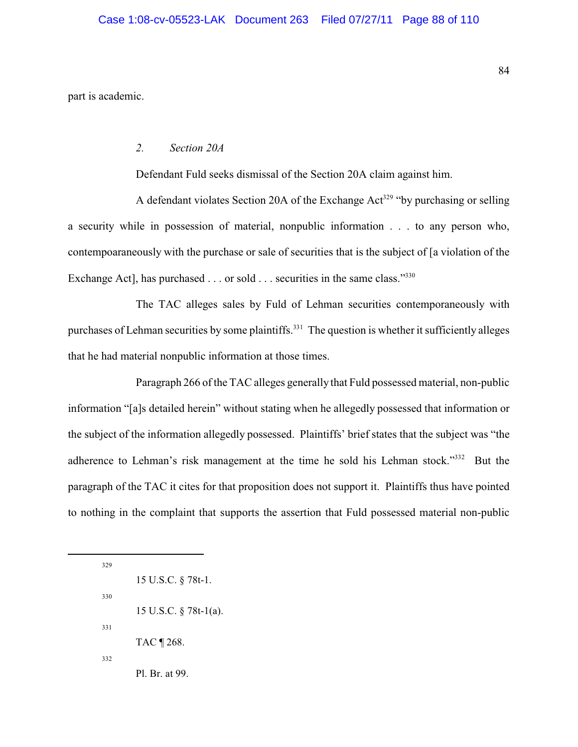part is academic.

## *2. Section 20A*

Defendant Fuld seeks dismissal of the Section 20A claim against him.

A defendant violates Section 20A of the Exchange  $Act<sup>329</sup>$  "by purchasing or selling a security while in possession of material, nonpublic information . . . to any person who, contempoaraneously with the purchase or sale of securities that is the subject of [a violation of the Exchange Act], has purchased . . . or sold . . . securities in the same class."<sup>330</sup>

The TAC alleges sales by Fuld of Lehman securities contemporaneously with purchases of Lehman securities by some plaintiffs.<sup>331</sup> The question is whether it sufficiently alleges that he had material nonpublic information at those times.

Paragraph 266 of the TAC alleges generally that Fuld possessed material, non-public information "[a]s detailed herein" without stating when he allegedly possessed that information or the subject of the information allegedly possessed. Plaintiffs' brief states that the subject was "the adherence to Lehman's risk management at the time he sold his Lehman stock." $332$  But the paragraph of the TAC it cites for that proposition does not support it. Plaintiffs thus have pointed to nothing in the complaint that supports the assertion that Fuld possessed material non-public

329 15 U.S.C. § 78t-1. 330 15 U.S.C. § 78t-1(a). 331 TAC ¶ 268. 332 Pl. Br. at 99.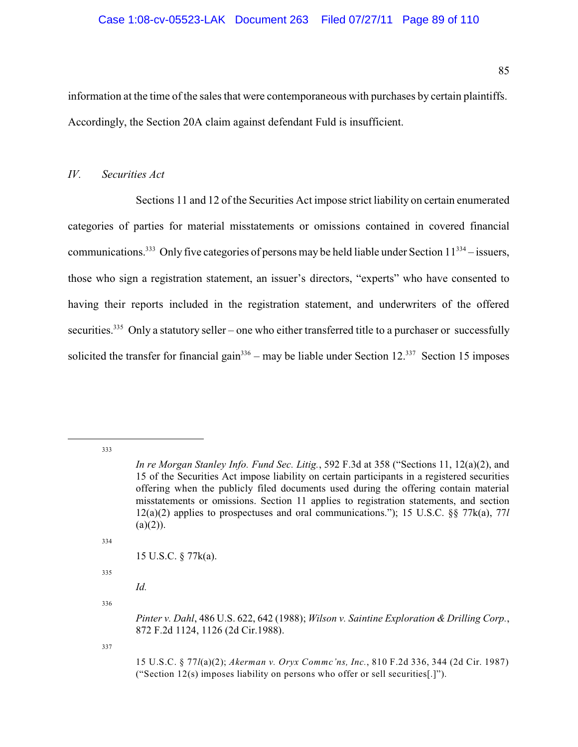information at the time of the sales that were contemporaneous with purchases by certain plaintiffs. Accordingly, the Section 20A claim against defendant Fuld is insufficient.

# *IV. Securities Act*

Sections 11 and 12 of the Securities Act impose strict liability on certain enumerated categories of parties for material misstatements or omissions contained in covered financial communications.<sup>333</sup> Only five categories of persons may be held liable under Section  $11^{334}$  – issuers, those who sign a registration statement, an issuer's directors, "experts" who have consented to having their reports included in the registration statement, and underwriters of the offered securities.<sup>335</sup> Only a statutory seller – one who either transferred title to a purchaser or successfully solicited the transfer for financial gain<sup>336</sup> – may be liable under Section 12.<sup>337</sup> Section 15 imposes

333

334

15 U.S.C. § 77k(a).

335

*Id.*

336

*In re Morgan Stanley Info. Fund Sec. Litig.*, 592 F.3d at 358 ("Sections 11, 12(a)(2), and 15 of the Securities Act impose liability on certain participants in a registered securities offering when the publicly filed documents used during the offering contain material misstatements or omissions. Section 11 applies to registration statements, and section 12(a)(2) applies to prospectuses and oral communications."); 15 U.S.C. §§ 77k(a), 77*l*  $(a)(2)$ ).

*Pinter v. Dahl*, 486 U.S. 622, 642 (1988); *Wilson v. Saintine Exploration & Drilling Corp.*, 872 F.2d 1124, 1126 (2d Cir.1988).

<sup>15</sup> U.S.C. § 77*l*(a)(2); *Akerman v. Oryx Commc'ns, Inc.*, 810 F.2d 336, 344 (2d Cir. 1987) ("Section 12(s) imposes liability on persons who offer or sell securities[.]").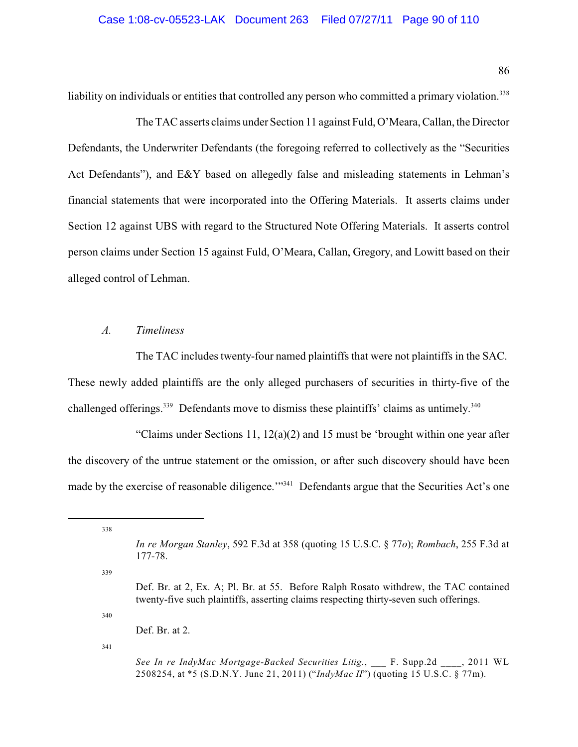liability on individuals or entities that controlled any person who committed a primary violation.<sup>338</sup>

The TAC asserts claims under Section 11 against Fuld,O'Meara, Callan, the Director Defendants, the Underwriter Defendants (the foregoing referred to collectively as the "Securities Act Defendants"), and E&Y based on allegedly false and misleading statements in Lehman's financial statements that were incorporated into the Offering Materials. It asserts claims under Section 12 against UBS with regard to the Structured Note Offering Materials. It asserts control person claims under Section 15 against Fuld, O'Meara, Callan, Gregory, and Lowitt based on their alleged control of Lehman.

## *A. Timeliness*

The TAC includes twenty-four named plaintiffs that were not plaintiffs in the SAC. These newly added plaintiffs are the only alleged purchasers of securities in thirty-five of the challenged offerings.<sup>339</sup> Defendants move to dismiss these plaintiffs' claims as untimely.<sup>340</sup>

"Claims under Sections 11, 12(a)(2) and 15 must be 'brought within one year after the discovery of the untrue statement or the omission, or after such discovery should have been made by the exercise of reasonable diligence."<sup>341</sup> Defendants argue that the Securities Act's one

338

339

340

Def. Br. at 2.

*In re Morgan Stanley*, 592 F.3d at 358 (quoting 15 U.S.C. § 77*o*); *Rombach*, 255 F.3d at 177-78.

Def. Br. at 2, Ex. A; Pl. Br. at 55. Before Ralph Rosato withdrew, the TAC contained twenty-five such plaintiffs, asserting claims respecting thirty-seven such offerings.

*See In re IndyMac Mortgage-Backed Securities Litig.*, \_\_\_ F. Supp.2d \_\_\_\_, 2011 WL 2508254, at \*5 (S.D.N.Y. June 21, 2011) ("*IndyMac II*") (quoting 15 U.S.C. § 77m).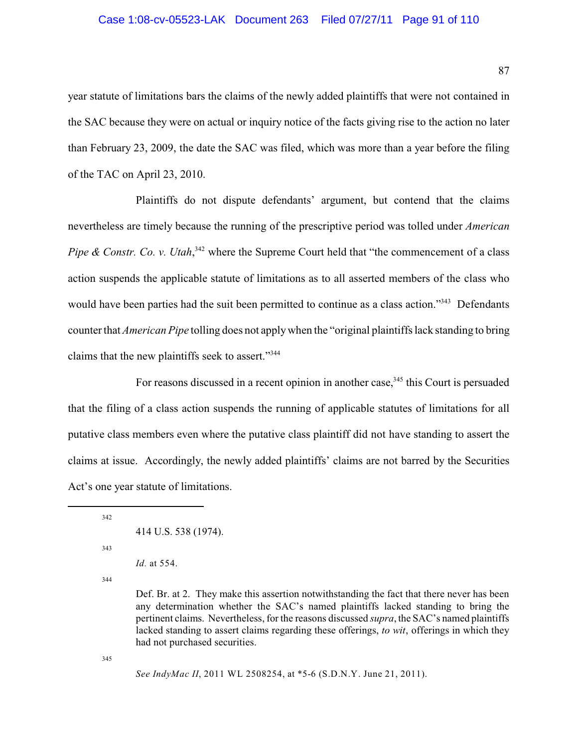## Case 1:08-cv-05523-LAK Document 263 Filed 07/27/11 Page 91 of 110

year statute of limitations bars the claims of the newly added plaintiffs that were not contained in the SAC because they were on actual or inquiry notice of the facts giving rise to the action no later than February 23, 2009, the date the SAC was filed, which was more than a year before the filing of the TAC on April 23, 2010.

Plaintiffs do not dispute defendants' argument, but contend that the claims nevertheless are timely because the running of the prescriptive period was tolled under *American Pipe & Constr. Co. v. Utah*,  $342$  where the Supreme Court held that "the commencement of a class" action suspends the applicable statute of limitations as to all asserted members of the class who would have been parties had the suit been permitted to continue as a class action."<sup>343</sup> Defendants counter that *American Pipe* tolling does not apply when the "original plaintiffs lack standing to bring claims that the new plaintiffs seek to assert."<sup>344</sup>

For reasons discussed in a recent opinion in another case,  $345$  this Court is persuaded that the filing of a class action suspends the running of applicable statutes of limitations for all putative class members even where the putative class plaintiff did not have standing to assert the claims at issue. Accordingly, the newly added plaintiffs' claims are not barred by the Securities Act's one year statute of limitations.

342

```
414 U.S. 538 (1974).
```
343

*Id.* at 554.

344

Def. Br. at 2. They make this assertion notwithstanding the fact that there never has been any determination whether the SAC's named plaintiffs lacked standing to bring the pertinent claims. Nevertheless, for the reasons discussed *supra*, the SAC's named plaintiffs lacked standing to assert claims regarding these offerings, *to wit*, offerings in which they had not purchased securities.

345

*See IndyMac II*, 2011 WL 2508254, at \*5-6 (S.D.N.Y. June 21, 2011).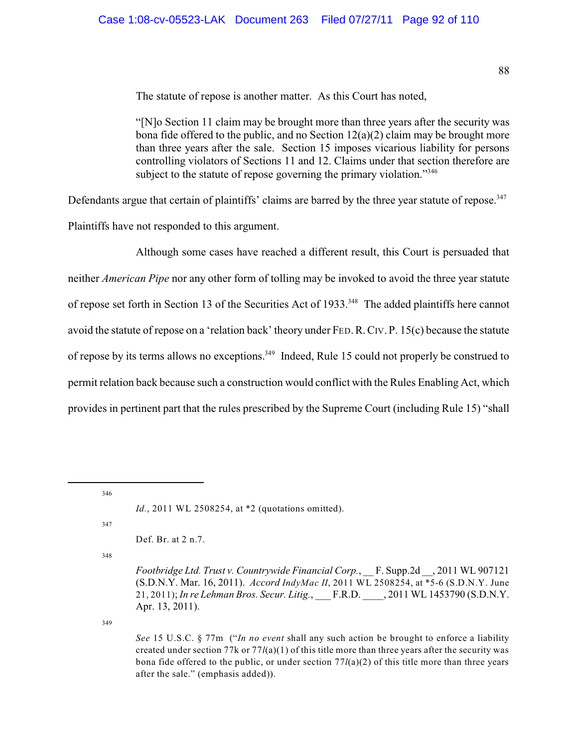The statute of repose is another matter. As this Court has noted,

"[N]o Section 11 claim may be brought more than three years after the security was bona fide offered to the public, and no Section  $12(a)(2)$  claim may be brought more than three years after the sale. Section 15 imposes vicarious liability for persons controlling violators of Sections 11 and 12. Claims under that section therefore are subject to the statute of repose governing the primary violation."<sup>346</sup>

Defendants argue that certain of plaintiffs' claims are barred by the three year statute of repose.<sup>347</sup> Plaintiffs have not responded to this argument.

Although some cases have reached a different result, this Court is persuaded that neither *American Pipe* nor any other form of tolling may be invoked to avoid the three year statute of repose set forth in Section 13 of the Securities Act of 1933.<sup>348</sup> The added plaintiffs here cannot avoid the statute of repose on a 'relation back' theory under FED.R.CIV. P. 15(c) because the statute of repose by its terms allows no exceptions.<sup>349</sup> Indeed, Rule 15 could not properly be construed to permit relation back because such a construction would conflict with the Rules Enabling Act, which provides in pertinent part that the rules prescribed by the Supreme Court (including Rule 15) "shall

346

*Id.*, 2011 WL 2508254, at \*2 (quotations omitted).

347

Def. Br. at 2 n.7.

348

*Footbridge Ltd. Trust v. Countrywide Financial Corp.*, \_\_ F. Supp.2d \_\_, 2011 WL 907121 (S.D.N.Y. Mar. 16, 2011). *Accord IndyMac II*, 2011 WL 2508254, at \*5-6 (S.D.N.Y. June 21, 2011); *In re Lehman Bros. Secur. Litig.*, \_\_\_ F.R.D. \_\_\_\_, 2011 WL 1453790 (S.D.N.Y. Apr. 13, 2011).

349

*See* 15 U.S.C. § 77m ("*In no event* shall any such action be brought to enforce a liability created under section 77k or 77*l*(a)(1) of this title more than three years after the security was bona fide offered to the public, or under section  $77/(a)(2)$  of this title more than three years after the sale." (emphasis added)).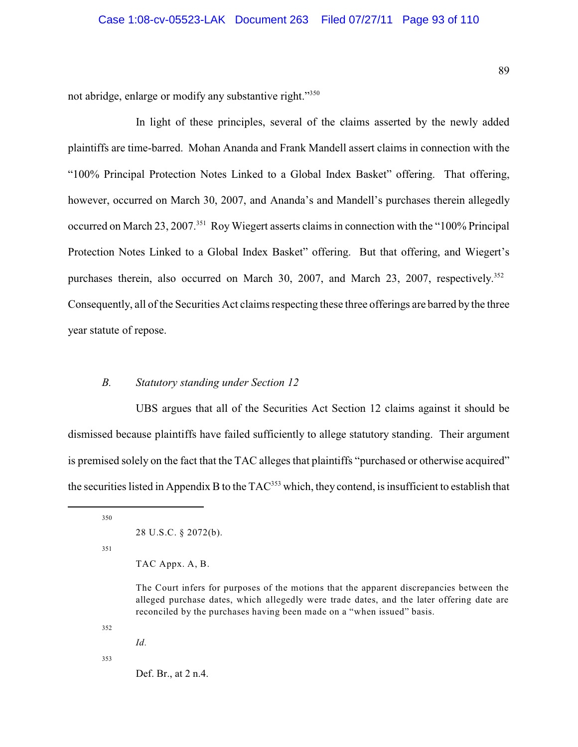not abridge, enlarge or modify any substantive right."<sup>350</sup>

In light of these principles, several of the claims asserted by the newly added plaintiffs are time-barred. Mohan Ananda and Frank Mandell assert claims in connection with the "100% Principal Protection Notes Linked to a Global Index Basket" offering. That offering, however, occurred on March 30, 2007, and Ananda's and Mandell's purchases therein allegedly occurred on March 23, 2007.<sup>351</sup> Roy Wiegert asserts claims in connection with the "100% Principal" Protection Notes Linked to a Global Index Basket" offering. But that offering, and Wiegert's purchases therein, also occurred on March 30, 2007, and March 23, 2007, respectively.<sup>352</sup> Consequently, all of the Securities Act claims respecting these three offerings are barred by the three year statute of repose.

## *B. Statutory standing under Section 12*

UBS argues that all of the Securities Act Section 12 claims against it should be dismissed because plaintiffs have failed sufficiently to allege statutory standing. Their argument is premised solely on the fact that the TAC alleges that plaintiffs "purchased or otherwise acquired" the securities listed in Appendix B to the  $TAC^{353}$  which, they contend, is insufficient to establish that

350

351

TAC Appx. A, B.

The Court infers for purposes of the motions that the apparent discrepancies between the alleged purchase dates, which allegedly were trade dates, and the later offering date are reconciled by the purchases having been made on a "when issued" basis.

352

*Id.*

353

Def. Br., at 2 n.4.

<sup>28</sup> U.S.C. § 2072(b).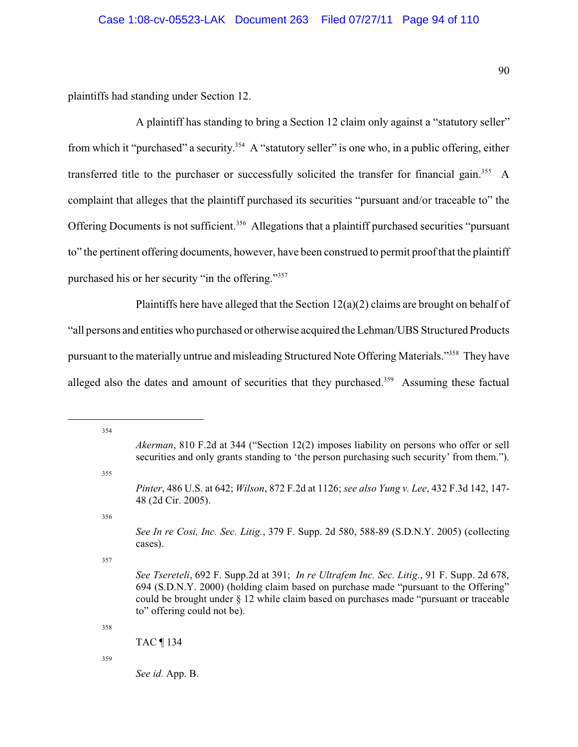plaintiffs had standing under Section 12.

A plaintiff has standing to bring a Section 12 claim only against a "statutory seller" from which it "purchased" a security.<sup>354</sup> A "statutory seller" is one who, in a public offering, either transferred title to the purchaser or successfully solicited the transfer for financial gain.<sup>355</sup> A complaint that alleges that the plaintiff purchased its securities "pursuant and/or traceable to" the Offering Documents is not sufficient.<sup>356</sup> Allegations that a plaintiff purchased securities "pursuant" to" the pertinent offering documents, however, have been construed to permit proof that the plaintiff purchased his or her security "in the offering."<sup>357</sup>

Plaintiffs here have alleged that the Section  $12(a)(2)$  claims are brought on behalf of "all persons and entities who purchased or otherwise acquired the Lehman/UBS Structured Products pursuant to the materially untrue and misleading Structured Note Offering Materials."<sup>358</sup> They have alleged also the dates and amount of securities that they purchased.<sup>359</sup> Assuming these factual

354 *Akerman*, 810 F.2d at 344 ("Section 12(2) imposes liability on persons who offer or sell securities and only grants standing to 'the person purchasing such security' from them."). 355 *Pinter*, 486 U.S. at 642; *Wilson*, 872 F.2d at 1126; *see also Yung v. Lee*, 432 F.3d 142, 147- 48 (2d Cir. 2005). 356 *See In re Cosi, Inc. Sec. Litig.*, 379 F. Supp. 2d 580, 588-89 (S.D.N.Y. 2005) (collecting cases). 357 *See Tsereteli*, 692 F. Supp.2d at 391; *In re Ultrafem Inc. Sec. Litig.*, 91 F. Supp. 2d 678, 694 (S.D.N.Y. 2000) (holding claim based on purchase made "pursuant to the Offering" could be brought under § 12 while claim based on purchases made "pursuant or traceable to" offering could not be). 358 TAC ¶ 134

359

*See id.* App. B.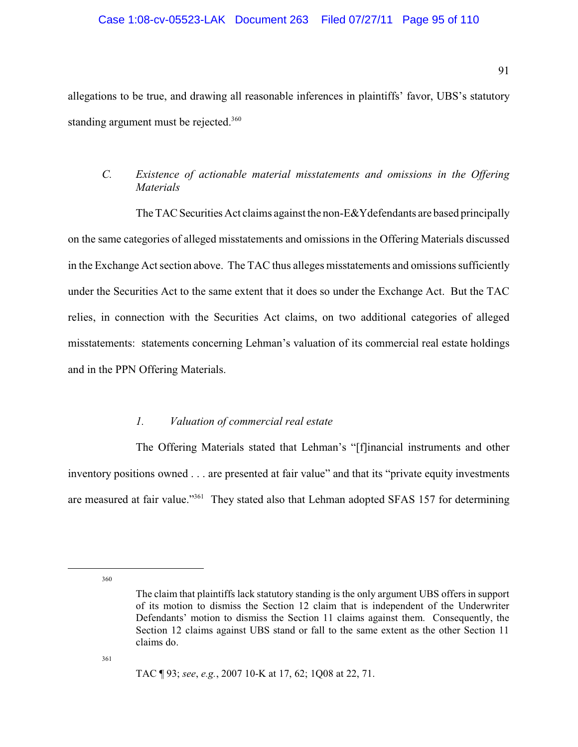## Case 1:08-cv-05523-LAK Document 263 Filed 07/27/11 Page 95 of 110

allegations to be true, and drawing all reasonable inferences in plaintiffs' favor, UBS's statutory standing argument must be rejected.<sup>360</sup>

# *C. Existence of actionable material misstatements and omissions in the Offering Materials*

The TAC Securities Act claims against the non-E&Ydefendants are based principally on the same categories of alleged misstatements and omissions in the Offering Materials discussed in the Exchange Act section above. The TAC thus alleges misstatements and omissions sufficiently under the Securities Act to the same extent that it does so under the Exchange Act. But the TAC relies, in connection with the Securities Act claims, on two additional categories of alleged misstatements: statements concerning Lehman's valuation of its commercial real estate holdings and in the PPN Offering Materials.

### *1. Valuation of commercial real estate*

The Offering Materials stated that Lehman's "[f]inancial instruments and other inventory positions owned . . . are presented at fair value" and that its "private equity investments are measured at fair value."<sup>361</sup> They stated also that Lehman adopted SFAS 157 for determining

360

The claim that plaintiffs lack statutory standing is the only argument UBS offers in support of its motion to dismiss the Section 12 claim that is independent of the Underwriter Defendants' motion to dismiss the Section 11 claims against them. Consequently, the Section 12 claims against UBS stand or fall to the same extent as the other Section 11 claims do.

TAC ¶ 93; *see*, *e.g.*, 2007 10-K at 17, 62; 1Q08 at 22, 71.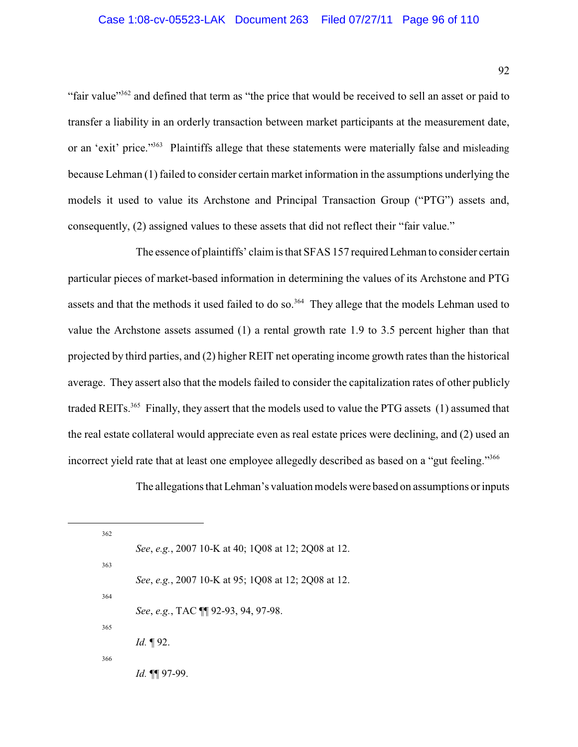"fair value"<sup>362</sup> and defined that term as "the price that would be received to sell an asset or paid to transfer a liability in an orderly transaction between market participants at the measurement date, or an 'exit' price."<sup>363</sup> Plaintiffs allege that these statements were materially false and misleading because Lehman (1) failed to consider certain market information in the assumptions underlying the models it used to value its Archstone and Principal Transaction Group ("PTG") assets and, consequently, (2) assigned values to these assets that did not reflect their "fair value."

The essence of plaintiffs' claim is that SFAS 157 requiredLehman to consider certain particular pieces of market-based information in determining the values of its Archstone and PTG assets and that the methods it used failed to do so.<sup>364</sup> They allege that the models Lehman used to value the Archstone assets assumed (1) a rental growth rate 1.9 to 3.5 percent higher than that projected by third parties, and (2) higher REIT net operating income growth rates than the historical average. They assert also that the models failed to consider the capitalization rates of other publicly traded REITs.<sup>365</sup> Finally, they assert that the models used to value the PTG assets (1) assumed that the real estate collateral would appreciate even as real estate prices were declining, and (2) used an incorrect yield rate that at least one employee allegedly described as based on a "gut feeling."<sup>366</sup>

The allegations that Lehman's valuation models were based on assumptions or inputs

| 362 |                                                     |
|-----|-----------------------------------------------------|
|     | See, e.g., 2007 10-K at 40; 1Q08 at 12; 2Q08 at 12. |
| 363 |                                                     |
|     | See, e.g., 2007 10-K at 95; 1Q08 at 12; 2Q08 at 12. |
| 364 |                                                     |
|     | See, e.g., TAC ¶ 92-93, 94, 97-98.                  |
| 365 |                                                     |
|     | <i>Id.</i> $\P$ 92.                                 |
| 366 |                                                     |
|     | <i>Id.</i> 11 97-99.                                |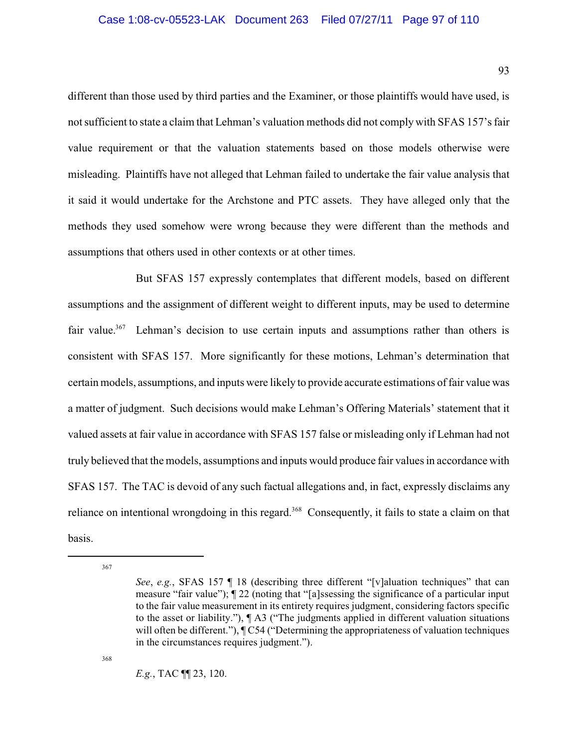different than those used by third parties and the Examiner, or those plaintiffs would have used, is not sufficient to state a claim that Lehman's valuation methods did not comply with SFAS 157's fair value requirement or that the valuation statements based on those models otherwise were misleading. Plaintiffs have not alleged that Lehman failed to undertake the fair value analysis that it said it would undertake for the Archstone and PTC assets. They have alleged only that the methods they used somehow were wrong because they were different than the methods and assumptions that others used in other contexts or at other times.

But SFAS 157 expressly contemplates that different models, based on different assumptions and the assignment of different weight to different inputs, may be used to determine fair value.<sup>367</sup> Lehman's decision to use certain inputs and assumptions rather than others is consistent with SFAS 157. More significantly for these motions, Lehman's determination that certain models, assumptions, and inputs were likely to provide accurate estimations of fair value was a matter of judgment. Such decisions would make Lehman's Offering Materials' statement that it valued assets at fair value in accordance with SFAS 157 false or misleading only if Lehman had not truly believed that the models, assumptions and inputs would produce fair values in accordance with SFAS 157. The TAC is devoid of any such factual allegations and, in fact, expressly disclaims any reliance on intentional wrongdoing in this regard.<sup>368</sup> Consequently, it fails to state a claim on that basis.

367

368

*E.g.*, TAC ¶¶ 23, 120.

*See*, *e.g.*, SFAS 157 ¶ 18 (describing three different "[v]aluation techniques" that can measure "fair value"); ¶ 22 (noting that "[a]ssessing the significance of a particular input to the fair value measurement in its entirety requires judgment, considering factors specific to the asset or liability."), ¶ A3 ("The judgments applied in different valuation situations will often be different."),  $\mathcal{I}(\mathbb{C}54)$  ("Determining the appropriateness of valuation techniques") in the circumstances requires judgment.").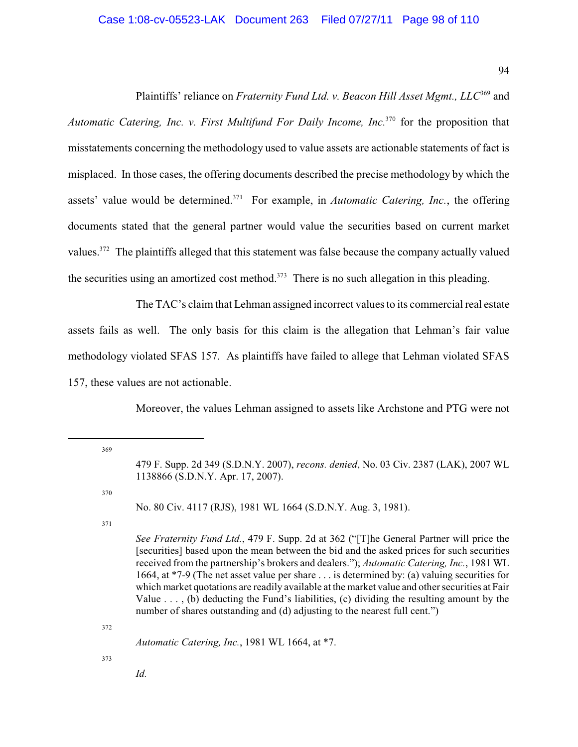## Case 1:08-cv-05523-LAK Document 263 Filed 07/27/11 Page 98 of 110

94

Plaintiffs' reliance on *Fraternity Fund Ltd. v. Beacon Hill Asset Mgmt., LLC*<sup>369</sup> and *Automatic Catering, Inc. v. First Multifund For Daily Income, Inc.*<sup>370</sup> for the proposition that misstatements concerning the methodology used to value assets are actionable statements of fact is misplaced. In those cases, the offering documents described the precise methodology by which the assets' value would be determined.<sup>371</sup> For example, in *Automatic Catering, Inc.*, the offering documents stated that the general partner would value the securities based on current market values.<sup> $372$ </sup> The plaintiffs alleged that this statement was false because the company actually valued the securities using an amortized cost method.<sup>373</sup> There is no such allegation in this pleading.

The TAC's claim that Lehman assigned incorrect values to its commercial real estate assets fails as well. The only basis for this claim is the allegation that Lehman's fair value methodology violated SFAS 157. As plaintiffs have failed to allege that Lehman violated SFAS 157, these values are not actionable.

Moreover, the values Lehman assigned to assets like Archstone and PTG were not

369

370

No. 80 Civ. 4117 (RJS), 1981 WL 1664 (S.D.N.Y. Aug. 3, 1981).

371

*See Fraternity Fund Ltd.*, 479 F. Supp. 2d at 362 ("[T]he General Partner will price the [securities] based upon the mean between the bid and the asked prices for such securities received from the partnership's brokers and dealers."); *Automatic Catering, Inc.*, 1981 WL 1664, at \*7-9 (The net asset value per share . . . is determined by: (a) valuing securities for which market quotations are readily available at the market value and other securities at Fair Value  $\dots$ , (b) deducting the Fund's liabilities, (c) dividing the resulting amount by the number of shares outstanding and (d) adjusting to the nearest full cent.")

372

*Automatic Catering, Inc.*, 1981 WL 1664, at \*7.

373

*Id.*

<sup>479</sup> F. Supp. 2d 349 (S.D.N.Y. 2007), *recons. denied*, No. 03 Civ. 2387 (LAK), 2007 WL 1138866 (S.D.N.Y. Apr. 17, 2007).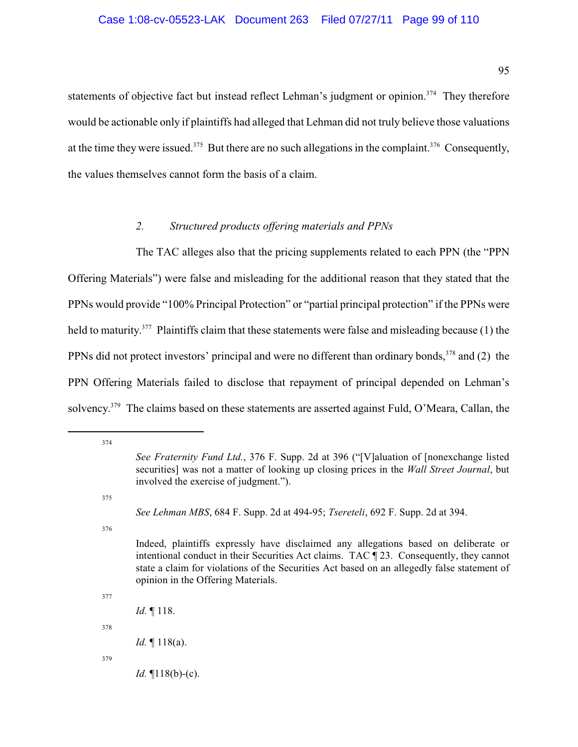95

statements of objective fact but instead reflect Lehman's judgment or opinion.<sup>374</sup> They therefore would be actionable only if plaintiffs had alleged that Lehman did not truly believe those valuations at the time they were issued.<sup>375</sup> But there are no such allegations in the complaint.<sup>376</sup> Consequently, the values themselves cannot form the basis of a claim.

# *2. Structured products offering materials and PPNs*

The TAC alleges also that the pricing supplements related to each PPN (the "PPN Offering Materials") were false and misleading for the additional reason that they stated that the PPNs would provide "100% Principal Protection" or "partial principal protection" if the PPNs were held to maturity.<sup> $377$ </sup> Plaintiffs claim that these statements were false and misleading because (1) the PPNs did not protect investors' principal and were no different than ordinary bonds,  $378$  and (2) the PPN Offering Materials failed to disclose that repayment of principal depended on Lehman's solvency.<sup> $379$ </sup> The claims based on these statements are asserted against Fuld, O'Meara, Callan, the

375

376

377

*Id.* ¶ 118.

378

*Id.* ¶ 118(a).

379

*Id.* ¶118(b)-(c).

<sup>374</sup>

*See Fraternity Fund Ltd.*, 376 F. Supp. 2d at 396 ("[V]aluation of [nonexchange listed securities] was not a matter of looking up closing prices in the *Wall Street Journal*, but involved the exercise of judgment.").

*See Lehman MBS*, 684 F. Supp. 2d at 494-95; *Tsereteli*, 692 F. Supp. 2d at 394.

Indeed, plaintiffs expressly have disclaimed any allegations based on deliberate or intentional conduct in their Securities Act claims. TAC ¶ 23. Consequently, they cannot state a claim for violations of the Securities Act based on an allegedly false statement of opinion in the Offering Materials.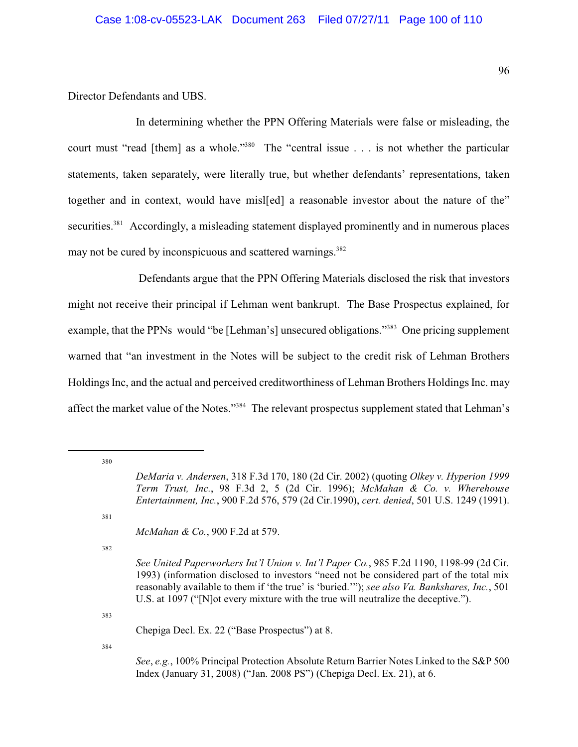Director Defendants and UBS.

In determining whether the PPN Offering Materials were false or misleading, the court must "read [them] as a whole."<sup>380</sup> The "central issue . . . is not whether the particular statements, taken separately, were literally true, but whether defendants' representations, taken together and in context, would have misl[ed] a reasonable investor about the nature of the" securities.<sup>381</sup> Accordingly, a misleading statement displayed prominently and in numerous places may not be cured by inconspicuous and scattered warnings.<sup>382</sup>

 Defendants argue that the PPN Offering Materials disclosed the risk that investors might not receive their principal if Lehman went bankrupt. The Base Prospectus explained, for example, that the PPNs would "be [Lehman's] unsecured obligations."<sup>383</sup> One pricing supplement warned that "an investment in the Notes will be subject to the credit risk of Lehman Brothers Holdings Inc, and the actual and perceived creditworthiness of Lehman Brothers Holdings Inc. may affect the market value of the Notes."<sup>384</sup> The relevant prospectus supplement stated that Lehman's

380

381

*McMahan & Co.*, 900 F.2d at 579.

382

*See United Paperworkers Int'l Union v. Int'l Paper Co.*, 985 F.2d 1190, 1198-99 (2d Cir. 1993) (information disclosed to investors "need not be considered part of the total mix reasonably available to them if 'the true' is 'buried.'"); *see also Va. Bankshares, Inc.*, 501 U.S. at 1097 ("[N]ot every mixture with the true will neutralize the deceptive.").

383

Chepiga Decl. Ex. 22 ("Base Prospectus") at 8.

384

*See*, *e.g.*, 100% Principal Protection Absolute Return Barrier Notes Linked to the S&P 500 Index (January 31, 2008) ("Jan. 2008 PS") (Chepiga Decl. Ex. 21), at 6.

*DeMaria v. Andersen*, 318 F.3d 170, 180 (2d Cir. 2002) (quoting *Olkey v. Hyperion 1999 Term Trust, Inc.*, 98 F.3d 2, 5 (2d Cir. 1996); *McMahan & Co. v. Wherehouse Entertainment, Inc.*, 900 F.2d 576, 579 (2d Cir.1990), *cert. denied*, 501 U.S. 1249 (1991).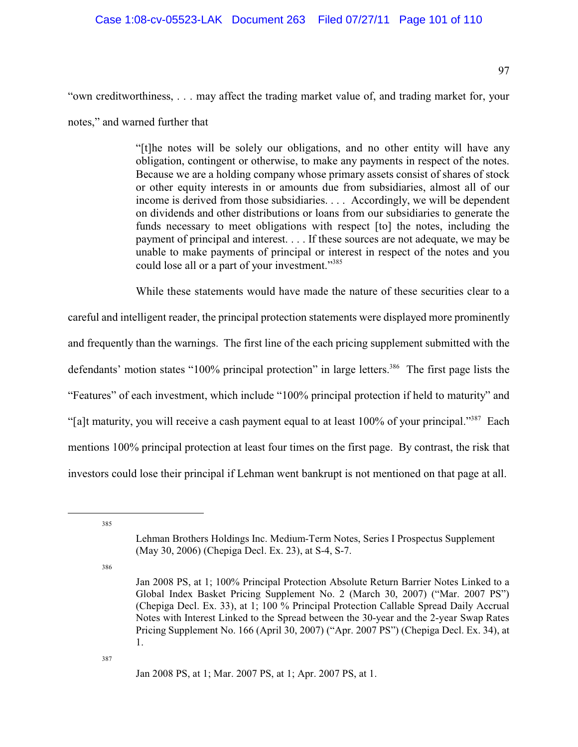97

"own creditworthiness, . . . may affect the trading market value of, and trading market for, your

notes," and warned further that

"[t]he notes will be solely our obligations, and no other entity will have any obligation, contingent or otherwise, to make any payments in respect of the notes. Because we are a holding company whose primary assets consist of shares of stock or other equity interests in or amounts due from subsidiaries, almost all of our income is derived from those subsidiaries. . . . Accordingly, we will be dependent on dividends and other distributions or loans from our subsidiaries to generate the funds necessary to meet obligations with respect [to] the notes, including the payment of principal and interest. . . . If these sources are not adequate, we may be unable to make payments of principal or interest in respect of the notes and you could lose all or a part of your investment."<sup>385</sup>

While these statements would have made the nature of these securities clear to a

careful and intelligent reader, the principal protection statements were displayed more prominently and frequently than the warnings. The first line of the each pricing supplement submitted with the defendants' motion states "100% principal protection" in large letters.<sup>386</sup> The first page lists the "Features" of each investment, which include "100% principal protection if held to maturity" and "[a]t maturity, you will receive a cash payment equal to at least 100% of your principal."<sup>387</sup> Each mentions 100% principal protection at least four times on the first page. By contrast, the risk that investors could lose their principal if Lehman went bankrupt is not mentioned on that page at all.

385

386

387

Jan 2008 PS, at 1; Mar. 2007 PS, at 1; Apr. 2007 PS, at 1.

Lehman Brothers Holdings Inc. Medium-Term Notes, Series I Prospectus Supplement (May 30, 2006) (Chepiga Decl. Ex. 23), at S-4, S-7.

Jan 2008 PS, at 1; 100% Principal Protection Absolute Return Barrier Notes Linked to a Global Index Basket Pricing Supplement No. 2 (March 30, 2007) ("Mar. 2007 PS") (Chepiga Decl. Ex. 33), at 1; 100 % Principal Protection Callable Spread Daily Accrual Notes with Interest Linked to the Spread between the 30-year and the 2-year Swap Rates Pricing Supplement No. 166 (April 30, 2007) ("Apr. 2007 PS") (Chepiga Decl. Ex. 34), at 1.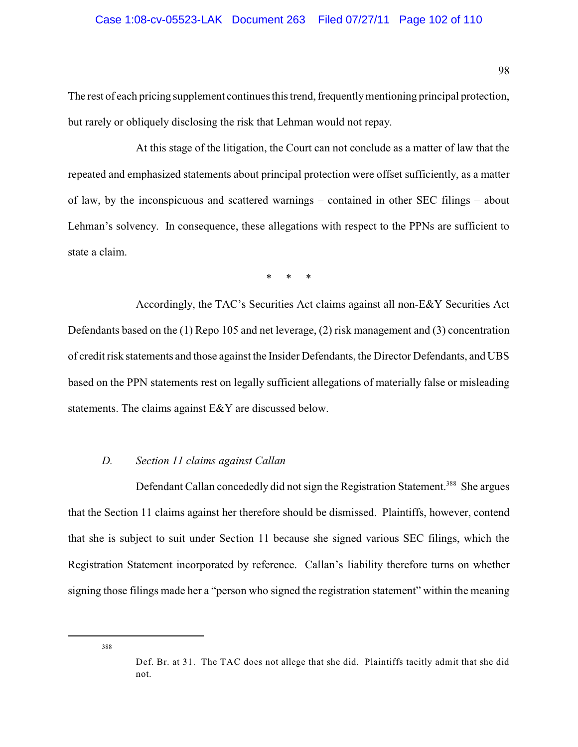### Case 1:08-cv-05523-LAK Document 263 Filed 07/27/11 Page 102 of 110

The rest of each pricing supplement continues this trend, frequentlymentioning principal protection, but rarely or obliquely disclosing the risk that Lehman would not repay.

At this stage of the litigation, the Court can not conclude as a matter of law that the repeated and emphasized statements about principal protection were offset sufficiently, as a matter of law, by the inconspicuous and scattered warnings – contained in other SEC filings – about Lehman's solvency. In consequence, these allegations with respect to the PPNs are sufficient to state a claim.

\* \* \*

Accordingly, the TAC's Securities Act claims against all non-E&Y Securities Act Defendants based on the (1) Repo 105 and net leverage, (2) risk management and (3) concentration of credit risk statements and those against the Insider Defendants, the Director Defendants, and UBS based on the PPN statements rest on legally sufficient allegations of materially false or misleading statements. The claims against E&Y are discussed below.

### *D. Section 11 claims against Callan*

Defendant Callan concededly did not sign the Registration Statement.<sup>388</sup> She argues that the Section 11 claims against her therefore should be dismissed. Plaintiffs, however, contend that she is subject to suit under Section 11 because she signed various SEC filings, which the Registration Statement incorporated by reference. Callan's liability therefore turns on whether signing those filings made her a "person who signed the registration statement" within the meaning

Def. Br. at 31. The TAC does not allege that she did. Plaintiffs tacitly admit that she did not.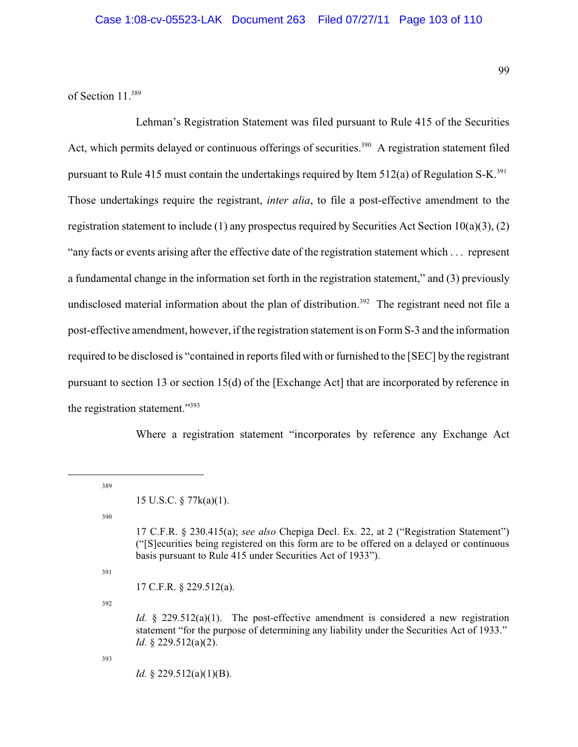of Section 11.<sup>389</sup>

Lehman's Registration Statement was filed pursuant to Rule 415 of the Securities Act, which permits delayed or continuous offerings of securities.<sup>390</sup> A registration statement filed pursuant to Rule 415 must contain the undertakings required by Item 512(a) of Regulation S-K.<sup>391</sup> Those undertakings require the registrant, *inter alia*, to file a post-effective amendment to the registration statement to include (1) any prospectus required by Securities Act Section  $10(a)(3)$ , (2) "any facts or events arising after the effective date of the registration statement which . . . represent a fundamental change in the information set forth in the registration statement," and (3) previously undisclosed material information about the plan of distribution.<sup>392</sup> The registrant need not file a post-effective amendment, however, if the registration statement is on Form S-3 and the information required to be disclosed is "contained in reports filed with or furnished to the [SEC] by the registrant pursuant to section 13 or section 15(d) of the [Exchange Act] that are incorporated by reference in the registration statement."<sup>393</sup>

Where a registration statement "incorporates by reference any Exchange Act

389

390

391

17 C.F.R. § 229.512(a).

392

*Id.* § 229.512(a)(1). The post-effective amendment is considered a new registration statement "for the purpose of determining any liability under the Securities Act of 1933." *Id.* § 229.512(a)(2).

393

*Id.* § 229.512(a)(1)(B).

<sup>15</sup> U.S.C. § 77k(a)(1).

<sup>17</sup> C.F.R. § 230.415(a); *see also* Chepiga Decl. Ex. 22, at 2 ("Registration Statement") ("[S]ecurities being registered on this form are to be offered on a delayed or continuous basis pursuant to Rule 415 under Securities Act of 1933").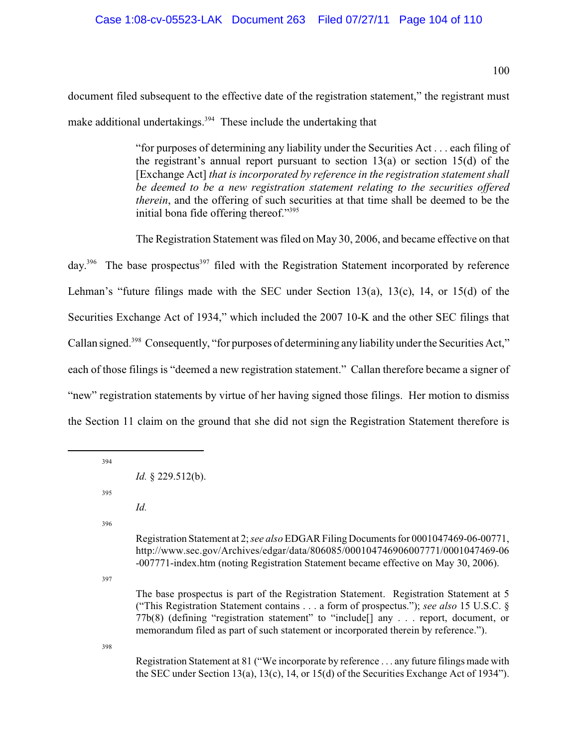document filed subsequent to the effective date of the registration statement," the registrant must make additional undertakings.  $394$  These include the undertaking that

> "for purposes of determining any liability under the Securities Act . . . each filing of the registrant's annual report pursuant to section 13(a) or section 15(d) of the [Exchange Act] *that is incorporated by reference in the registration statement shall be deemed to be a new registration statement relating to the securities offered therein*, and the offering of such securities at that time shall be deemed to be the initial bona fide offering thereof."<sup>395</sup>

The Registration Statement was filed on May 30, 2006, and became effective on that

day.<sup>396</sup> The base prospectus<sup>397</sup> filed with the Registration Statement incorporated by reference Lehman's "future filings made with the SEC under Section 13(a), 13(c), 14, or 15(d) of the Securities Exchange Act of 1934," which included the 2007 10-K and the other SEC filings that Callan signed.<sup>398</sup> Consequently, "for purposes of determining any liability under the Securities Act," each of those filings is "deemed a new registration statement." Callan therefore became a signer of "new" registration statements by virtue of her having signed those filings. Her motion to dismiss the Section 11 claim on the ground that she did not sign the Registration Statement therefore is

394

395

*Id.*

396

Registration Statement at 2; *see also* EDGAR Filing Documentsfor 0001047469-06-00771, http://www.sec.gov/Archives/edgar/data/806085/000104746906007771/0001047469-06 -007771-index.htm (noting Registration Statement became effective on May 30, 2006).

397

The base prospectus is part of the Registration Statement. Registration Statement at 5 ("This Registration Statement contains . . . a form of prospectus."); *see also* 15 U.S.C. § 77b(8) (defining "registration statement" to "include[] any . . . report, document, or memorandum filed as part of such statement or incorporated therein by reference.").

398

Registration Statement at 81 ("We incorporate by reference . . . any future filings made with the SEC under Section 13(a), 13(c), 14, or 15(d) of the Securities Exchange Act of 1934").

*Id.* § 229.512(b).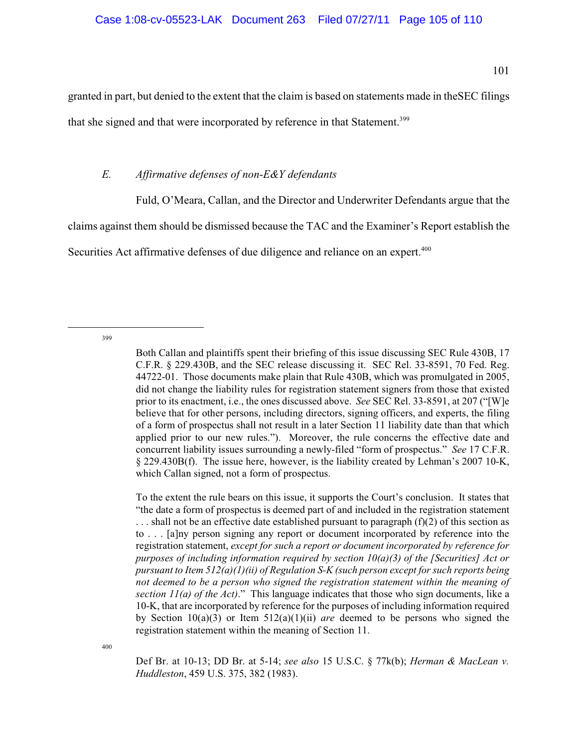granted in part, but denied to the extent that the claim is based on statements made in theSEC filings

that she signed and that were incorporated by reference in that Statement.<sup>399</sup>

# *E. Affirmative defenses of non-E&Y defendants*

Fuld, O'Meara, Callan, and the Director and Underwriter Defendants argue that the

claims against them should be dismissed because the TAC and the Examiner's Report establish the

Securities Act affirmative defenses of due diligence and reliance on an expert.<sup>400</sup>

399

To the extent the rule bears on this issue, it supports the Court's conclusion. It states that "the date a form of prospectus is deemed part of and included in the registration statement  $\ldots$  shall not be an effective date established pursuant to paragraph (f)(2) of this section as to . . . [a]ny person signing any report or document incorporated by reference into the registration statement, *except for such a report or document incorporated by reference for purposes of including information required by section 10(a)(3) of the [Securities] Act or pursuant to Item 512(a)(1)(ii) of Regulation S-K (such person except for such reports being not deemed to be a person who signed the registration statement within the meaning of section 11(a) of the Act)*." This language indicates that those who sign documents, like a 10-K, that are incorporated by reference for the purposes of including information required by Section 10(a)(3) or Item 512(a)(1)(ii) *are* deemed to be persons who signed the registration statement within the meaning of Section 11.

400

Def Br. at 10-13; DD Br. at 5-14; *see also* 15 U.S.C. § 77k(b); *Herman & MacLean v. Huddleston*, 459 U.S. 375, 382 (1983).

Both Callan and plaintiffs spent their briefing of this issue discussing SEC Rule 430B, 17 C.F.R. § 229.430B, and the SEC release discussing it. SEC Rel. 33-8591, 70 Fed. Reg. 44722-01. Those documents make plain that Rule 430B, which was promulgated in 2005, did not change the liability rules for registration statement signers from those that existed prior to its enactment, i.e., the ones discussed above. *See* SEC Rel. 33-8591, at 207 ("[W]e believe that for other persons, including directors, signing officers, and experts, the filing of a form of prospectus shall not result in a later Section 11 liability date than that which applied prior to our new rules."). Moreover, the rule concerns the effective date and concurrent liability issues surrounding a newly-filed "form of prospectus." *See* 17 C.F.R. § 229.430B(f). The issue here, however, is the liability created by Lehman's 2007 10-K, which Callan signed, not a form of prospectus.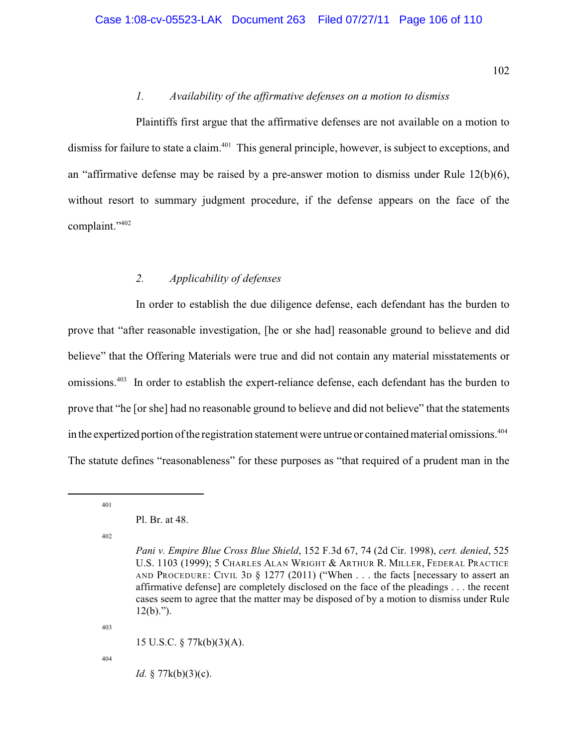## *1. Availability of the affirmative defenses on a motion to dismiss*

Plaintiffs first argue that the affirmative defenses are not available on a motion to dismiss for failure to state a claim.<sup>401</sup> This general principle, however, is subject to exceptions, and an "affirmative defense may be raised by a pre-answer motion to dismiss under Rule  $12(b)(6)$ , without resort to summary judgment procedure, if the defense appears on the face of the complaint." <sup>402</sup>

### *2. Applicability of defenses*

In order to establish the due diligence defense, each defendant has the burden to prove that "after reasonable investigation, [he or she had] reasonable ground to believe and did believe" that the Offering Materials were true and did not contain any material misstatements or omissions.<sup>403</sup> In order to establish the expert-reliance defense, each defendant has the burden to prove that "he [or she] had no reasonable ground to believe and did not believe" that the statements in the expertized portion of the registration statement were untrue or contained material omissions.<sup>404</sup> The statute defines "reasonableness" for these purposes as "that required of a prudent man in the

401

402

403

15 U.S.C. § 77k(b)(3)(A).

404

*Id.* § 77k(b)(3)(c).

Pl. Br. at 48.

*Pani v. Empire Blue Cross Blue Shield*, 152 F.3d 67, 74 (2d Cir. 1998), *cert. denied*, 525 U.S. 1103 (1999); 5 CHARLES ALAN WRIGHT & ARTHUR R. MILLER, FEDERAL PRACTICE AND PROCEDURE: CIVIL 3D § 1277 (2011) ("When . . . the facts [necessary to assert an affirmative defense] are completely disclosed on the face of the pleadings . . . the recent cases seem to agree that the matter may be disposed of by a motion to dismiss under Rule  $12(b)$ .").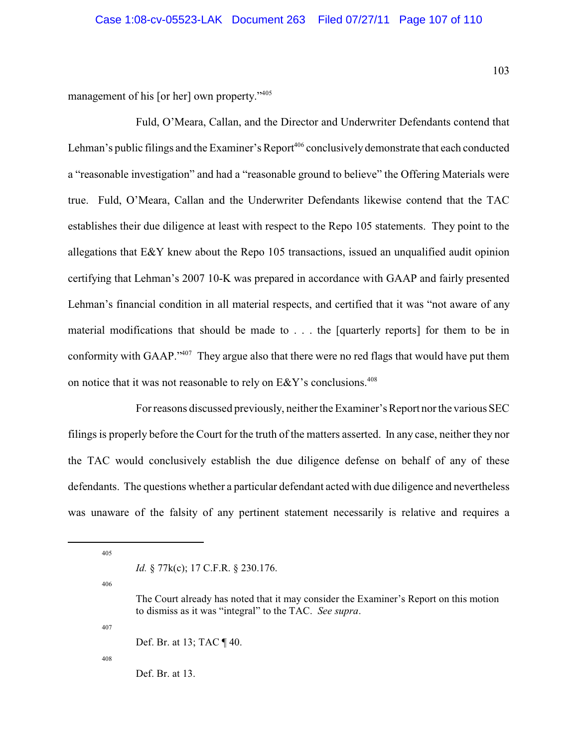management of his [or her] own property."<sup>405</sup>

Fuld, O'Meara, Callan, and the Director and Underwriter Defendants contend that Lehman's public filings and the Examiner's Report<sup>406</sup> conclusively demonstrate that each conducted a "reasonable investigation" and had a "reasonable ground to believe" the Offering Materials were true. Fuld, O'Meara, Callan and the Underwriter Defendants likewise contend that the TAC establishes their due diligence at least with respect to the Repo 105 statements. They point to the allegations that E&Y knew about the Repo 105 transactions, issued an unqualified audit opinion certifying that Lehman's 2007 10-K was prepared in accordance with GAAP and fairly presented Lehman's financial condition in all material respects, and certified that it was "not aware of any material modifications that should be made to . . . the [quarterly reports] for them to be in conformity with GAAP."<sup>407</sup> They argue also that there were no red flags that would have put them on notice that it was not reasonable to rely on E&Y's conclusions.<sup>408</sup>

Forreasons discussed previously, neither the Examiner's Report nor the various SEC filings is properly before the Court for the truth of the matters asserted. In any case, neither they nor the TAC would conclusively establish the due diligence defense on behalf of any of these defendants. The questions whether a particular defendant acted with due diligence and nevertheless was unaware of the falsity of any pertinent statement necessarily is relative and requires a

405

*Id.* § 77 $k(c)$ ; 17 C.F.R. § 230.176.

406

407

Def. Br. at 13; TAC ¶ 40.

408

Def. Br. at 13.

The Court already has noted that it may consider the Examiner's Report on this motion to dismiss as it was "integral" to the TAC. *See supra*.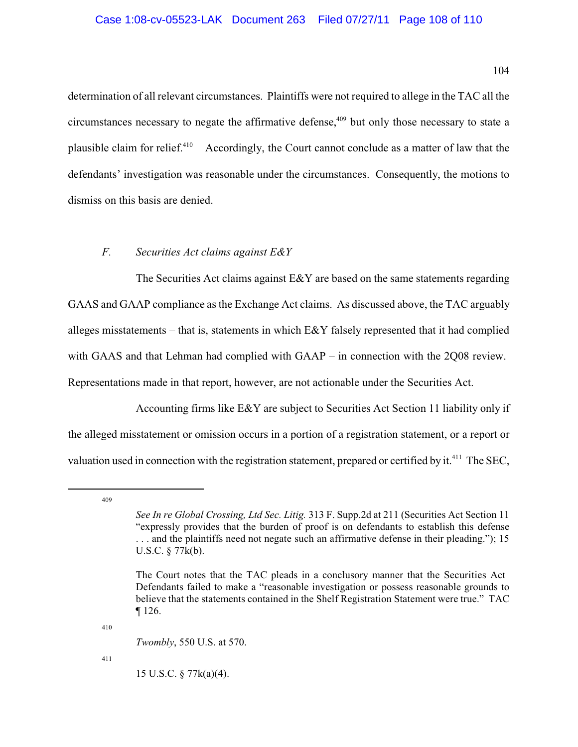104

determination of all relevant circumstances. Plaintiffs were not required to allege in the TAC all the circumstances necessary to negate the affirmative defense, $409$  but only those necessary to state a plausible claim for relief. $410$  Accordingly, the Court cannot conclude as a matter of law that the defendants' investigation was reasonable under the circumstances. Consequently, the motions to dismiss on this basis are denied.

# *F. Securities Act claims against E&Y*

The Securities Act claims against  $E\&Y$  are based on the same statements regarding GAAS and GAAP compliance as the Exchange Act claims. As discussed above, the TAC arguably alleges misstatements – that is, statements in which E&Y falsely represented that it had complied with GAAS and that Lehman had complied with GAAP – in connection with the 2Q08 review. Representations made in that report, however, are not actionable under the Securities Act.

Accounting firms like E&Y are subject to Securities Act Section 11 liability only if the alleged misstatement or omission occurs in a portion of a registration statement, or a report or valuation used in connection with the registration statement, prepared or certified by it.<sup>411</sup> The SEC,

409

410

*Twombly*, 550 U.S. at 570.

411

15 U.S.C. § 77k(a)(4).

*See In re Global Crossing, Ltd Sec. Litig.* 313 F. Supp.2d at 211 (Securities Act Section 11 "expressly provides that the burden of proof is on defendants to establish this defense . . . and the plaintiffs need not negate such an affirmative defense in their pleading."); 15 U.S.C. § 77k(b).

The Court notes that the TAC pleads in a conclusory manner that the Securities Act Defendants failed to make a "reasonable investigation or possess reasonable grounds to believe that the statements contained in the Shelf Registration Statement were true." TAC ¶ 126.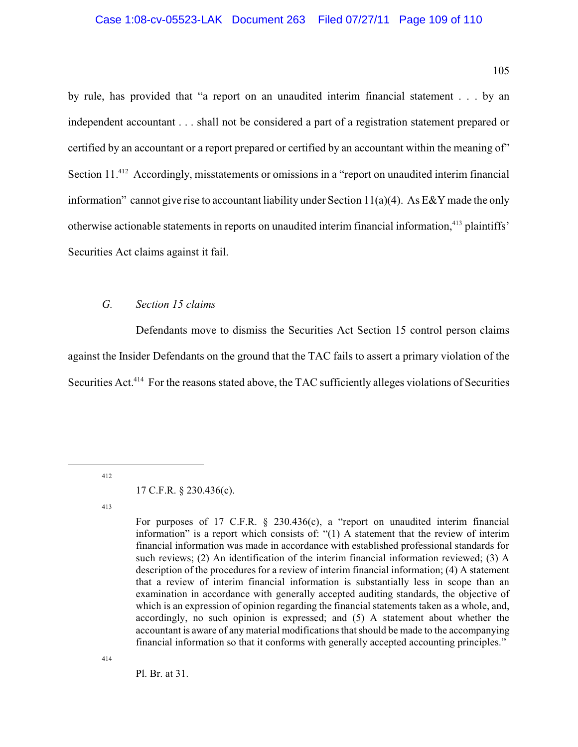## Case 1:08-cv-05523-LAK Document 263 Filed 07/27/11 Page 109 of 110

105

by rule, has provided that "a report on an unaudited interim financial statement . . . by an independent accountant . . . shall not be considered a part of a registration statement prepared or certified by an accountant or a report prepared or certified by an accountant within the meaning of" Section  $11^{412}$  Accordingly, misstatements or omissions in a "report on unaudited interim financial information" cannot give rise to accountant liability under Section 11(a)(4). As  $E\&Y$  made the only otherwise actionable statements in reports on unaudited interim financial information,<sup>413</sup> plaintiffs' Securities Act claims against it fail.

## *G. Section 15 claims*

Defendants move to dismiss the Securities Act Section 15 control person claims against the Insider Defendants on the ground that the TAC fails to assert a primary violation of the Securities Act.<sup>414</sup> For the reasons stated above, the TAC sufficiently alleges violations of Securities

412

413

For purposes of 17 C.F.R. § 230.436(c), a "report on unaudited interim financial information" is a report which consists of: "(1) A statement that the review of interim financial information was made in accordance with established professional standards for such reviews; (2) An identification of the interim financial information reviewed; (3) A description of the procedures for a review of interim financial information; (4) A statement that a review of interim financial information is substantially less in scope than an examination in accordance with generally accepted auditing standards, the objective of which is an expression of opinion regarding the financial statements taken as a whole, and, accordingly, no such opinion is expressed; and (5) A statement about whether the accountant is aware of any material modifications that should be made to the accompanying financial information so that it conforms with generally accepted accounting principles."

414

Pl. Br. at 31.

<sup>17</sup> C.F.R. § 230.436(c).